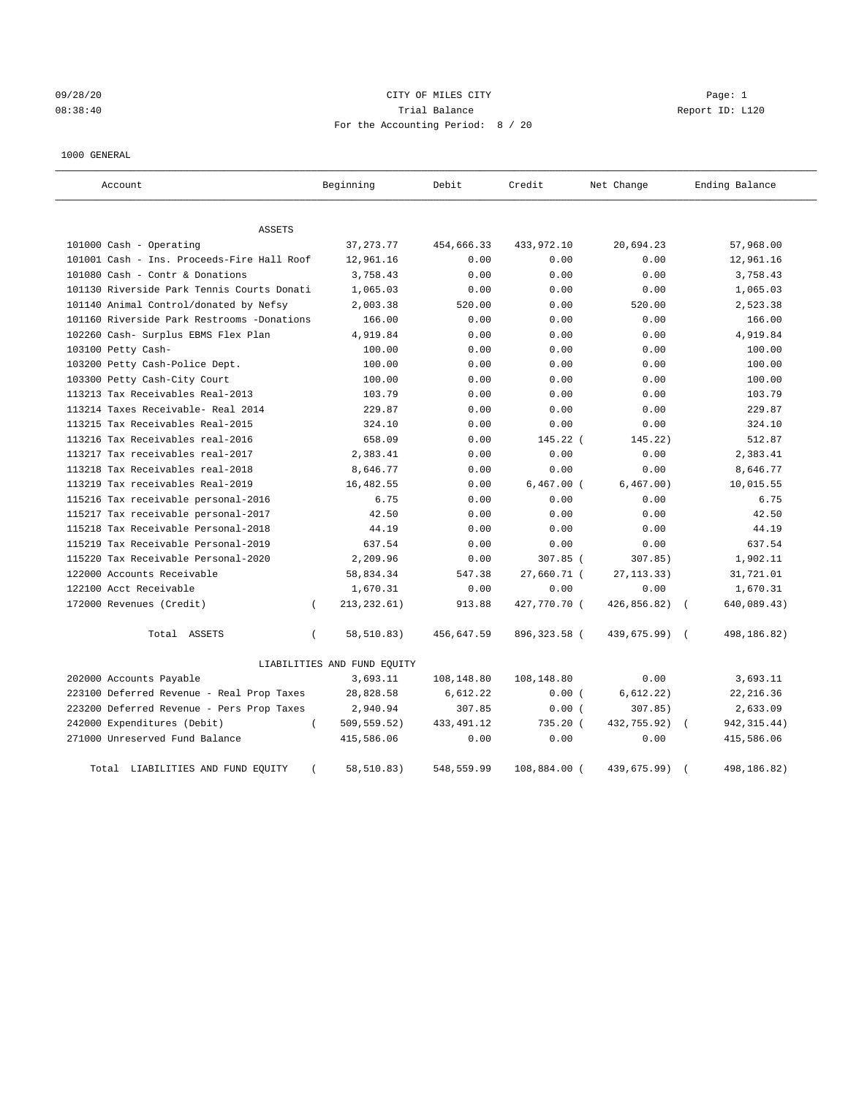# 09/28/20 Page: 1 Page: 1 08:38:40 Trial Balance Report ID: L120 For the Accounting Period: 8 / 20

## 1000 GENERAL

| Account                                    | Beginning                       | Debit       | Credit       | Net Change                | Ending Balance |
|--------------------------------------------|---------------------------------|-------------|--------------|---------------------------|----------------|
|                                            |                                 |             |              |                           |                |
| <b>ASSETS</b>                              |                                 |             |              |                           |                |
| 101000 Cash - Operating                    | 37, 273. 77                     | 454,666.33  | 433,972.10   | 20,694.23                 | 57,968.00      |
| 101001 Cash - Ins. Proceeds-Fire Hall Roof | 12,961.16                       | 0.00        | 0.00         | 0.00                      | 12,961.16      |
| 101080 Cash - Contr & Donations            | 3,758.43                        | 0.00        | 0.00         | 0.00                      | 3,758.43       |
| 101130 Riverside Park Tennis Courts Donati | 1,065.03                        | 0.00        | 0.00         | 0.00                      | 1,065.03       |
| 101140 Animal Control/donated by Nefsy     | 2,003.38                        | 520.00      | 0.00         | 520.00                    | 2,523.38       |
| 101160 Riverside Park Restrooms -Donations | 166.00                          | 0.00        | 0.00         | 0.00                      | 166.00         |
| 102260 Cash- Surplus EBMS Flex Plan        | 4,919.84                        | 0.00        | 0.00         | 0.00                      | 4,919.84       |
| 103100 Petty Cash-                         | 100.00                          | 0.00        | 0.00         | 0.00                      | 100.00         |
| 103200 Petty Cash-Police Dept.             | 100.00                          | 0.00        | 0.00         | 0.00                      | 100.00         |
| 103300 Petty Cash-City Court               | 100.00                          | 0.00        | 0.00         | 0.00                      | 100.00         |
| 113213 Tax Receivables Real-2013           | 103.79                          | 0.00        | 0.00         | 0.00                      | 103.79         |
| 113214 Taxes Receivable- Real 2014         | 229.87                          | 0.00        | 0.00         | 0.00                      | 229.87         |
| 113215 Tax Receivables Real-2015           | 324.10                          | 0.00        | 0.00         | 0.00                      | 324.10         |
| 113216 Tax Receivables real-2016           | 658.09                          | 0.00        | 145.22 (     | 145.22)                   | 512.87         |
| 113217 Tax receivables real-2017           | 2,383.41                        | 0.00        | 0.00         | 0.00                      | 2,383.41       |
| 113218 Tax Receivables real-2018           | 8,646.77                        | 0.00        | 0.00         | 0.00                      | 8,646.77       |
| 113219 Tax receivables Real-2019           | 16,482.55                       | 0.00        | $6,467.00$ ( | 6,467.00)                 | 10,015.55      |
| 115216 Tax receivable personal-2016        | 6.75                            | 0.00        | 0.00         | 0.00                      | 6.75           |
| 115217 Tax receivable personal-2017        | 42.50                           | 0.00        | 0.00         | 0.00                      | 42.50          |
| 115218 Tax Receivable Personal-2018        | 44.19                           | 0.00        | 0.00         | 0.00                      | 44.19          |
| 115219 Tax Receivable Personal-2019        | 637.54                          | 0.00        | 0.00         | 0.00                      | 637.54         |
| 115220 Tax Receivable Personal-2020        | 2,209.96                        | 0.00        | 307.85 (     | 307.85)                   | 1,902.11       |
| 122000 Accounts Receivable                 | 58,834.34                       | 547.38      | 27,660.71 (  | 27, 113.33)               | 31,721.01      |
| 122100 Acct Receivable                     | 1,670.31                        | 0.00        | 0.00         | 0.00                      | 1,670.31       |
| 172000 Revenues (Credit)                   | 213, 232.61)<br>$\left($        | 913.88      | 427,770.70 ( | 426,856.82)               | 640,089.43)    |
| Total ASSETS                               | 58,510.83)<br>$\left($          | 456,647.59  | 896,323.58 ( | 439,675.99)<br>$\sqrt{2}$ | 498,186.82)    |
|                                            | LIABILITIES AND FUND EQUITY     |             |              |                           |                |
| 202000 Accounts Payable                    | 3,693.11                        | 108,148.80  | 108,148.80   | 0.00                      | 3,693.11       |
| 223100 Deferred Revenue - Real Prop Taxes  | 28,828.58                       | 6,612.22    | 0.00(        | 6,612.22)                 | 22, 216.36     |
| 223200 Deferred Revenue - Pers Prop Taxes  | 2,940.94                        | 307.85      | 0.00(        | 307.85                    | 2,633.09       |
| 242000 Expenditures (Debit)                | $\overline{(\ }$<br>509,559.52) | 433, 491.12 | 735.20 (     | 432,755.92)               | 942, 315.44)   |
| 271000 Unreserved Fund Balance             | 415,586.06                      | 0.00        | 0.00         | 0.00                      | 415,586.06     |
| LIABILITIES AND FUND EQUITY<br>Total       | 58,510.83)                      | 548,559.99  | 108,884.00   | 439,675.99)               | 498,186.82)    |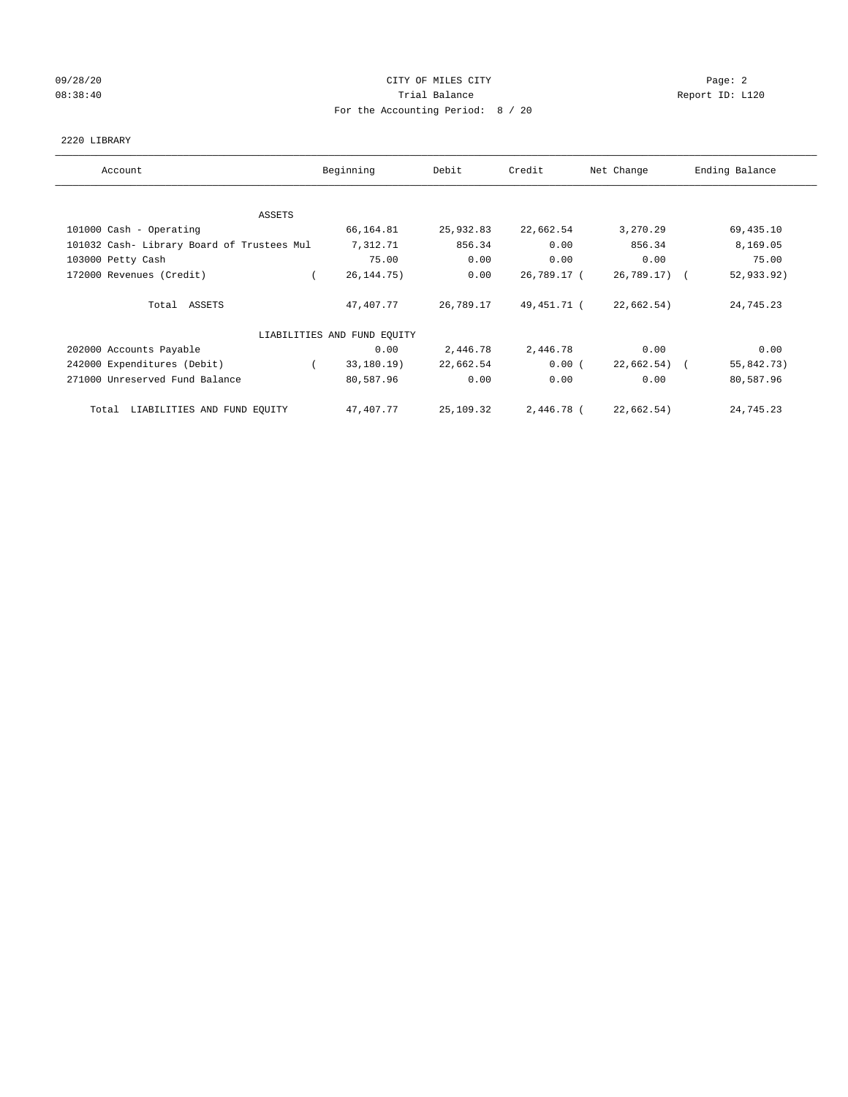## 09/28/20 Page: 2 CITY OF MILES CITY 08:38:40 Report ID: L120 For the Accounting Period: 8 / 20

## 2220 LIBRARY

| Account                                    | Beginning                   | Debit     | Credit      | Net Change    | Ending Balance |
|--------------------------------------------|-----------------------------|-----------|-------------|---------------|----------------|
|                                            |                             |           |             |               |                |
| ASSETS                                     |                             |           |             |               |                |
| 101000 Cash - Operating                    | 66,164.81                   | 25,932.83 | 22,662.54   | 3,270.29      | 69,435.10      |
| 101032 Cash- Library Board of Trustees Mul | 7,312.71                    | 856.34    | 0.00        | 856.34        | 8,169.05       |
| 103000 Petty Cash                          | 75.00                       | 0.00      | 0.00        | 0.00          | 75.00          |
| 172000 Revenues (Credit)                   | 26, 144. 75)                | 0.00      | 26,789.17 ( | 26,789.17) (  | 52,933.92)     |
| Total ASSETS                               | 47,407.77                   | 26,789.17 | 49,451.71 ( | 22,662.54)    | 24,745.23      |
|                                            | LIABILITIES AND FUND EQUITY |           |             |               |                |
| 202000 Accounts Payable                    | 0.00                        | 2,446.78  | 2,446.78    | 0.00          | 0.00           |
| 242000 Expenditures (Debit)                | 33,180.19)                  | 22,662.54 | 0.00(       | $22,662.54$ ( | 55,842.73)     |
| 271000 Unreserved Fund Balance             | 80,587.96                   | 0.00      | 0.00        | 0.00          | 80,587.96      |
| LIABILITIES AND FUND EQUITY<br>Total       | 47,407.77                   | 25,109.32 | 2,446.78 (  | 22,662.54)    | 24,745.23      |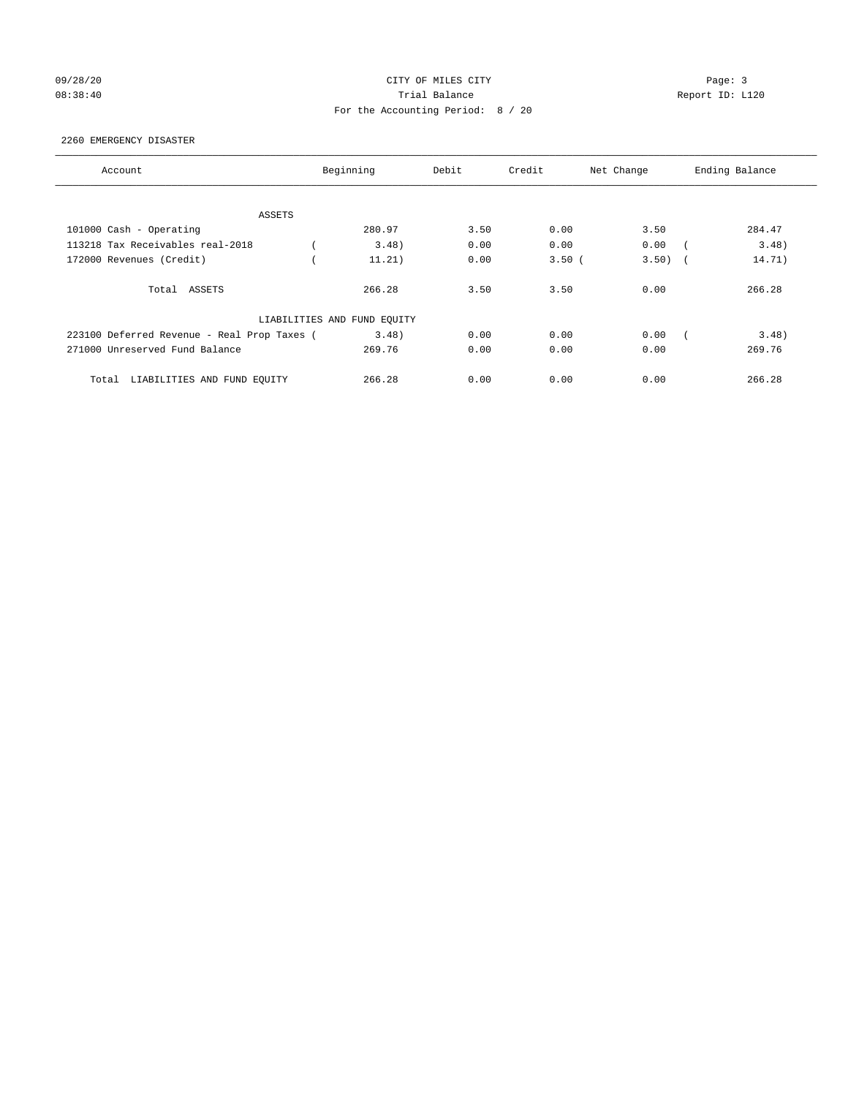## 09/28/20 Page: 3 Page: 3 Page: 3 08:38:40 Trial Balance Report ID: L120 For the Accounting Period: 8 / 20

## 2260 EMERGENCY DISASTER

| Account                                     | Beginning                   | Debit | Credit | Net Change | Ending Balance |        |
|---------------------------------------------|-----------------------------|-------|--------|------------|----------------|--------|
|                                             |                             |       |        |            |                |        |
| ASSETS                                      |                             |       |        |            |                |        |
| 101000 Cash - Operating                     | 280.97                      | 3.50  | 0.00   | 3.50       |                | 284.47 |
| 113218 Tax Receivables real-2018            | 3.48)                       | 0.00  | 0.00   | 0.00       |                | 3.48)  |
| 172000 Revenues (Credit)                    | 11.21)                      | 0.00  | 3.50(  | 3.50)      |                | 14.71) |
| Total ASSETS                                | 266.28                      | 3.50  | 3.50   | 0.00       |                | 266.28 |
|                                             | LIABILITIES AND FUND EQUITY |       |        |            |                |        |
| 223100 Deferred Revenue - Real Prop Taxes ( | 3.48)                       | 0.00  | 0.00   | 0.00       |                | 3.48)  |
| 271000 Unreserved Fund Balance              | 269.76                      | 0.00  | 0.00   | 0.00       |                | 269.76 |
| LIABILITIES AND FUND EQUITY<br>Total        | 266.28                      | 0.00  | 0.00   | 0.00       |                | 266.28 |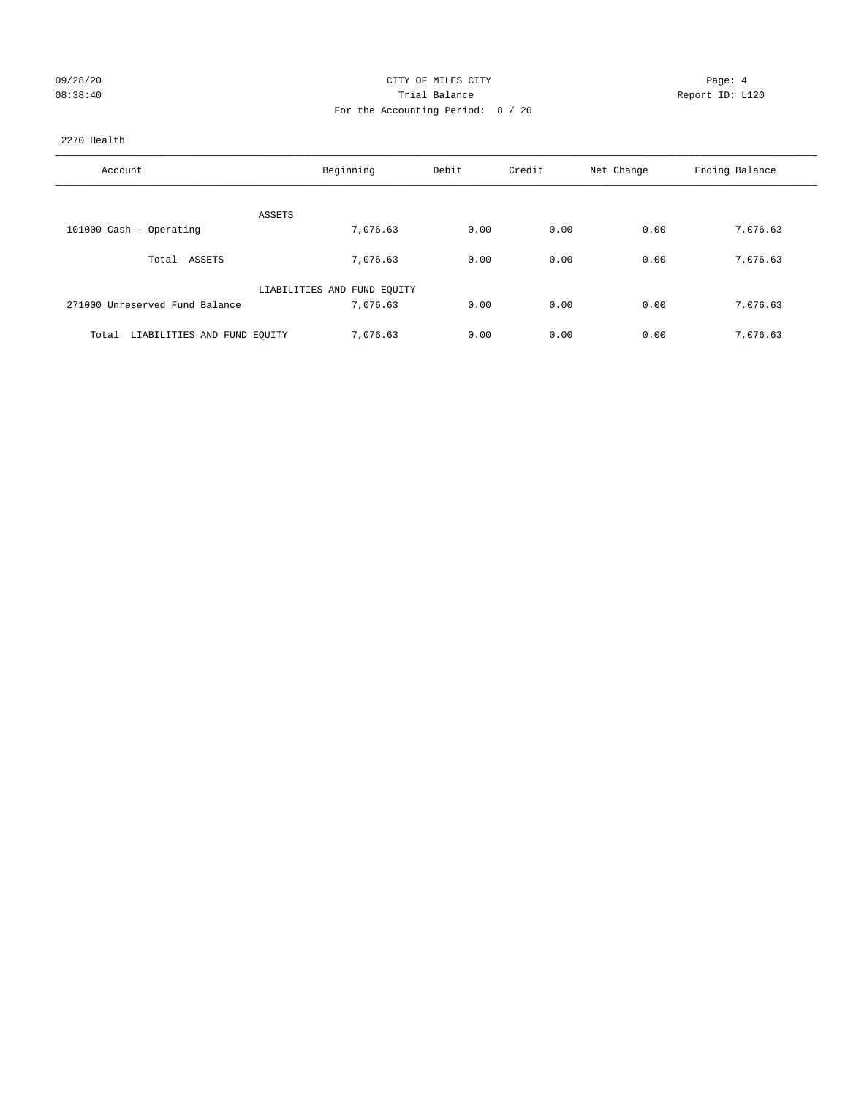| 09/28/20 |  |
|----------|--|
| 08:38:40 |  |

## CITY OF MILES CITY CONTROL CONTROL CONTROL CONTROL CONTROL CONTROL CONTROL CONTROL CONTROL CONTROL CONTROL CONTROL CONTROL CONTROL CONTROL CONTROL CONTROL CONTROL CONTROL CONTROL CONTROL CONTROL CONTROL CONTROL CONTROL CON 08:38:40 Trial Balance Trial Balance Report ID: L120 For the Accounting Period: 8 / 20

# 2270 Health

| Account                              | Beginning                   | Debit | Credit | Net Change | Ending Balance |
|--------------------------------------|-----------------------------|-------|--------|------------|----------------|
| ASSETS                               |                             |       |        |            |                |
| 101000 Cash - Operating              | 7,076.63                    | 0.00  | 0.00   | 0.00       | 7,076.63       |
| ASSETS<br>Total                      | 7,076.63                    | 0.00  | 0.00   | 0.00       | 7,076.63       |
|                                      | LIABILITIES AND FUND EQUITY |       |        |            |                |
| 271000 Unreserved Fund Balance       | 7,076.63                    | 0.00  | 0.00   | 0.00       | 7,076.63       |
| LIABILITIES AND FUND EQUITY<br>Total | 7,076.63                    | 0.00  | 0.00   | 0.00       | 7,076.63       |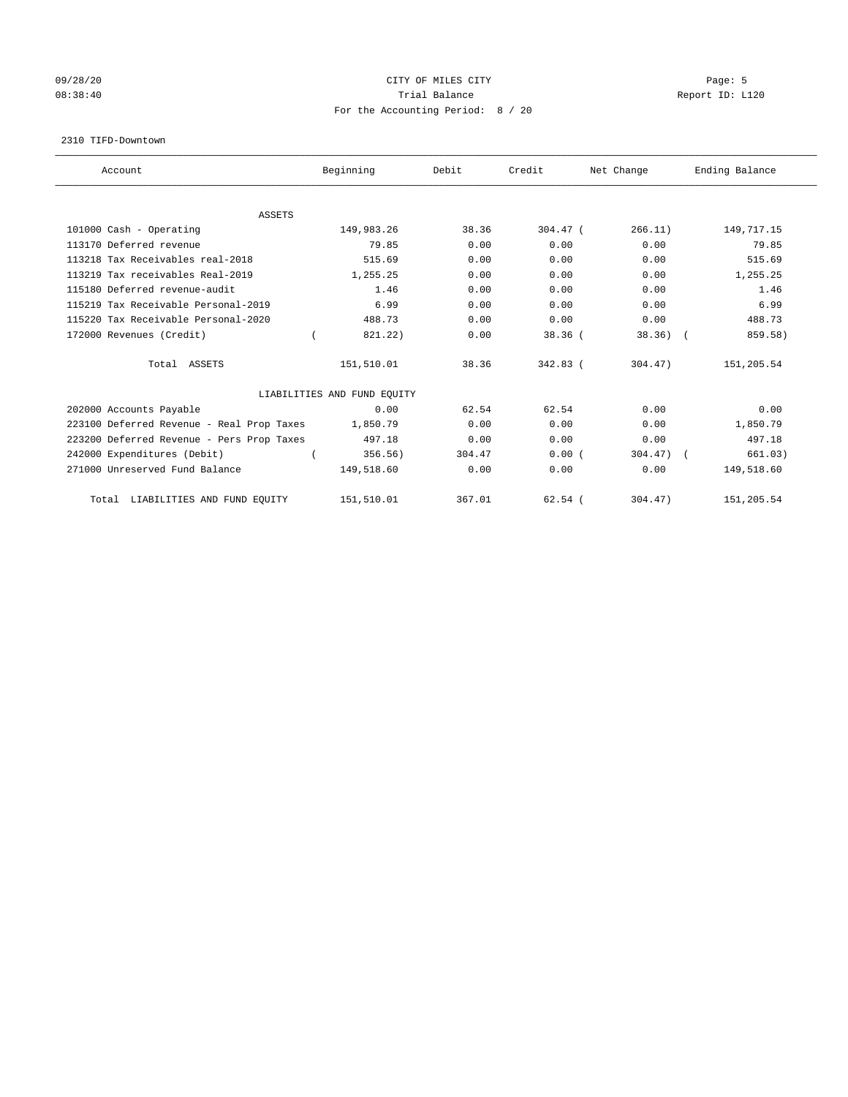## 09/28/20 Page: 5 Page: 5 Page: 5 Page: 5 Page: 5 Page: 5 Page: 5 Page: 5 Page: 5 Page: 5 Page: 5 Page: 5 Page: 5 08:38:40 Report ID: L120 For the Accounting Period: 8 / 20

#### 2310 TIFD-Downtown

| Account                                   | Beginning                   | Debit  | Credit     | Net Change | Ending Balance |
|-------------------------------------------|-----------------------------|--------|------------|------------|----------------|
|                                           |                             |        |            |            |                |
| <b>ASSETS</b><br>101000 Cash - Operating  | 149,983.26                  | 38.36  | $304.47$ ( | 266.11)    | 149, 717. 15   |
|                                           |                             |        |            |            |                |
| 113170 Deferred revenue                   | 79.85                       | 0.00   | 0.00       | 0.00       | 79.85          |
| 113218 Tax Receivables real-2018          | 515.69                      | 0.00   | 0.00       | 0.00       | 515.69         |
| 113219 Tax receivables Real-2019          | 1,255.25                    | 0.00   | 0.00       | 0.00       | 1,255.25       |
| 115180 Deferred revenue-audit             | 1.46                        | 0.00   | 0.00       | 0.00       | 1.46           |
| 115219 Tax Receivable Personal-2019       | 6.99                        | 0.00   | 0.00       | 0.00       | 6.99           |
| 115220 Tax Receivable Personal-2020       | 488.73                      | 0.00   | 0.00       | 0.00       | 488.73         |
| 172000 Revenues (Credit)                  | 821.22)                     | 0.00   | 38.36(     | 38.36)     | 859.58)        |
| Total ASSETS                              | 151,510.01                  | 38.36  | $342.83$ ( | 304.47     | 151,205.54     |
|                                           | LIABILITIES AND FUND EQUITY |        |            |            |                |
| 202000 Accounts Payable                   | 0.00                        | 62.54  | 62.54      | 0.00       | 0.00           |
| 223100 Deferred Revenue - Real Prop Taxes | 1,850.79                    | 0.00   | 0.00       | 0.00       | 1,850.79       |
| 223200 Deferred Revenue - Pers Prop Taxes | 497.18                      | 0.00   | 0.00       | 0.00       | 497.18         |
| 242000 Expenditures (Debit)               | 356.56                      | 304.47 | 0.00(      | 304.47)    | 661.03)        |
| 271000 Unreserved Fund Balance            | 149,518.60                  | 0.00   | 0.00       | 0.00       | 149,518.60     |
| Total LIABILITIES AND FUND EQUITY         | 151,510.01                  | 367.01 | $62.54$ (  | 304.47)    | 151,205.54     |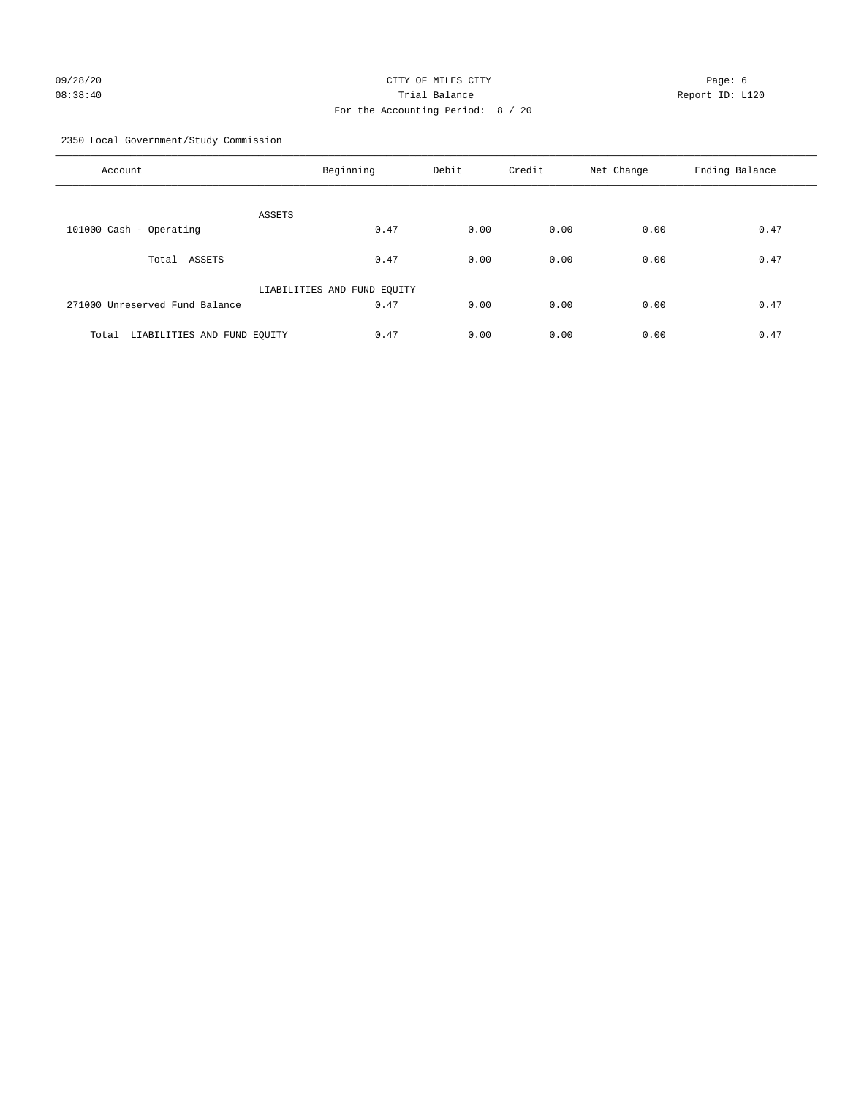## 09/28/20 Page: 6 CITY OF MILES CITY CHANNEL CITY 08:38:40 Trial Balance Report ID: L120 For the Accounting Period: 8 / 20

2350 Local Government/Study Commission

| Account                              | Beginning                   | Debit | Credit | Net Change | Ending Balance |
|--------------------------------------|-----------------------------|-------|--------|------------|----------------|
| ASSETS                               |                             |       |        |            |                |
| 101000 Cash - Operating              | 0.47                        | 0.00  | 0.00   | 0.00       | 0.47           |
| Total ASSETS                         | 0.47                        | 0.00  | 0.00   | 0.00       | 0.47           |
|                                      | LIABILITIES AND FUND EQUITY |       |        |            |                |
| 271000 Unreserved Fund Balance       | 0.47                        | 0.00  | 0.00   | 0.00       | 0.47           |
| LIABILITIES AND FUND EQUITY<br>Total | 0.47                        | 0.00  | 0.00   | 0.00       | 0.47           |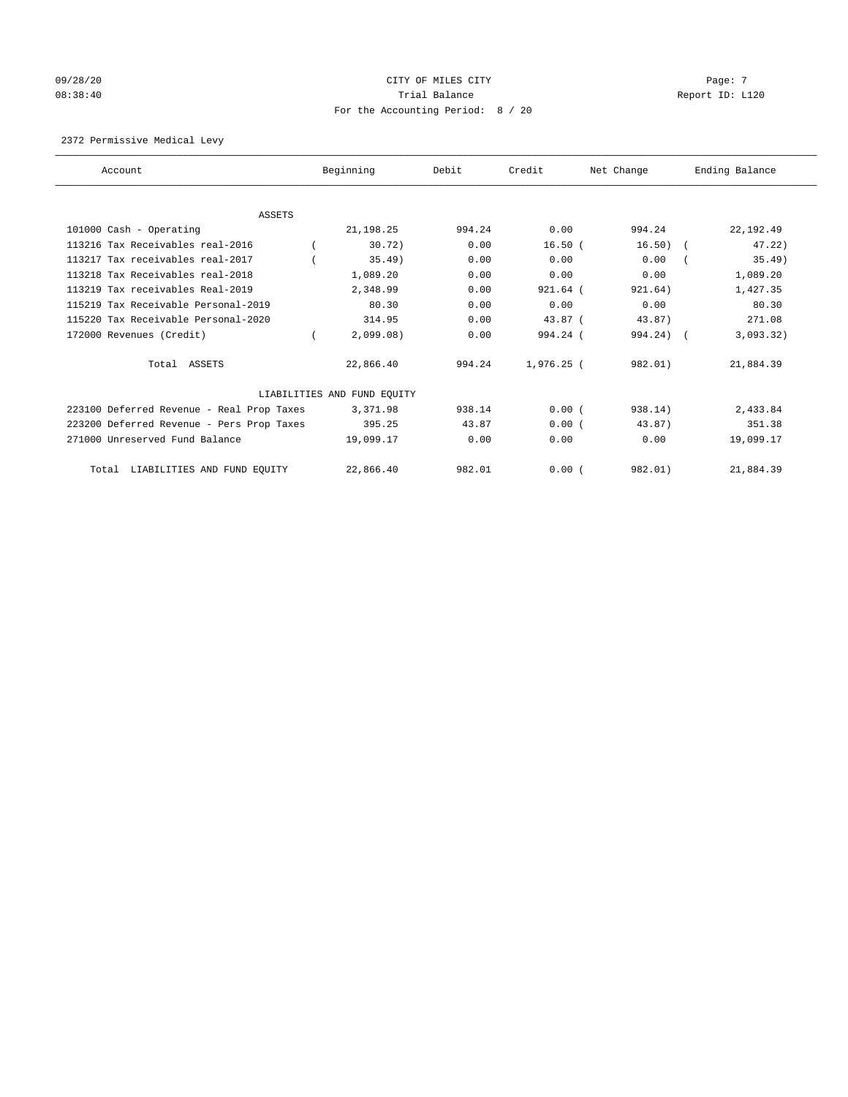# $O(28/20)$  Page: 7 08:38:40 Trial Balance Report ID: L120 For the Accounting Period: 8 / 20

## 2372 Permissive Medical Levy

| Account                                   | Beginning                   | Debit  | Credit     | Net Change  | Ending Balance |           |
|-------------------------------------------|-----------------------------|--------|------------|-------------|----------------|-----------|
|                                           |                             |        |            |             |                |           |
| ASSETS<br>101000 Cash - Operating         | 21, 198. 25                 | 994.24 | 0.00       | 994.24      | 22, 192.49     |           |
|                                           |                             |        |            |             |                |           |
| 113216 Tax Receivables real-2016          | 30.72)                      | 0.00   | $16.50$ (  | 16.50)      |                | 47.22)    |
| 113217 Tax receivables real-2017          | $35.49$ )                   | 0.00   | 0.00       | 0.00        |                | 35.49)    |
| 113218 Tax Receivables real-2018          | 1,089.20                    | 0.00   | 0.00       | 0.00        |                | 1,089.20  |
| 113219 Tax receivables Real-2019          | 2,348.99                    | 0.00   | 921.64 (   | 921.64)     |                | 1,427.35  |
| 115219 Tax Receivable Personal-2019       | 80.30                       | 0.00   | 0.00       | 0.00        |                | 80.30     |
| 115220 Tax Receivable Personal-2020       | 314.95                      | 0.00   | $43.87$ (  | 43.87)      |                | 271.08    |
| 172000 Revenues (Credit)                  | 2,099.08)                   | 0.00   | 994.24 (   | $994.24)$ ( |                | 3,093.32) |
| Total ASSETS                              | 22,866.40                   | 994.24 | 1,976.25 ( | 982.01)     | 21,884.39      |           |
|                                           | LIABILITIES AND FUND EQUITY |        |            |             |                |           |
| 223100 Deferred Revenue - Real Prop Taxes | 3,371.98                    | 938.14 | 0.00(      | 938.14)     |                | 2,433.84  |
| 223200 Deferred Revenue - Pers Prop Taxes | 395.25                      | 43.87  | 0.00(      | 43.87)      |                | 351.38    |
| 271000 Unreserved Fund Balance            | 19,099.17                   | 0.00   | 0.00       | 0.00        | 19,099.17      |           |
| LIABILITIES AND FUND EQUITY<br>Total      | 22,866.40                   | 982.01 | 0.00(      | 982.01)     | 21,884.39      |           |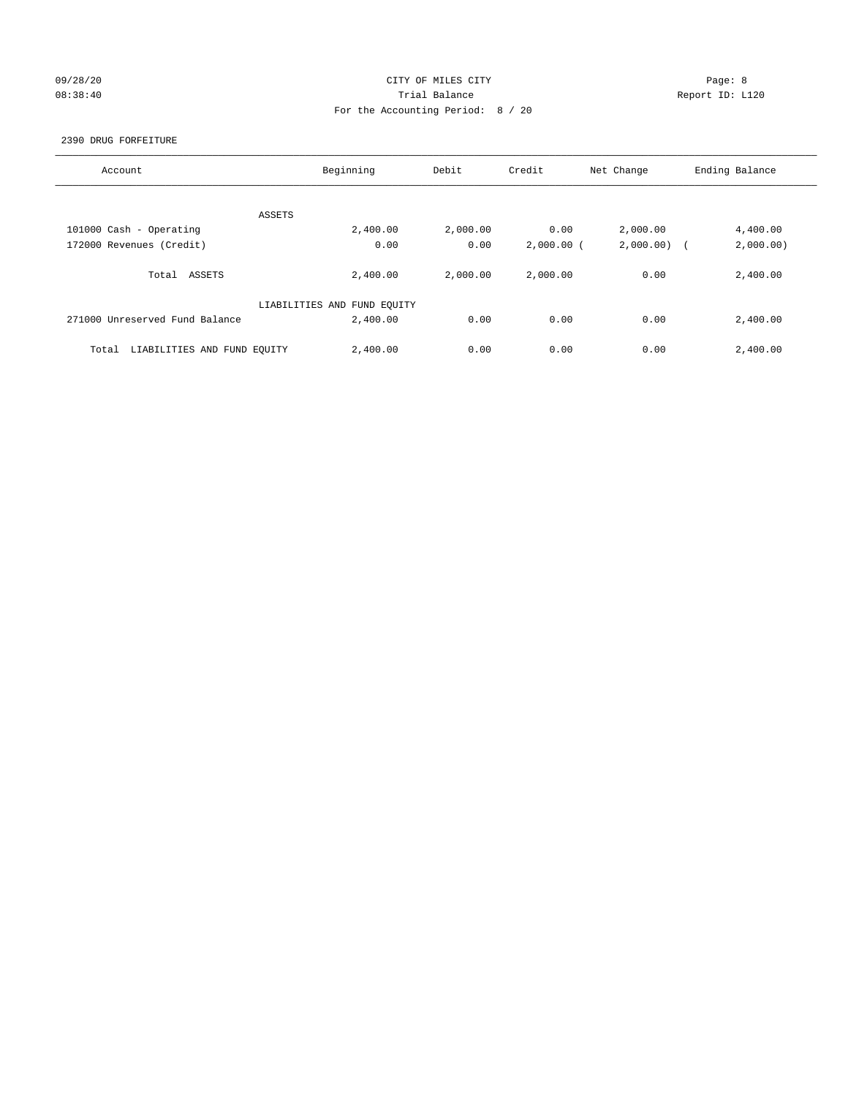## 09/28/20 Page: 8 CITY OF MILES CITY 08:38:40 Trial Balance Report ID: L120 For the Accounting Period: 8 / 20

## 2390 DRUG FORFEITURE

| Account                              | Beginning                   | Debit    | Credit       | Net Change | Ending Balance |
|--------------------------------------|-----------------------------|----------|--------------|------------|----------------|
|                                      |                             |          |              |            |                |
|                                      | ASSETS                      |          |              |            |                |
| 101000 Cash - Operating              | 2,400.00                    | 2,000.00 | 0.00         | 2,000.00   | 4,400.00       |
| 172000 Revenues (Credit)             | 0.00                        | 0.00     | $2,000.00$ ( | 2,000.00)  | 2,000.00)      |
|                                      |                             |          |              |            |                |
| Total<br>ASSETS                      | 2,400.00                    | 2,000.00 | 2,000.00     | 0.00       | 2,400.00       |
|                                      |                             |          |              |            |                |
|                                      | LIABILITIES AND FUND EQUITY |          |              |            |                |
| 271000 Unreserved Fund Balance       | 2,400.00                    | 0.00     | 0.00         | 0.00       | 2,400.00       |
|                                      |                             |          |              |            |                |
| LIABILITIES AND FUND EQUITY<br>Total | 2,400.00                    | 0.00     | 0.00         | 0.00       | 2,400.00       |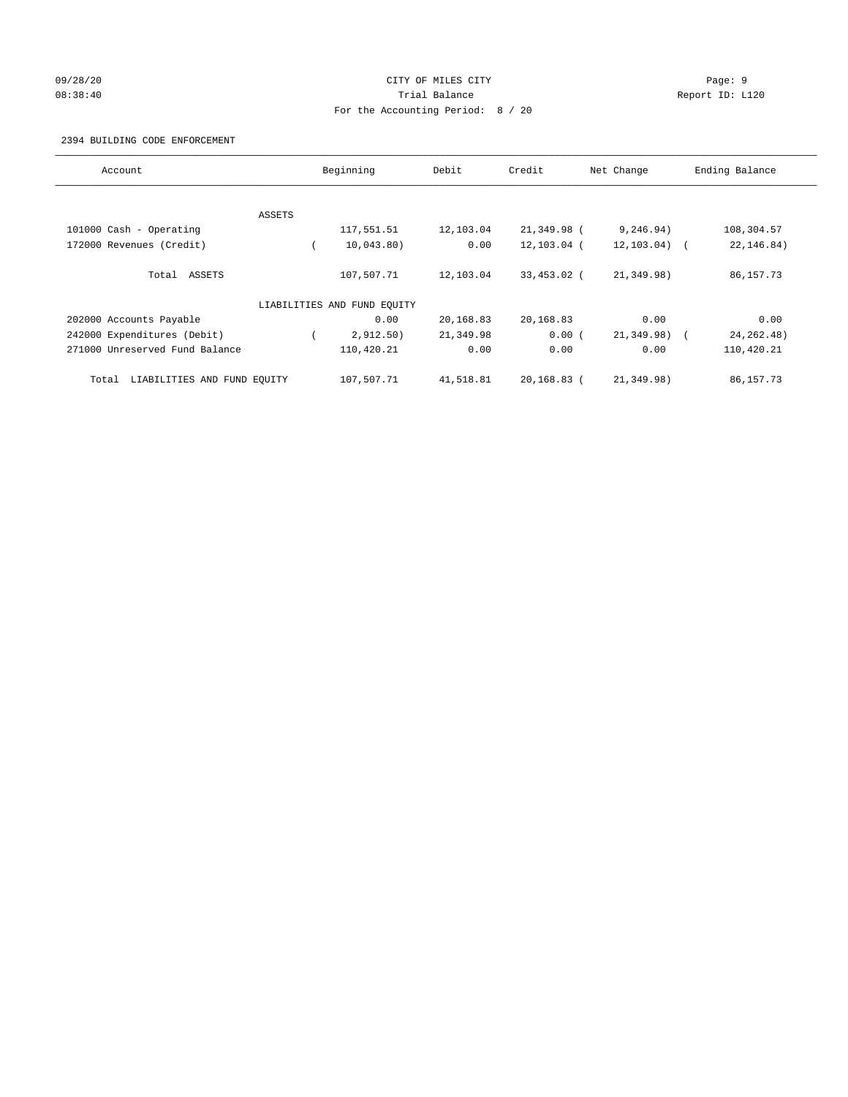## 09/28/20 Page: 9 CITY OF MILES CITY 08:38:40 Trial Balance Report ID: L120 For the Accounting Period: 8 / 20

#### 2394 BUILDING CODE ENFORCEMENT

| Account                              | Beginning |                             | Debit     | Credit      | Net Change      | Ending Balance |
|--------------------------------------|-----------|-----------------------------|-----------|-------------|-----------------|----------------|
|                                      |           |                             |           |             |                 |                |
|                                      | ASSETS    |                             |           |             |                 |                |
| 101000 Cash - Operating              |           | 117,551.51                  | 12,103.04 | 21,349.98 ( | 9, 246.94)      | 108,304.57     |
| 172000 Revenues (Credit)             |           | 10,043.80)                  | 0.00      | 12,103.04 ( | $12, 103.04)$ ( | 22, 146.84)    |
| Total ASSETS                         |           | 107,507.71                  | 12,103.04 | 33,453.02 ( | 21,349.98)      | 86, 157. 73    |
|                                      |           | LIABILITIES AND FUND EQUITY |           |             |                 |                |
| 202000 Accounts Payable              |           | 0.00                        | 20,168.83 | 20,168.83   | 0.00            | 0.00           |
| 242000 Expenditures (Debit)          |           | 2,912.50)                   | 21,349.98 | 0.00(       | 21,349.98)      | 24, 262. 48)   |
| 271000 Unreserved Fund Balance       |           | 110,420.21                  | 0.00      | 0.00        | 0.00            | 110,420.21     |
| LIABILITIES AND FUND EQUITY<br>Total |           | 107,507.71                  | 41,518.81 | 20,168.83 ( | 21,349.98)      | 86, 157. 73    |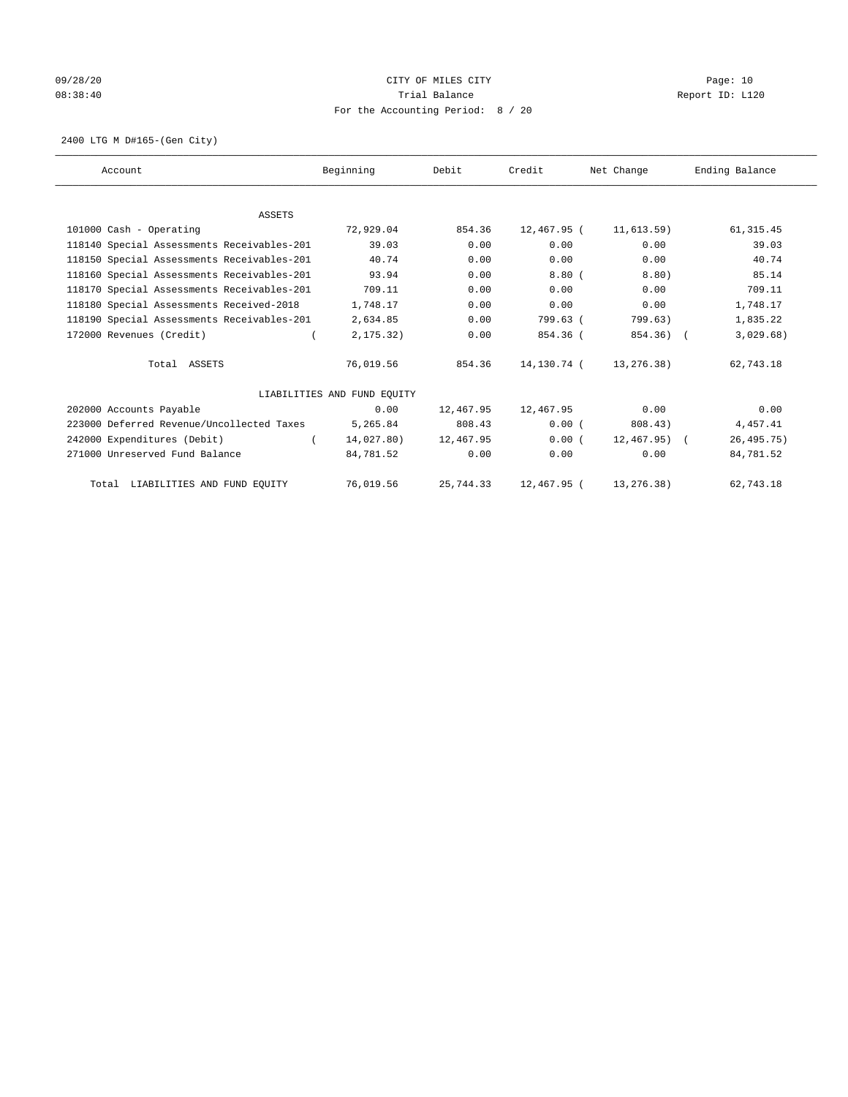## 09/28/20 Page: 10 08:38:40 Trial Balance Report ID: L120 For the Accounting Period: 8 / 20

2400 LTG M D#165-(Gen City)

| Account                                    | Beginning                   | Debit     | Credit      | Net Change      | Ending Balance |
|--------------------------------------------|-----------------------------|-----------|-------------|-----------------|----------------|
|                                            |                             |           |             |                 |                |
| <b>ASSETS</b>                              |                             |           |             |                 |                |
| 101000 Cash - Operating                    | 72,929.04                   | 854.36    | 12,467.95 ( | 11,613.59)      | 61, 315.45     |
| 118140 Special Assessments Receivables-201 | 39.03                       | 0.00      | 0.00        | 0.00            | 39.03          |
| 118150 Special Assessments Receivables-201 | 40.74                       | 0.00      | 0.00        | 0.00            | 40.74          |
| 118160 Special Assessments Receivables-201 | 93.94                       | 0.00      | 8.80(       | 8.80)           | 85.14          |
| 118170 Special Assessments Receivables-201 | 709.11                      | 0.00      | 0.00        | 0.00            | 709.11         |
| 118180 Special Assessments Received-2018   | 1,748.17                    | 0.00      | 0.00        | 0.00            | 1,748.17       |
| 118190 Special Assessments Receivables-201 | 2,634.85                    | 0.00      | 799.63 (    | 799.63)         | 1,835.22       |
| 172000 Revenues (Credit)                   | 2, 175.32)                  | 0.00      | 854.36 (    | 854.36) (       | 3,029.68)      |
| Total ASSETS                               | 76,019.56                   | 854.36    | 14,130.74 ( | 13,276.38)      | 62,743.18      |
|                                            | LIABILITIES AND FUND EQUITY |           |             |                 |                |
| 202000 Accounts Payable                    | 0.00                        | 12,467.95 | 12,467.95   | 0.00            | 0.00           |
| 223000 Deferred Revenue/Uncollected Taxes  | 5,265.84                    | 808.43    | 0.00(       | 808.43)         | 4,457.41       |
| 242000 Expenditures (Debit)                | 14,027.80)                  | 12,467.95 | 0.00(       | $12,467.95$ ) ( | 26, 495.75)    |
| 271000 Unreserved Fund Balance             | 84,781.52                   | 0.00      | 0.00        | 0.00            | 84,781.52      |
| Total LIABILITIES AND FUND EQUITY          | 76,019.56                   | 25,744.33 | 12,467.95 ( | 13,276.38)      | 62,743.18      |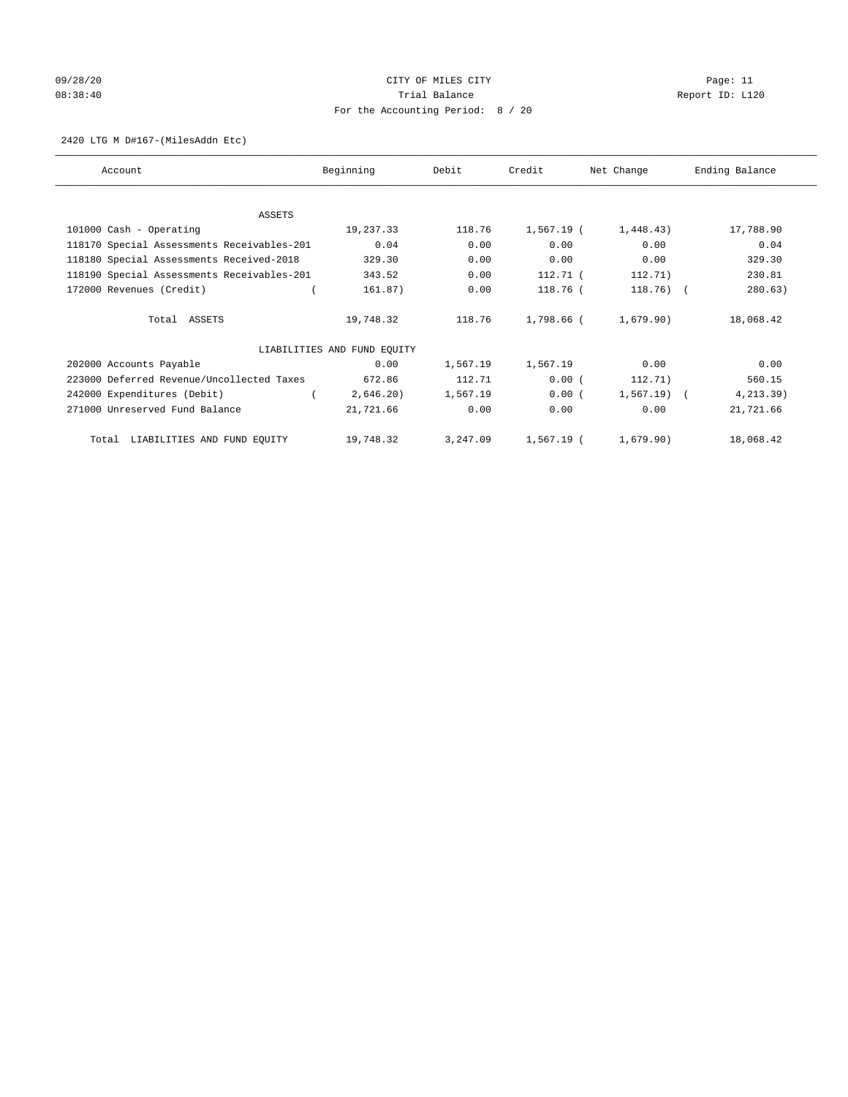## 09/28/20 Page: 11 CITY OF MILES CITY CONTROL Page: 11 08:38:40 Trial Balance Report ID: L120 For the Accounting Period: 8 / 20

#### 2420 LTG M D#167-(MilesAddn Etc)

| Account                                    | Beginning                   | Debit    | Credit       | Net Change   | Ending Balance |
|--------------------------------------------|-----------------------------|----------|--------------|--------------|----------------|
|                                            |                             |          |              |              |                |
| ASSETS                                     |                             |          |              |              |                |
| 101000 Cash - Operating                    | 19,237.33                   | 118.76   | $1,567.19$ ( | 1,448.43)    | 17,788.90      |
| 118170 Special Assessments Receivables-201 | 0.04                        | 0.00     | 0.00         | 0.00         | 0.04           |
| 118180 Special Assessments Received-2018   | 329.30                      | 0.00     | 0.00         | 0.00         | 329.30         |
| 118190 Special Assessments Receivables-201 | 343.52                      | 0.00     | 112.71 (     | 112.71)      | 230.81         |
| 172000 Revenues (Credit)                   | 161.87)                     | 0.00     | 118.76 (     | $118.76$ (   | 280.63)        |
| Total ASSETS                               | 19,748.32                   | 118.76   | 1,798.66 (   | 1,679.90)    | 18,068.42      |
|                                            | LIABILITIES AND FUND EQUITY |          |              |              |                |
| 202000 Accounts Payable                    | 0.00                        | 1,567.19 | 1,567.19     | 0.00         | 0.00           |
| 223000 Deferred Revenue/Uncollected Taxes  | 672.86                      | 112.71   | 0.00(        | 112.71)      | 560.15         |
| 242000 Expenditures (Debit)                | 2,646.20                    | 1,567.19 | 0.00(        | $1,567.19$ ( | 4, 213.39)     |
| 271000 Unreserved Fund Balance             | 21,721.66                   | 0.00     | 0.00         | 0.00         | 21,721.66      |
| Total LIABILITIES AND FUND EQUITY          | 19,748.32                   | 3,247.09 | $1,567.19$ ( | 1,679.90)    | 18,068.42      |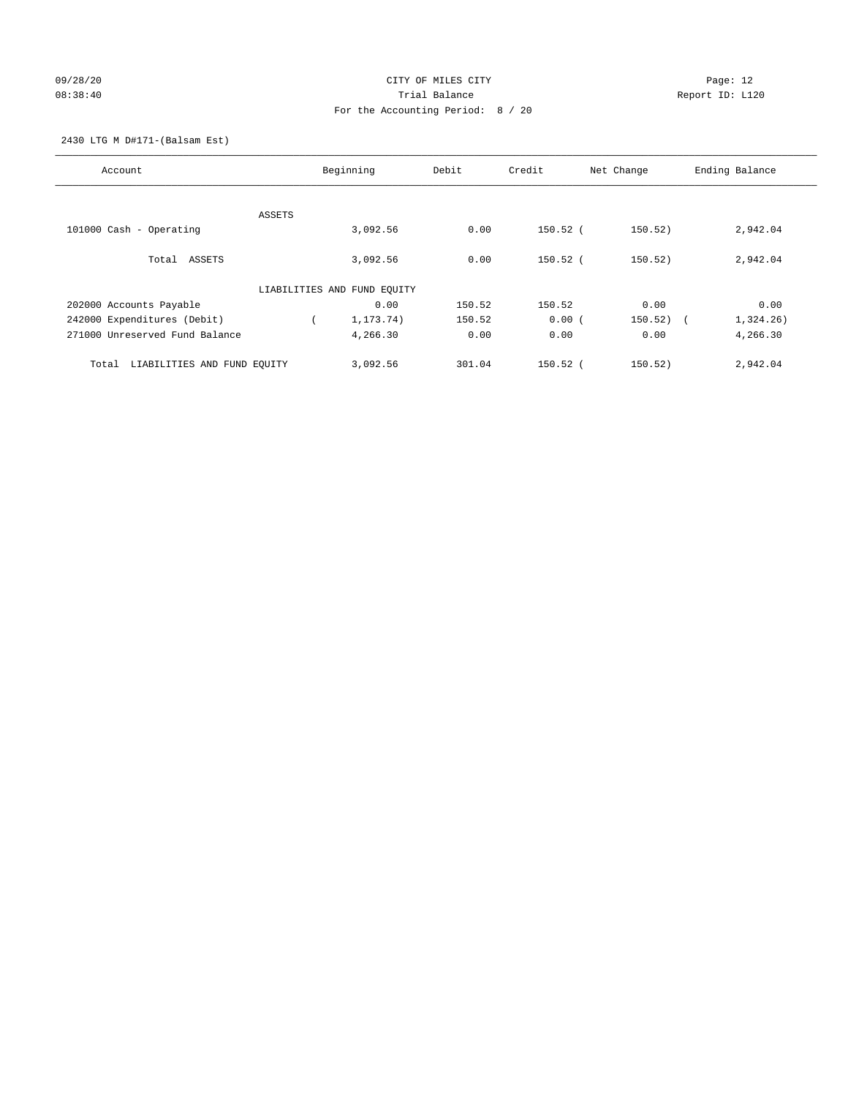## 09/28/20 Page: 12 08:38:40 Trial Balance Report ID: L120 For the Accounting Period: 8 / 20

2430 LTG M D#171-(Balsam Est)

| Account                              | Beginning                   | Debit  | Credit     | Net Change | Ending Balance          |
|--------------------------------------|-----------------------------|--------|------------|------------|-------------------------|
| ASSETS                               |                             |        |            |            |                         |
| 101000 Cash - Operating              | 3,092.56                    | 0.00   | $150.52$ ( | 150.52)    | 2,942.04                |
| Total ASSETS                         | 3,092.56                    | 0.00   | $150.52$ ( | 150.52)    | 2,942.04                |
|                                      | LIABILITIES AND FUND EQUITY |        |            |            |                         |
| 202000 Accounts Payable              | 0.00                        | 150.52 | 150.52     | 0.00       | 0.00                    |
| 242000 Expenditures (Debit)          | 1, 173. 74)                 | 150.52 | 0.00(      | 150.52)    | 1,324.26)<br>$\sqrt{2}$ |
| 271000 Unreserved Fund Balance       | 4,266.30                    | 0.00   | 0.00       | 0.00       | 4,266.30                |
| LIABILITIES AND FUND EQUITY<br>Total | 3,092.56                    | 301.04 | $150.52$ ( | 150.52)    | 2,942.04                |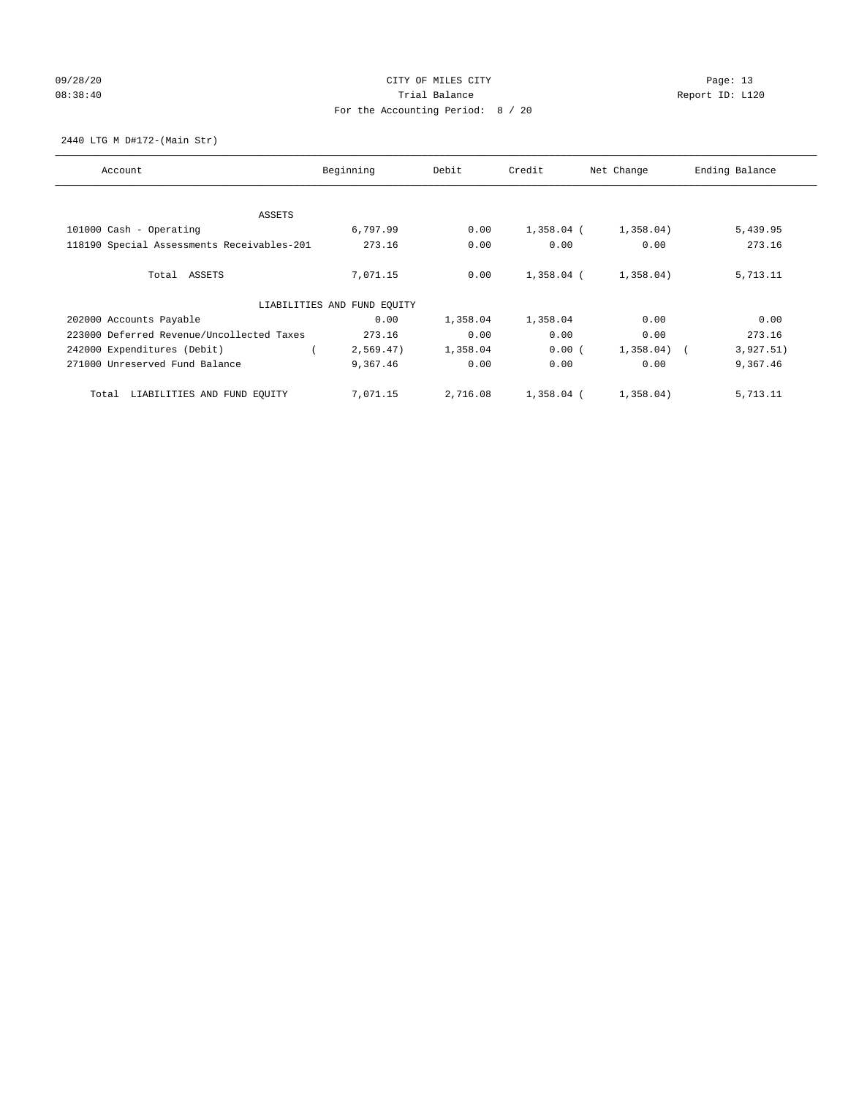## 09/28/20 Page: 13 08:38:40 Trial Balance Report ID: L120 For the Accounting Period: 8 / 20

2440 LTG M D#172-(Main Str)

| Account                                    | Beginning                   | Debit    | Credit       | Net Change              | Ending Balance |
|--------------------------------------------|-----------------------------|----------|--------------|-------------------------|----------------|
| ASSETS                                     |                             |          |              |                         |                |
| 101000 Cash - Operating                    | 6,797.99                    | 0.00     | $1,358.04$ ( | 1,358.04)               | 5,439.95       |
| 118190 Special Assessments Receivables-201 | 273.16                      | 0.00     | 0.00         | 0.00                    | 273.16         |
|                                            |                             |          |              |                         |                |
| Total ASSETS                               | 7,071.15                    | 0.00     | 1,358.04 (   | 1,358.04)               | 5,713.11       |
|                                            | LIABILITIES AND FUND EQUITY |          |              |                         |                |
| 202000 Accounts Payable                    | 0.00                        | 1,358.04 | 1,358.04     | 0.00                    | 0.00           |
| 223000 Deferred Revenue/Uncollected Taxes  | 273.16                      | 0.00     | 0.00         | 0.00                    | 273.16         |
| 242000 Expenditures (Debit)                | 2,569.47)                   | 1,358.04 | 0.00(        | 1,358.04)<br>$\sqrt{2}$ | 3,927.51)      |
| 271000 Unreserved Fund Balance             | 9,367.46                    | 0.00     | 0.00         | 0.00                    | 9,367.46       |
| LIABILITIES AND FUND EQUITY<br>Total       | 7,071.15                    | 2,716.08 | 1,358.04 (   | 1,358.04)               | 5,713.11       |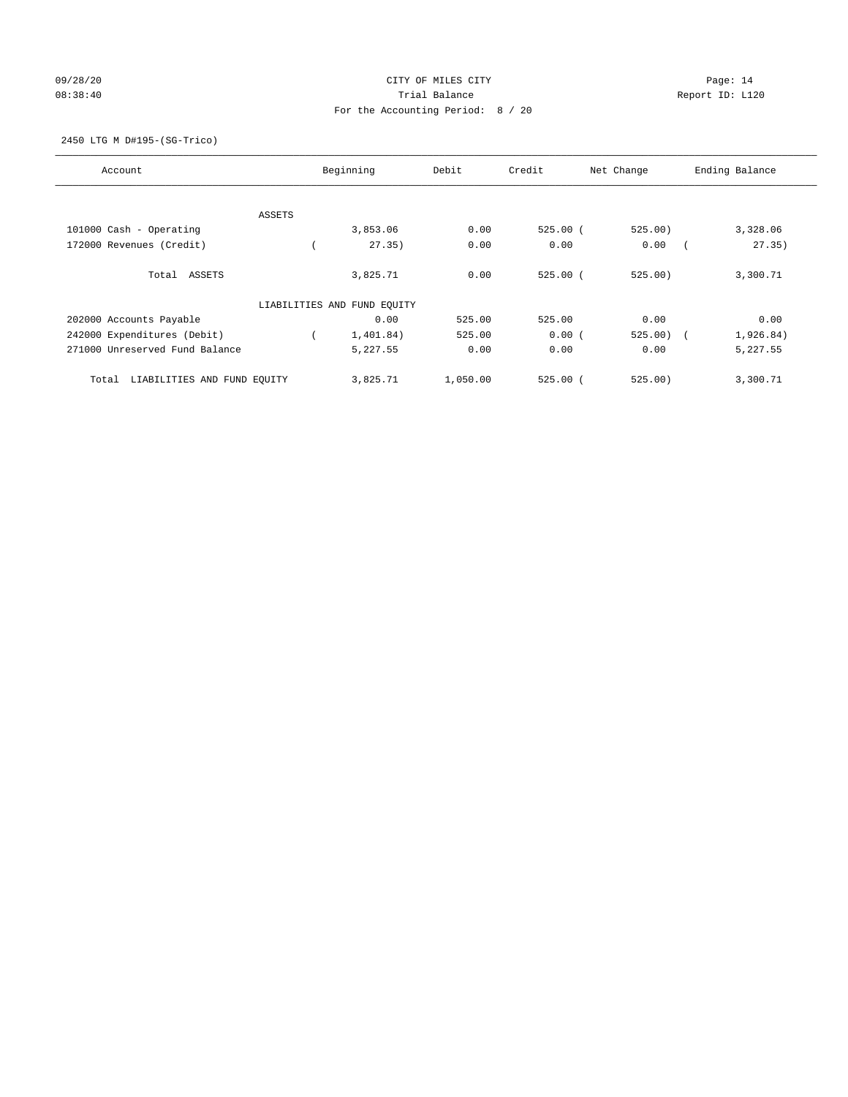## 09/28/20 Page: 14 08:38:40 Trial Balance Report ID: L120 For the Accounting Period: 8 / 20

## 2450 LTG M D#195-(SG-Trico)

| Account                              | Beginning |                             | Debit    | Credit<br>Net Change |         | Ending Balance          |  |  |
|--------------------------------------|-----------|-----------------------------|----------|----------------------|---------|-------------------------|--|--|
|                                      |           |                             |          |                      |         |                         |  |  |
|                                      | ASSETS    |                             |          |                      |         |                         |  |  |
| 101000 Cash - Operating              |           | 3,853.06                    | 0.00     | $525.00$ $($         | 525.00) | 3,328.06                |  |  |
| 172000 Revenues (Credit)             |           | 27.35)                      | 0.00     | 0.00                 | 0.00    | 27.35)                  |  |  |
| Total ASSETS                         |           | 3,825.71                    | 0.00     | $525.00$ (           | 525.00) | 3,300.71                |  |  |
|                                      |           | LIABILITIES AND FUND EQUITY |          |                      |         |                         |  |  |
| 202000 Accounts Payable              |           | 0.00                        | 525.00   | 525.00               | 0.00    | 0.00                    |  |  |
| 242000 Expenditures (Debit)          |           | 1,401.84)                   | 525.00   | 0.00(                | 525.00) | 1,926.84)<br>$\sqrt{2}$ |  |  |
| 271000 Unreserved Fund Balance       |           | 5,227.55                    | 0.00     | 0.00                 | 0.00    | 5,227.55                |  |  |
| LIABILITIES AND FUND EQUITY<br>Total |           | 3,825.71                    | 1,050.00 | $525.00$ $($         | 525.00) | 3,300.71                |  |  |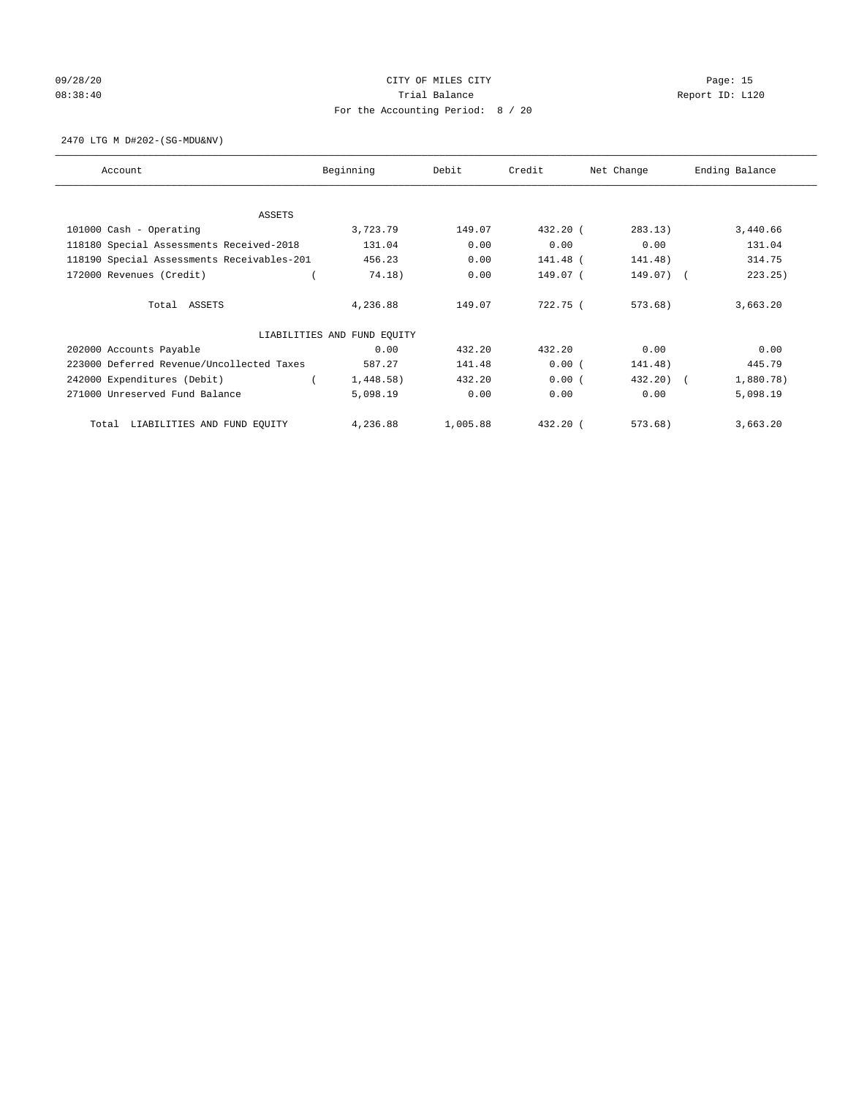# 09/28/20 Page: 15 08:38:40 Trial Balance Report ID: L120 For the Accounting Period: 8 / 20

2470 LTG M D#202-(SG-MDU&NV)

| Account                                    | Beginning                   | Debit    | Credit     | Net Change | Ending Balance |
|--------------------------------------------|-----------------------------|----------|------------|------------|----------------|
| <b>ASSETS</b>                              |                             |          |            |            |                |
| 101000 Cash - Operating                    | 3,723.79                    | 149.07   | 432.20 (   | 283.13)    | 3,440.66       |
| 118180 Special Assessments Received-2018   | 131.04                      | 0.00     | 0.00       | 0.00       | 131.04         |
| 118190 Special Assessments Receivables-201 | 456.23                      | 0.00     | 141.48 (   | 141.48)    | 314.75         |
| 172000 Revenues (Credit)                   | 74.18)                      | 0.00     | 149.07 (   | 149.07)    | 223.25)        |
|                                            |                             |          |            |            |                |
| Total ASSETS                               | 4,236.88                    | 149.07   | 722.75 (   | 573.68)    | 3,663.20       |
|                                            |                             |          |            |            |                |
|                                            | LIABILITIES AND FUND EQUITY |          |            |            |                |
| 202000 Accounts Payable                    | 0.00                        | 432.20   | 432.20     | 0.00       | 0.00           |
| 223000 Deferred Revenue/Uncollected Taxes  | 587.27                      | 141.48   | 0.00(      | 141.48)    | 445.79         |
| 242000 Expenditures (Debit)                | 1,448.58)                   | 432.20   | 0.00(      | 432.20)    | 1,880.78)      |
| 271000 Unreserved Fund Balance             | 5,098.19                    | 0.00     | 0.00       | 0.00       | 5,098.19       |
| LIABILITIES AND FUND EQUITY<br>Total       | 4,236.88                    | 1,005.88 | $432.20$ ( | 573.68)    | 3,663.20       |
|                                            |                             |          |            |            |                |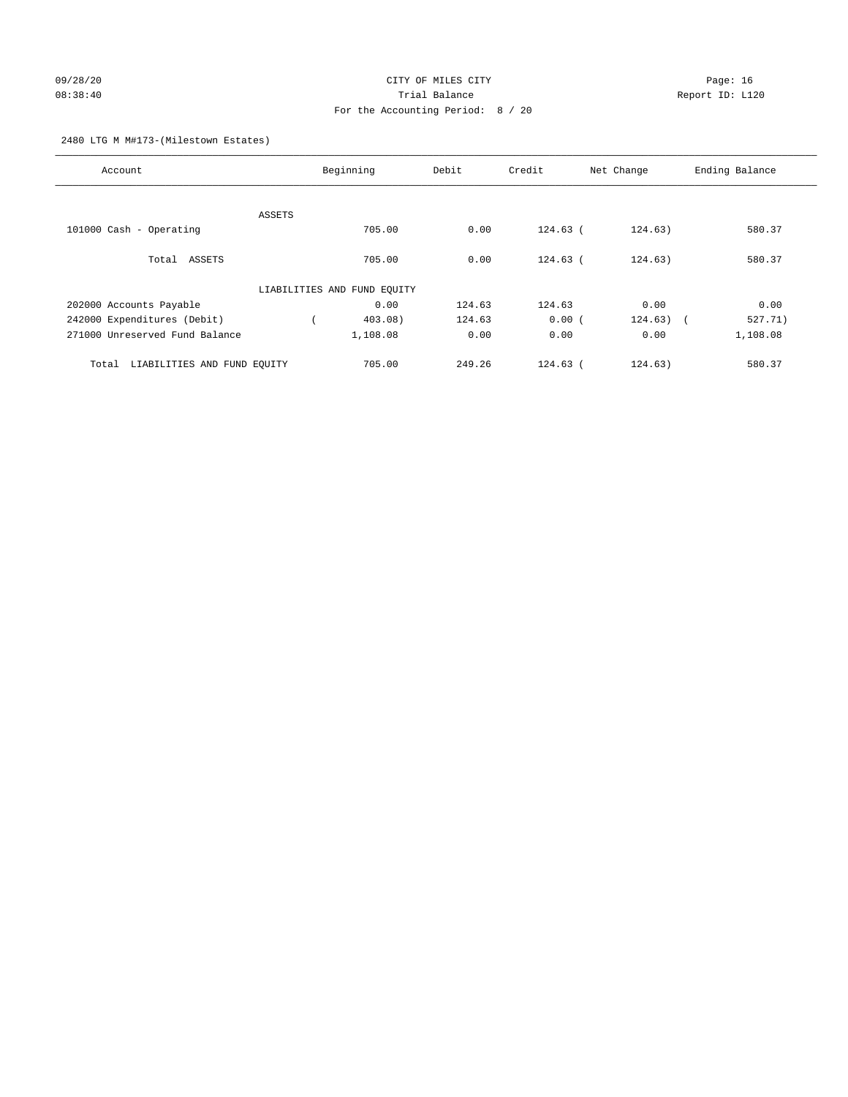## 09/28/20 Page: 16 08:38:40 Trial Balance Report ID: L120 For the Accounting Period: 8 / 20

2480 LTG M M#173-(Milestown Estates)

| Account                              | Beginning                   | Debit          | Credit     | Net Change  | Ending Balance |
|--------------------------------------|-----------------------------|----------------|------------|-------------|----------------|
|                                      |                             |                |            |             |                |
| 101000 Cash - Operating              | ASSETS<br>705.00            | 0.00           | $124.63$ ( | 124.63)     | 580.37         |
|                                      |                             |                |            |             |                |
| Total ASSETS                         | 705.00                      | 0.00           | $124.63$ ( | 124.63)     | 580.37         |
|                                      | LIABILITIES AND FUND EQUITY |                |            |             |                |
| 202000 Accounts Payable              |                             | 0.00<br>124.63 | 124.63     | 0.00        | 0.00           |
| 242000 Expenditures (Debit)          | $403.08$ )                  | 124.63         | 0.00(      | $124.63)$ ( | 527.71)        |
| 271000 Unreserved Fund Balance       | 1,108.08                    | 0.00           | 0.00       | 0.00        | 1,108.08       |
| LIABILITIES AND FUND EQUITY<br>Total | 705.00                      | 249.26         | $124.63$ ( | 124.63)     | 580.37         |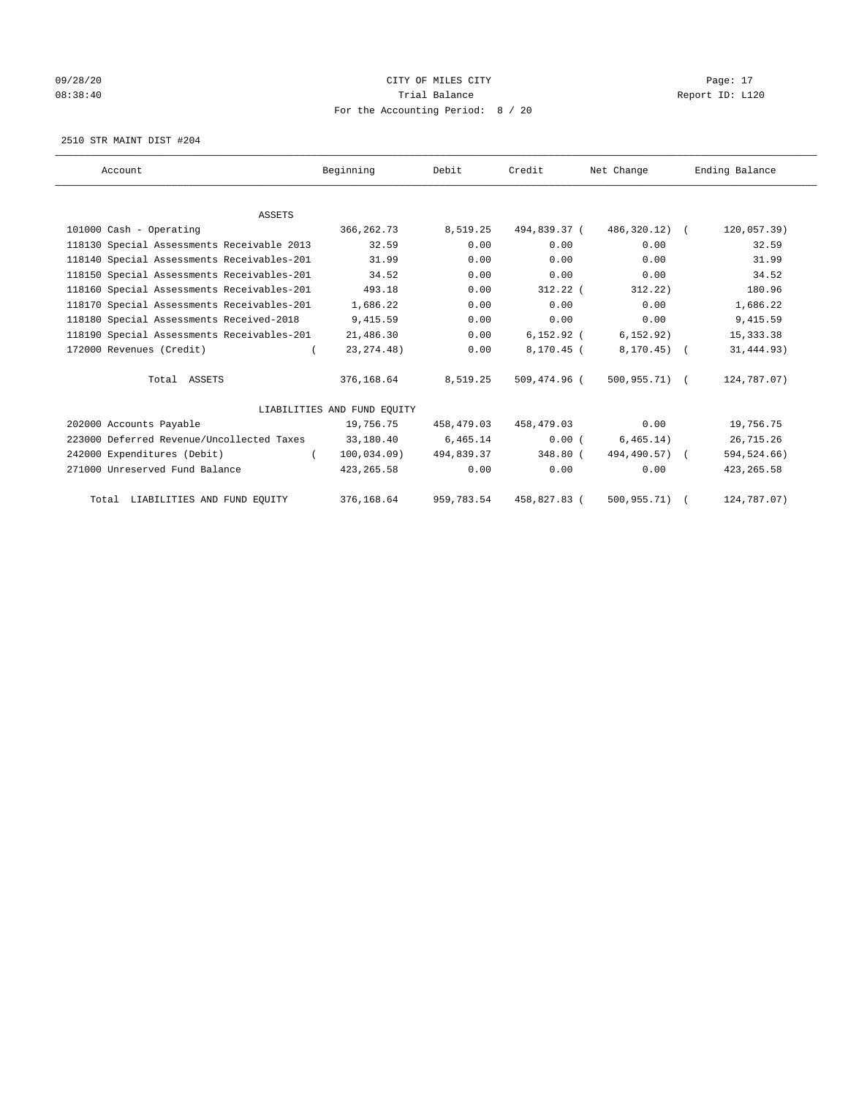## 09/28/20 Page: 17 CHTY OF MILES CITY CONTROL CONTROL Page: 17 08:38:40 Report ID: L120 For the Accounting Period: 8 / 20

2510 STR MAINT DIST #204

| Account                                    | Beginning                   | Debit      | Credit       | Net Change    | Ending Balance |
|--------------------------------------------|-----------------------------|------------|--------------|---------------|----------------|
|                                            |                             |            |              |               |                |
| <b>ASSETS</b>                              |                             |            |              |               |                |
| 101000 Cash - Operating                    | 366, 262. 73                | 8,519.25   | 494,839.37 ( | 486,320.12) ( | 120,057.39)    |
| 118130 Special Assessments Receivable 2013 | 32.59                       | 0.00       | 0.00         | 0.00          | 32.59          |
| 118140 Special Assessments Receivables-201 | 31.99                       | 0.00       | 0.00         | 0.00          | 31.99          |
| 118150 Special Assessments Receivables-201 | 34.52                       | 0.00       | 0.00         | 0.00          | 34.52          |
| 118160 Special Assessments Receivables-201 | 493.18                      | 0.00       | $312.22$ (   | 312.22)       | 180.96         |
| 118170 Special Assessments Receivables-201 | 1,686.22                    | 0.00       | 0.00         | 0.00          | 1,686.22       |
| 118180 Special Assessments Received-2018   | 9,415.59                    | 0.00       | 0.00         | 0.00          | 9,415.59       |
| 118190 Special Assessments Receivables-201 | 21,486.30                   | 0.00       | $6,152.92$ ( | 6, 152.92)    | 15, 333. 38    |
| 172000 Revenues (Credit)                   | 23, 274. 48)                | 0.00       | 8,170.45 (   | $8,170.45$ (  | 31, 444.93)    |
| Total ASSETS                               | 376,168.64                  | 8,519.25   | 509,474.96 ( | 500,955.71) ( | 124,787.07)    |
|                                            | LIABILITIES AND FUND EQUITY |            |              |               |                |
| 202000 Accounts Payable                    | 19,756.75                   | 458,479.03 | 458,479.03   | 0.00          | 19,756.75      |
| 223000 Deferred Revenue/Uncollected Taxes  | 33,180.40                   | 6,465.14   | 0.00(        | 6, 465.14)    | 26,715.26      |
| 242000 Expenditures (Debit)                | 100,034.09<br>$\left($      | 494,839.37 | 348.80 (     | 494,490.57) ( | 594, 524. 66)  |
| 271000 Unreserved Fund Balance             | 423, 265.58                 | 0.00       | 0.00         | 0.00          | 423, 265.58    |
| Total LIABILITIES AND FUND EQUITY          | 376,168.64                  | 959,783.54 | 458,827.83 ( | 500, 955.71)  | 124,787.07)    |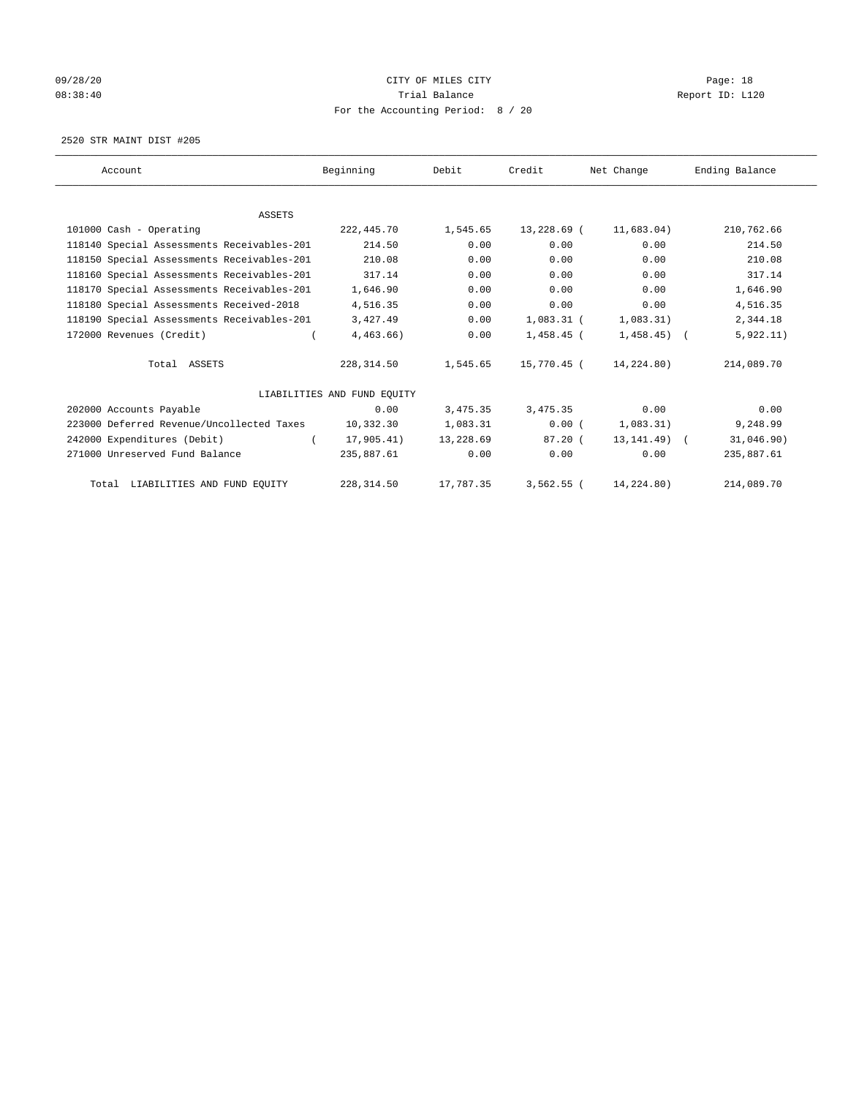## 09/28/20 Page: 18 08:38:40 Report ID: L120 For the Accounting Period: 8 / 20

2520 STR MAINT DIST #205

| Account                                    | Beginning                   | Debit     | Credit       | Net Change     | Ending Balance |
|--------------------------------------------|-----------------------------|-----------|--------------|----------------|----------------|
|                                            |                             |           |              |                |                |
| <b>ASSETS</b>                              |                             |           |              |                |                |
| 101000 Cash - Operating                    | 222,445.70                  | 1,545.65  | 13,228.69 (  | 11,683.04)     | 210,762.66     |
| 118140 Special Assessments Receivables-201 | 214.50                      | 0.00      | 0.00         | 0.00           | 214.50         |
| 118150 Special Assessments Receivables-201 | 210.08                      | 0.00      | 0.00         | 0.00           | 210.08         |
| 118160 Special Assessments Receivables-201 | 317.14                      | 0.00      | 0.00         | 0.00           | 317.14         |
| 118170 Special Assessments Receivables-201 | 1,646.90                    | 0.00      | 0.00         | 0.00           | 1,646.90       |
| 118180 Special Assessments Received-2018   | 4,516.35                    | 0.00      | 0.00         | 0.00           | 4,516.35       |
| 118190 Special Assessments Receivables-201 | 3,427.49                    | 0.00      | $1,083.31$ ( | 1,083.31)      | 2,344.18       |
| 172000 Revenues (Credit)                   | 4,463.66)                   | 0.00      | $1,458.45$ ( | $1,458.45$ (   | 5,922.11)      |
| Total ASSETS                               | 228,314.50                  | 1,545.65  | 15,770.45 (  | 14,224.80)     | 214,089.70     |
|                                            | LIABILITIES AND FUND EQUITY |           |              |                |                |
| 202000 Accounts Payable                    | 0.00                        | 3,475.35  | 3,475.35     | 0.00           | 0.00           |
| 223000 Deferred Revenue/Uncollected Taxes  | 10,332.30                   | 1,083.31  | 0.00(        | 1,083.31)      | 9,248.99       |
| 242000 Expenditures (Debit)                | 17,905.41)                  | 13,228.69 | 87.20(       | $13, 141.49$ ( | 31,046.90)     |
| 271000 Unreserved Fund Balance             | 235,887.61                  | 0.00      | 0.00         | 0.00           | 235,887.61     |
| Total LIABILITIES AND FUND EQUITY          | 228, 314.50                 | 17,787.35 | $3,562.55$ ( | 14,224.80)     | 214,089.70     |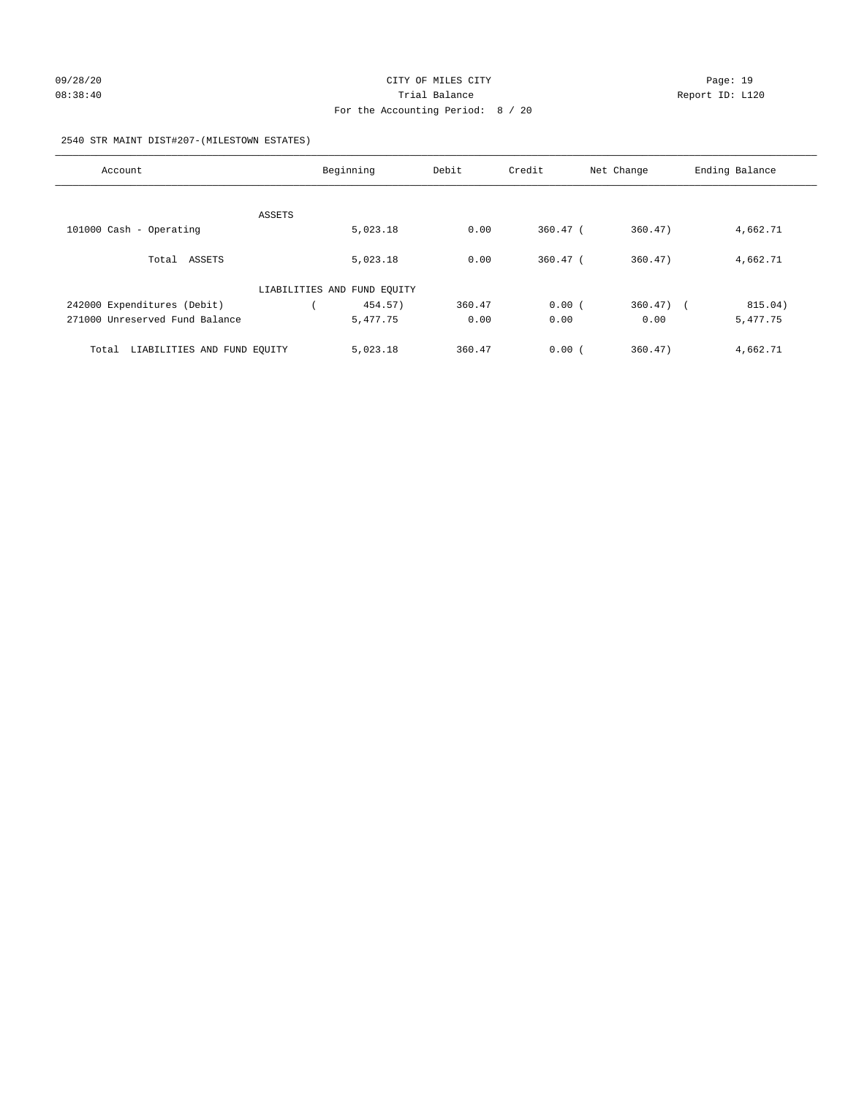2540 STR MAINT DIST#207-(MILESTOWN ESTATES)

| Account                              | Beginning |                             | Debit  | Credit     | Net Change | Ending Balance |
|--------------------------------------|-----------|-----------------------------|--------|------------|------------|----------------|
|                                      |           |                             |        |            |            |                |
|                                      | ASSETS    |                             |        |            |            |                |
| 101000 Cash - Operating              |           | 5,023.18                    | 0.00   | $360.47$ ( | 360.47)    | 4,662.71       |
| Total ASSETS                         |           | 5,023.18                    | 0.00   | $360.47$ ( | 360.47)    | 4,662.71       |
|                                      |           | LIABILITIES AND FUND EQUITY |        |            |            |                |
| 242000 Expenditures (Debit)          |           | 454.57)                     | 360.47 | 0.00(      | $360.47$ ) | 815.04)        |
| 271000 Unreserved Fund Balance       |           | 5,477.75                    | 0.00   | 0.00       | 0.00       | 5,477.75       |
| LIABILITIES AND FUND EOUITY<br>Total |           | 5,023.18                    | 360.47 | 0.00(      | 360.47)    | 4,662.71       |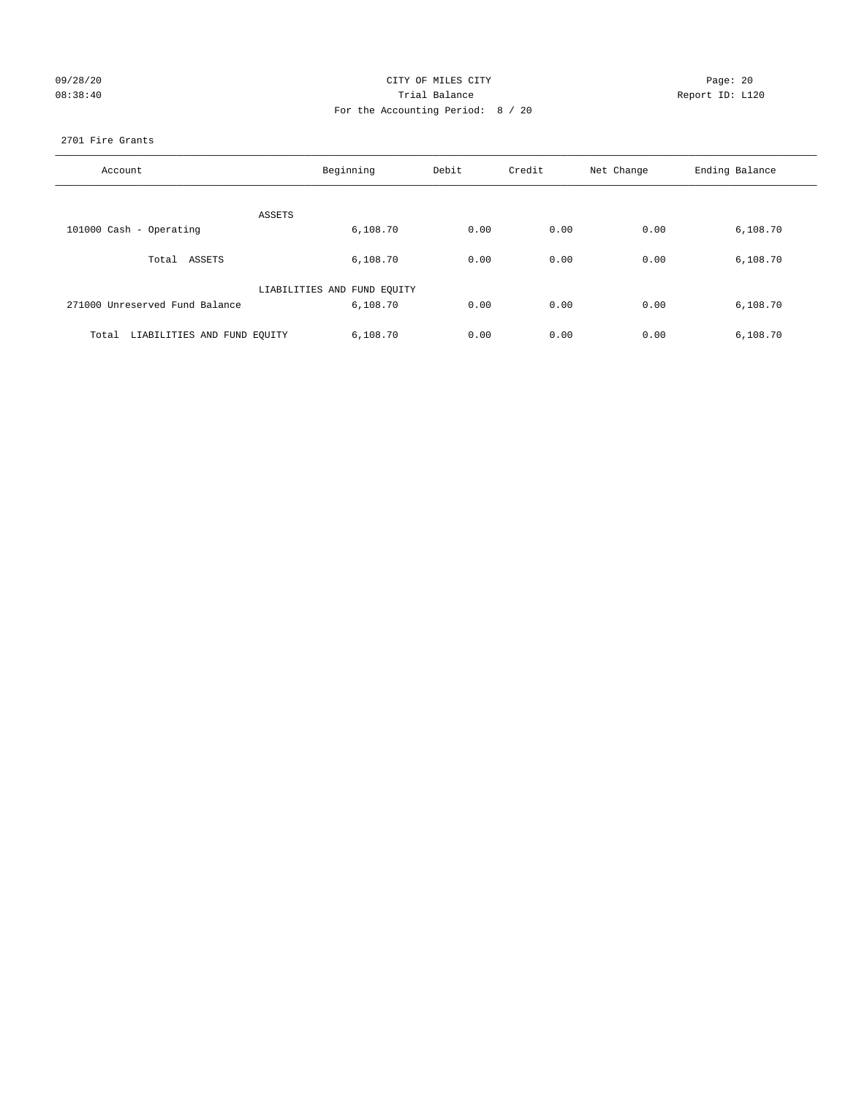| 09/28/20 |  |  |  |
|----------|--|--|--|
| 08:38:40 |  |  |  |

## CITY OF MILES CITY **Example 20** Page: 20 08:38:40 Trial Balance Trial Balance Report ID: L120 For the Accounting Period: 8 / 20

## 2701 Fire Grants

| Account                              | Beginning                   | Debit | Credit | Net Change | Ending Balance |
|--------------------------------------|-----------------------------|-------|--------|------------|----------------|
|                                      |                             |       |        |            |                |
| ASSETS                               |                             |       |        |            |                |
| 101000 Cash - Operating              | 6,108.70                    | 0.00  | 0.00   | 0.00       | 6,108.70       |
|                                      |                             |       |        |            |                |
| Total ASSETS                         | 6,108.70                    | 0.00  | 0.00   | 0.00       | 6,108.70       |
|                                      | LIABILITIES AND FUND EQUITY |       |        |            |                |
| 271000 Unreserved Fund Balance       | 6,108.70                    | 0.00  | 0.00   | 0.00       | 6,108.70       |
|                                      |                             |       |        |            |                |
| LIABILITIES AND FUND EQUITY<br>Total | 6,108.70                    | 0.00  | 0.00   | 0.00       | 6,108.70       |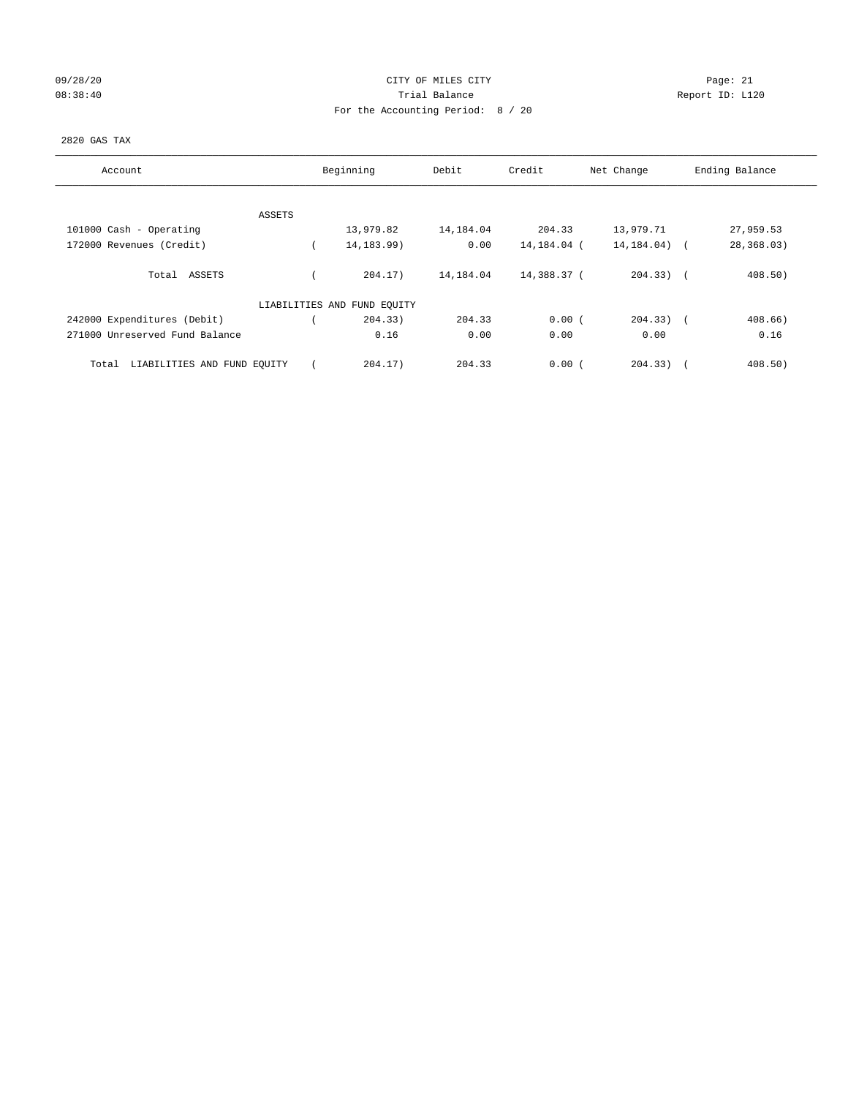## 09/28/20 Page: 21 CITY OF MILES CITY CONTROL CONTROL Page: 21 08:38:40 Report ID: L120 For the Accounting Period: 8 / 20

## 2820 GAS TAX

| Account                              |        | Beginning                   | Debit     | Credit      | Net Change  | Ending Balance    |
|--------------------------------------|--------|-----------------------------|-----------|-------------|-------------|-------------------|
|                                      |        |                             |           |             |             |                   |
|                                      | ASSETS |                             |           |             |             |                   |
| 101000 Cash - Operating              |        | 13,979.82                   | 14,184.04 | 204.33      | 13,979.71   | 27,959.53         |
| 172000 Revenues (Credit)             |        | 14, 183. 99)                | 0.00      | 14,184.04 ( | 14, 184.04) | 28,368.03)        |
| Total ASSETS                         |        | 204.17                      | 14,184.04 | 14,388.37 ( | $204.33)$ ( | 408.50)           |
|                                      |        | LIABILITIES AND FUND EQUITY |           |             |             |                   |
| 242000 Expenditures (Debit)          |        | 204.33)                     | 204.33    | 0.00(       | $204.33)$ ( | 408.66)           |
| 271000 Unreserved Fund Balance       |        | 0.16                        | 0.00      | 0.00        | 0.00        | 0.16              |
| LIABILITIES AND FUND EQUITY<br>Total |        | 204.17)                     | 204.33    | 0.00(       | 204.33)     | 408.50)<br>$\sim$ |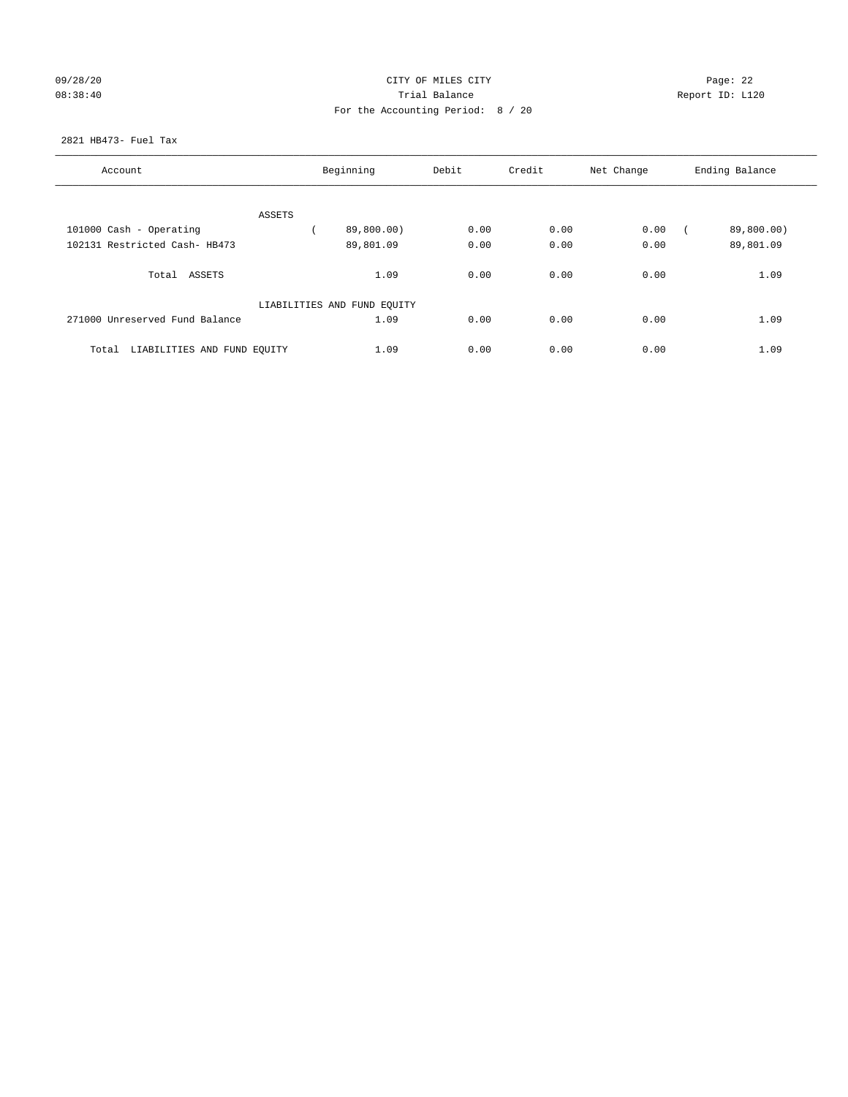| 09/28/20 |  |  |  |  |
|----------|--|--|--|--|
| 08:38:40 |  |  |  |  |

## CITY OF MILES CITY **Example 22** Page: 22 08:38:40 Trial Balance Report ID: L120 For the Accounting Period: 8 / 20

## 2821 HB473- Fuel Tax

| Account                              |        | Beginning                   | Debit | Credit | Net Change | Ending Balance |
|--------------------------------------|--------|-----------------------------|-------|--------|------------|----------------|
|                                      |        |                             |       |        |            |                |
|                                      | ASSETS |                             |       |        |            |                |
| 101000 Cash - Operating              |        | 89,800.00)                  | 0.00  | 0.00   | 0.00       | 89,800.00)     |
| 102131 Restricted Cash- HB473        |        | 89,801.09                   | 0.00  | 0.00   | 0.00       | 89,801.09      |
| Total ASSETS                         |        | 1.09                        | 0.00  | 0.00   | 0.00       | 1.09           |
|                                      |        | LIABILITIES AND FUND EQUITY |       |        |            |                |
| 271000 Unreserved Fund Balance       |        | 1.09                        | 0.00  | 0.00   | 0.00       | 1.09           |
| LIABILITIES AND FUND EQUITY<br>Total |        | 1.09                        | 0.00  | 0.00   | 0.00       | 1.09           |
|                                      |        |                             |       |        |            |                |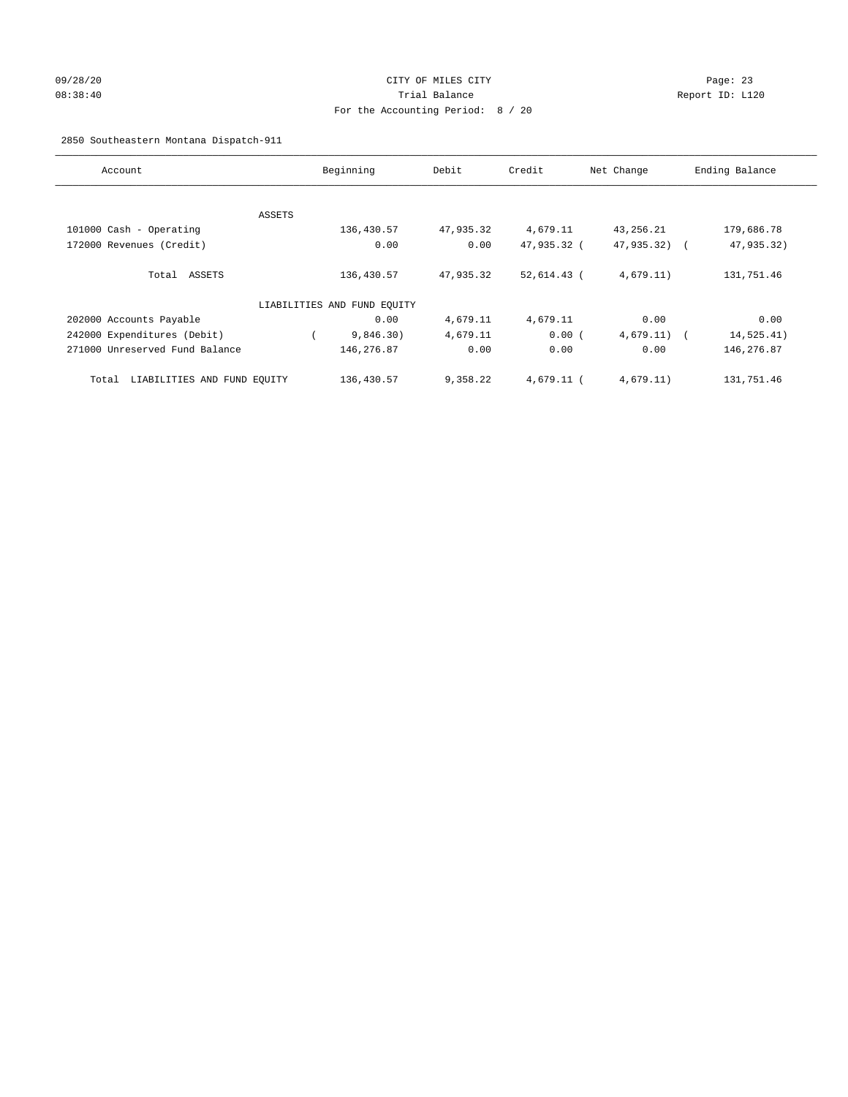## 09/28/20 Page: 23 08:38:40 Trial Balance Report ID: L120 For the Accounting Period: 8 / 20

2850 Southeastern Montana Dispatch-911

| Account                              |        | Beginning                   | Debit     | Credit       | Net Change    | Ending Balance |
|--------------------------------------|--------|-----------------------------|-----------|--------------|---------------|----------------|
|                                      |        |                             |           |              |               |                |
|                                      | ASSETS |                             |           |              |               |                |
| 101000 Cash - Operating              |        | 136,430.57                  | 47,935.32 | 4,679.11     | 43,256.21     | 179,686.78     |
| 172000 Revenues (Credit)             |        | 0.00                        | 0.00      | 47,935.32 (  | 47,935.32)    | 47,935.32)     |
| Total ASSETS                         |        | 136,430.57                  | 47,935.32 | 52,614.43 (  | 4,679.11)     | 131,751.46     |
|                                      |        | LIABILITIES AND FUND EQUITY |           |              |               |                |
| 202000 Accounts Payable              |        | 0.00                        | 4,679.11  | 4,679.11     | 0.00          | 0.00           |
| 242000 Expenditures (Debit)          |        | 9,846.30)                   | 4,679.11  | 0.00(        | $4,679.11)$ ( | 14,525.41)     |
| 271000 Unreserved Fund Balance       |        | 146,276.87                  | 0.00      | 0.00         | 0.00          | 146,276.87     |
| LIABILITIES AND FUND EQUITY<br>Total |        | 136,430.57                  | 9,358.22  | $4.679.11$ ( | 4,679.11)     | 131,751.46     |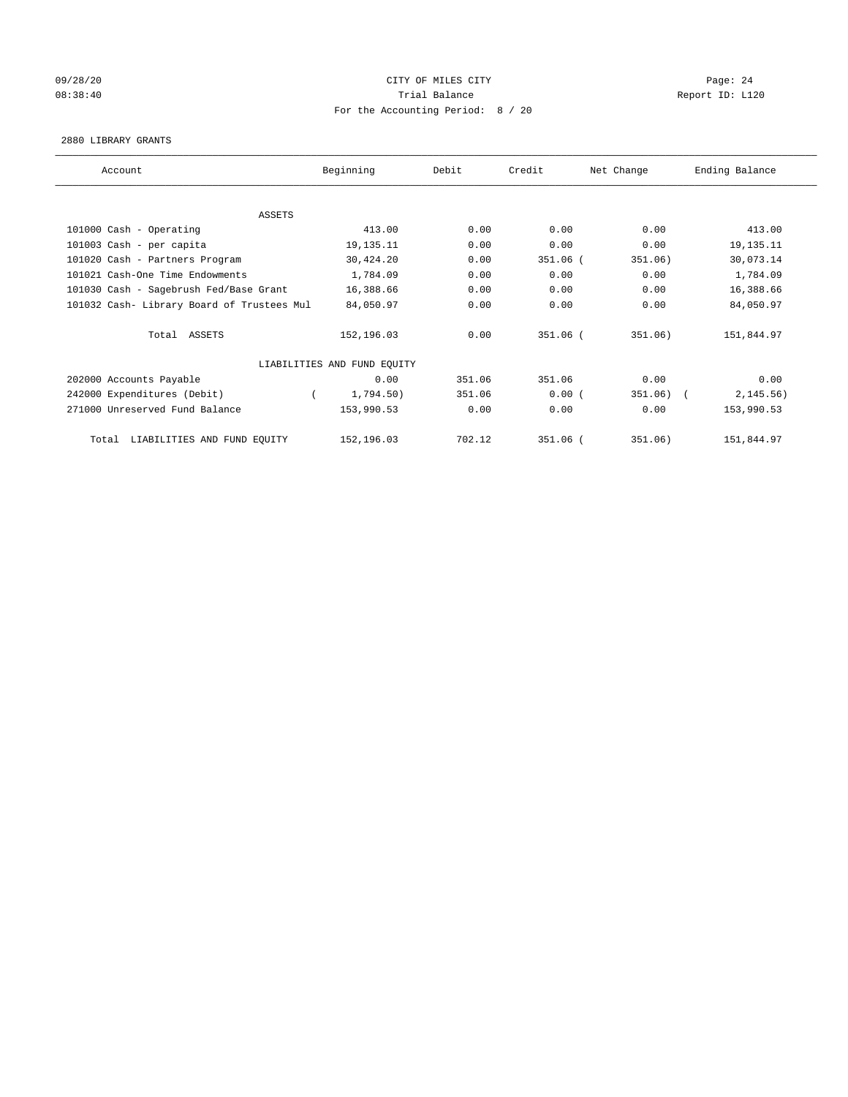## 09/28/20 Page: 24 08:38:40 Report ID: L120 For the Accounting Period: 8 / 20

#### 2880 LIBRARY GRANTS

| Account                                    | Beginning                   | Debit  | Credit     | Net Change | Ending Balance |
|--------------------------------------------|-----------------------------|--------|------------|------------|----------------|
|                                            |                             |        |            |            |                |
| ASSETS                                     |                             |        |            |            |                |
| 101000 Cash - Operating                    | 413.00                      | 0.00   | 0.00       | 0.00       | 413.00         |
| 101003 Cash - per capita                   | 19, 135. 11                 | 0.00   | 0.00       | 0.00       | 19, 135. 11    |
| 101020 Cash - Partners Program             | 30,424.20                   | 0.00   | $351.06$ ( | 351.06)    | 30,073.14      |
| 101021 Cash-One Time Endowments            | 1,784.09                    | 0.00   | 0.00       | 0.00       | 1,784.09       |
| 101030 Cash - Sagebrush Fed/Base Grant     | 16,388.66                   | 0.00   | 0.00       | 0.00       | 16,388.66      |
| 101032 Cash- Library Board of Trustees Mul | 84,050.97                   | 0.00   | 0.00       | 0.00       | 84,050.97      |
| Total ASSETS                               | 152,196.03                  | 0.00   | 351.06 (   | 351.06)    | 151,844.97     |
|                                            | LIABILITIES AND FUND EQUITY |        |            |            |                |
| 202000 Accounts Payable                    | 0.00                        | 351.06 | 351.06     | 0.00       | 0.00           |
| 242000 Expenditures (Debit)                | 1,794.50)                   | 351.06 | 0.00(      | 351.06)    | 2, 145.56)     |
| 271000 Unreserved Fund Balance             | 153,990.53                  | 0.00   | 0.00       | 0.00       | 153,990.53     |
| LIABILITIES AND FUND EQUITY<br>Total       | 152,196.03                  | 702.12 | 351.06 (   | 351.06)    | 151,844.97     |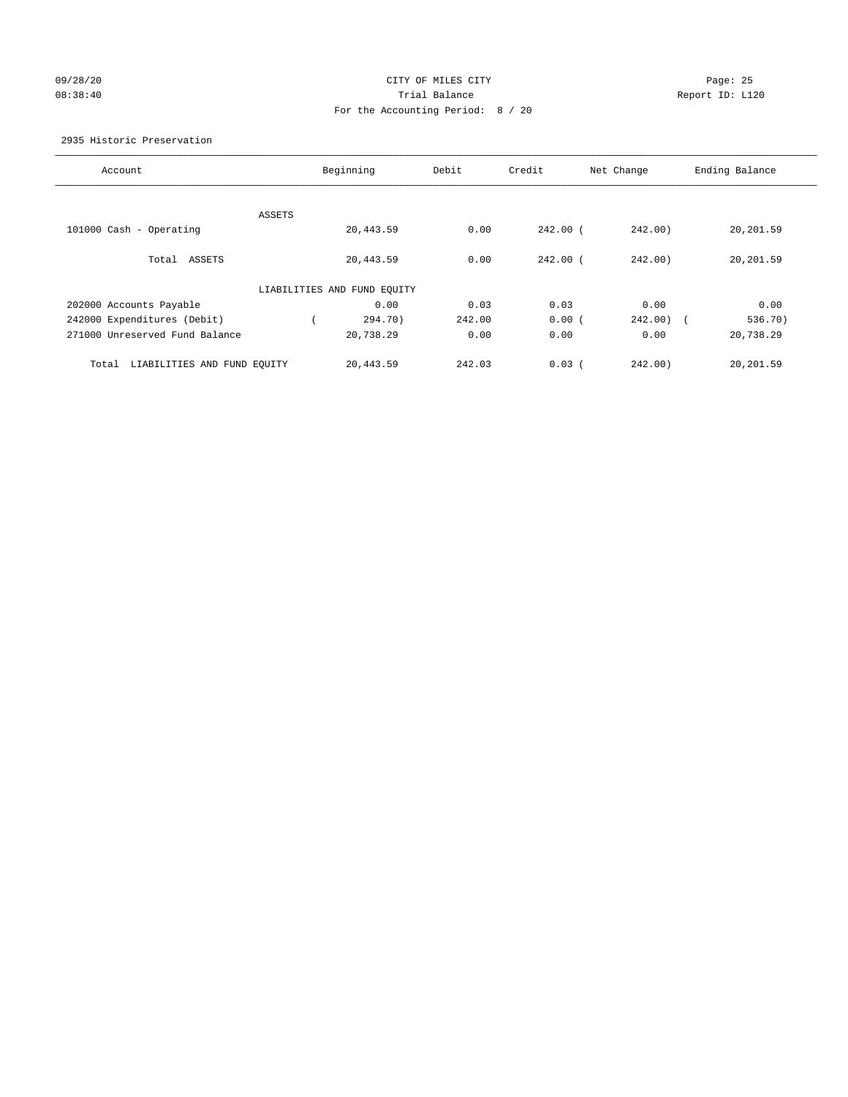## 09/28/20 Page: 25 08:38:40 Trial Balance Report ID: L120 For the Accounting Period: 8 / 20

2935 Historic Preservation

| Account                              |        | Beginning                   | Debit  | Credit     | Net Change   | Ending Balance |
|--------------------------------------|--------|-----------------------------|--------|------------|--------------|----------------|
|                                      |        |                             |        |            |              |                |
|                                      | ASSETS |                             |        |            |              |                |
| 101000 Cash - Operating              |        | 20,443.59                   | 0.00   | $242.00$ ( | 242.00       | 20,201.59      |
|                                      |        |                             |        |            |              |                |
| Total<br>ASSETS                      |        | 20,443.59                   | 0.00   | $242.00$ ( | 242.00       | 20,201.59      |
|                                      |        | LIABILITIES AND FUND EQUITY |        |            |              |                |
| 202000 Accounts Payable              |        | 0.00                        | 0.03   | 0.03       | 0.00         | 0.00           |
| 242000 Expenditures (Debit)          |        | 294.70)                     | 242.00 | 0.00(      | $242.00$ ) ( | 536.70)        |
| 271000 Unreserved Fund Balance       |        | 20,738.29                   | 0.00   | 0.00       | 0.00         | 20,738.29      |
|                                      |        |                             |        |            |              |                |
| LIABILITIES AND FUND EQUITY<br>Total |        | 20,443.59                   | 242.03 | 0.03(      | 242.00       | 20,201.59      |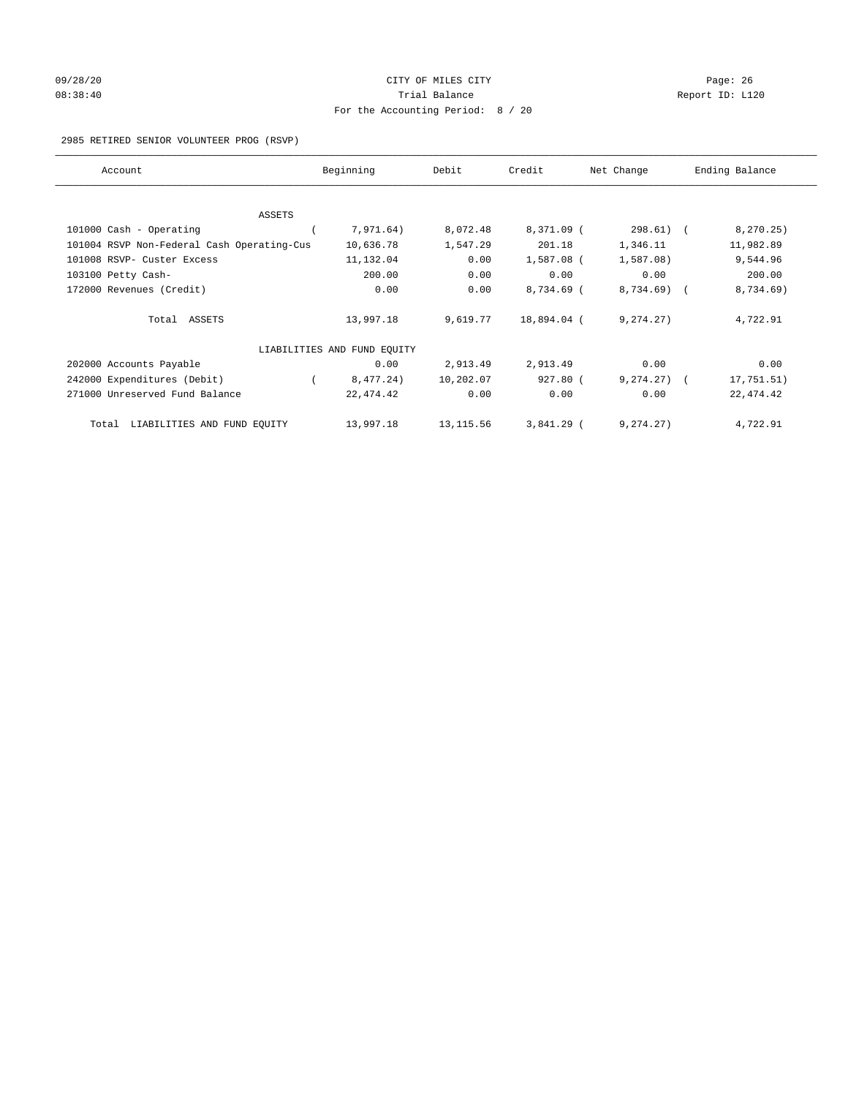# 09/28/20 Page: 26 CITY OF MILES CITY CONTROL CONTROL Page: 26 08:38:40 Trial Balance Trial Balance Report ID: L120 For the Accounting Period: 8 / 20

2985 RETIRED SENIOR VOLUNTEER PROG (RSVP)

| Account                                    | Beginning                   | Debit      | Credit       | Net Change   | Ending Balance |
|--------------------------------------------|-----------------------------|------------|--------------|--------------|----------------|
|                                            |                             |            |              |              |                |
| ASSETS                                     |                             |            |              |              |                |
| 101000 Cash - Operating                    | 7,971.64)                   | 8,072.48   | 8,371.09 (   | $298.61)$ (  | 8, 270.25)     |
| 101004 RSVP Non-Federal Cash Operating-Cus | 10,636.78                   | 1,547.29   | 201.18       | 1,346.11     | 11,982.89      |
| 101008 RSVP- Custer Excess                 | 11,132.04                   | 0.00       | 1,587.08 (   | $1,587.08$ ) | 9,544.96       |
| 103100 Petty Cash-                         | 200.00                      | 0.00       | 0.00         | 0.00         | 200.00         |
| 172000 Revenues (Credit)                   | 0.00                        | 0.00       | 8,734.69 (   | 8,734.69)    | 8,734.69)      |
| Total ASSETS                               | 13,997.18                   | 9,619.77   | 18,894.04 (  | 9,274.27)    | 4,722.91       |
|                                            | LIABILITIES AND FUND EQUITY |            |              |              |                |
| 202000 Accounts Payable                    | 0.00                        | 2,913.49   | 2,913.49     | 0.00         | 0.00           |
| 242000 Expenditures (Debit)                | 8,477.24)                   | 10,202.07  | 927.80 (     | 9, 274, 27)  | 17,751.51)     |
| 271000 Unreserved Fund Balance             | 22, 474.42                  | 0.00       | 0.00         | 0.00         | 22, 474.42     |
| LIABILITIES AND FUND EQUITY<br>Total       | 13,997.18                   | 13, 115.56 | $3,841.29$ ( | 9, 274.27)   | 4,722.91       |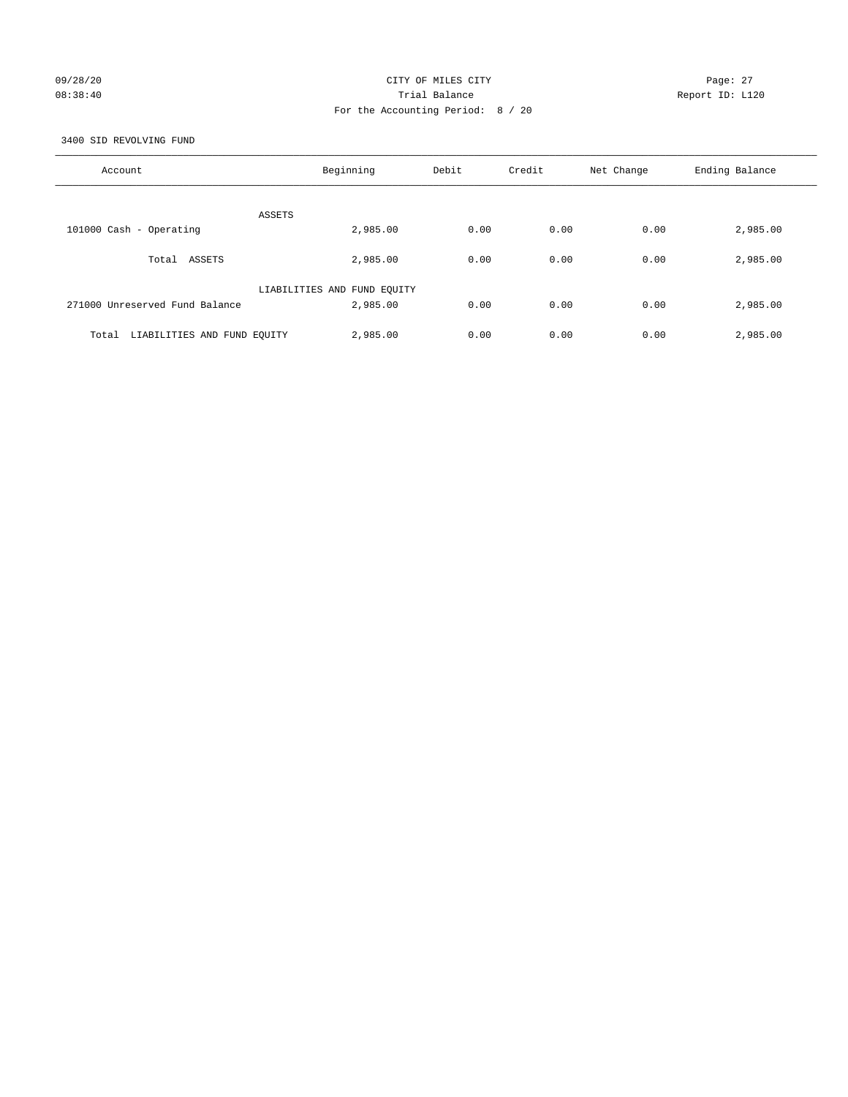## 09/28/20 Page: 27 08:38:40 Trial Balance Report ID: L120 For the Accounting Period: 8 / 20

3400 SID REVOLVING FUND

| Account                              | Beginning                               | Debit | Credit | Net Change | Ending Balance |
|--------------------------------------|-----------------------------------------|-------|--------|------------|----------------|
| ASSETS                               |                                         |       |        |            |                |
| 101000 Cash - Operating              | 2,985.00                                | 0.00  | 0.00   | 0.00       | 2,985.00       |
| Total ASSETS                         | 2,985.00                                | 0.00  | 0.00   | 0.00       | 2,985.00       |
| 271000 Unreserved Fund Balance       | LIABILITIES AND FUND EQUITY<br>2,985.00 | 0.00  | 0.00   | 0.00       | 2,985.00       |
| LIABILITIES AND FUND EQUITY<br>Total | 2,985.00                                | 0.00  | 0.00   | 0.00       | 2,985.00       |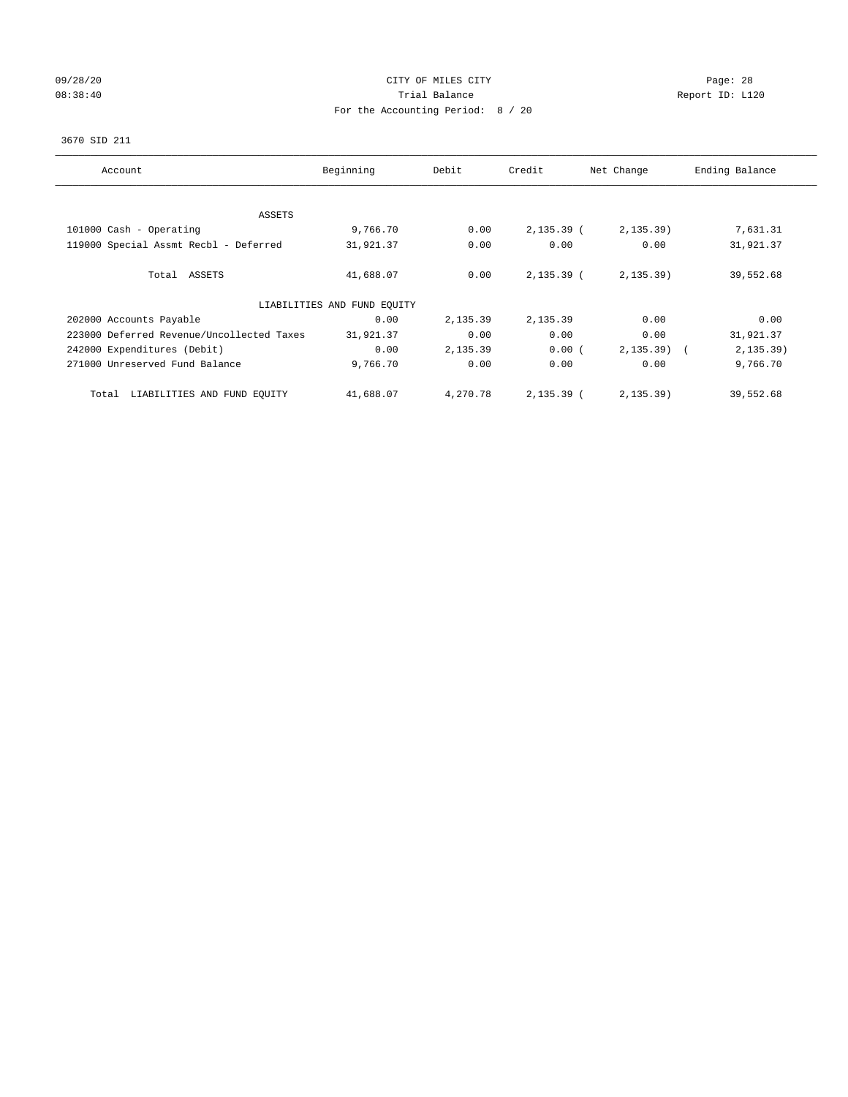## 09/28/20 Page: 28 08:38:40 Report ID: L120 For the Accounting Period: 8 / 20

## 3670 SID 211

| Account                                   | Beginning                   | Debit    | Credit       | Net Change | Ending Balance |
|-------------------------------------------|-----------------------------|----------|--------------|------------|----------------|
|                                           |                             |          |              |            |                |
| ASSETS                                    |                             |          |              |            |                |
| 101000 Cash - Operating                   | 9,766.70                    | 0.00     | $2,135.39$ ( | 2, 135.39) | 7,631.31       |
| 119000 Special Assmt Recbl - Deferred     | 31,921.37                   | 0.00     | 0.00         | 0.00       | 31,921.37      |
| Total ASSETS                              | 41,688.07                   | 0.00     | $2,135.39$ ( | 2, 135.39) | 39,552.68      |
|                                           | LIABILITIES AND FUND EQUITY |          |              |            |                |
| 202000 Accounts Payable                   | 0.00                        | 2,135.39 | 2,135.39     | 0.00       | 0.00           |
| 223000 Deferred Revenue/Uncollected Taxes | 31,921.37                   | 0.00     | 0.00         | 0.00       | 31,921.37      |
| 242000 Expenditures (Debit)               | 0.00                        | 2,135.39 | 0.00(        | 2, 135.39) | 2, 135.39)     |
| 271000 Unreserved Fund Balance            | 9,766.70                    | 0.00     | 0.00         | 0.00       | 9,766.70       |
| LIABILITIES AND FUND EQUITY<br>Total      | 41,688.07                   | 4,270.78 | 2,135.39 (   | 2, 135.39) | 39,552.68      |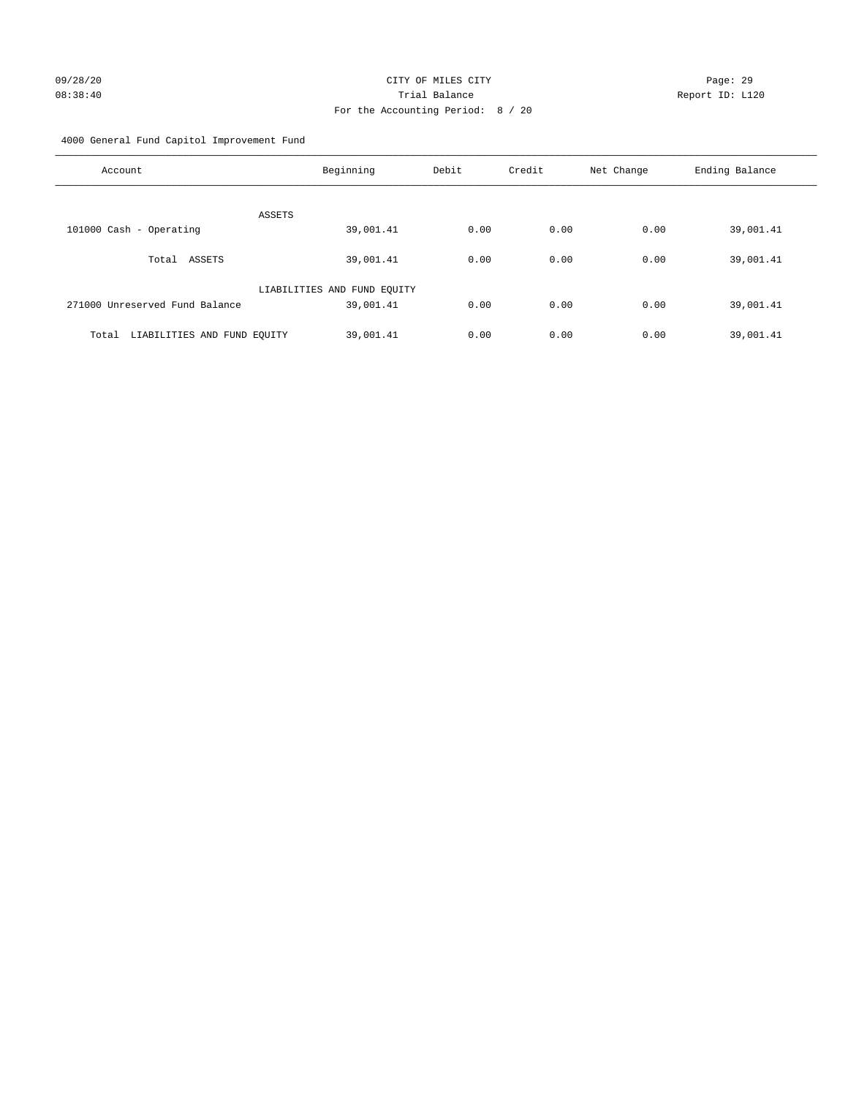4000 General Fund Capitol Improvement Fund

| Account                              | Beginning                   | Debit | Credit | Net Change | Ending Balance |
|--------------------------------------|-----------------------------|-------|--------|------------|----------------|
| ASSETS                               |                             |       |        |            |                |
| 101000 Cash - Operating              | 39,001.41                   | 0.00  | 0.00   | 0.00       | 39,001.41      |
| Total ASSETS                         | 39,001.41                   | 0.00  | 0.00   | 0.00       | 39,001.41      |
|                                      | LIABILITIES AND FUND EQUITY |       |        |            |                |
| 271000 Unreserved Fund Balance       | 39,001.41                   | 0.00  | 0.00   | 0.00       | 39,001.41      |
| LIABILITIES AND FUND EQUITY<br>Total | 39,001.41                   | 0.00  | 0.00   | 0.00       | 39,001.41      |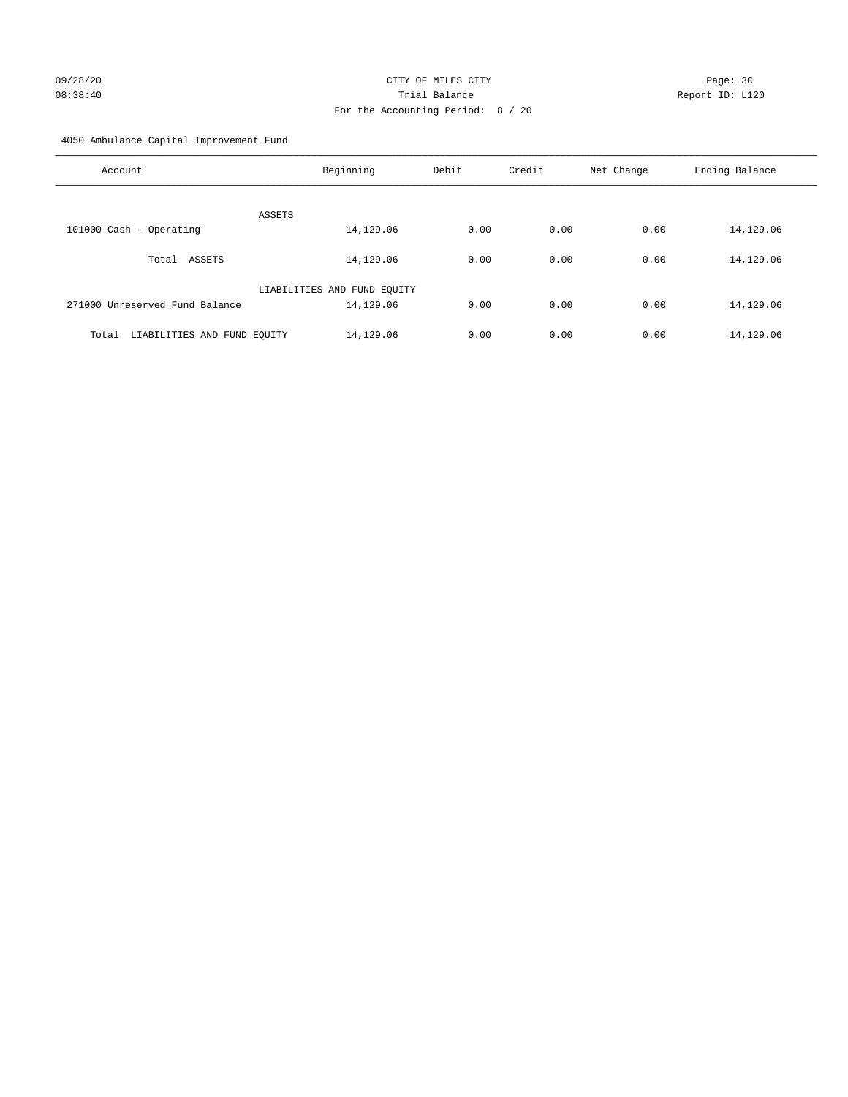# 09/28/20 Page: 30 08:38:40 Trial Balance Report ID: L120 For the Accounting Period: 8 / 20

4050 Ambulance Capital Improvement Fund

| Account                              | Beginning                   | Debit | Credit | Net Change | Ending Balance |
|--------------------------------------|-----------------------------|-------|--------|------------|----------------|
| ASSETS                               |                             |       |        |            |                |
| 101000 Cash - Operating              | 14,129.06                   | 0.00  | 0.00   | 0.00       | 14,129.06      |
| Total ASSETS                         | 14,129.06                   | 0.00  | 0.00   | 0.00       | 14,129.06      |
|                                      | LIABILITIES AND FUND EQUITY |       |        |            |                |
| 271000 Unreserved Fund Balance       | 14,129.06                   | 0.00  | 0.00   | 0.00       | 14,129.06      |
| LIABILITIES AND FUND EQUITY<br>Total | 14,129.06                   | 0.00  | 0.00   | 0.00       | 14,129.06      |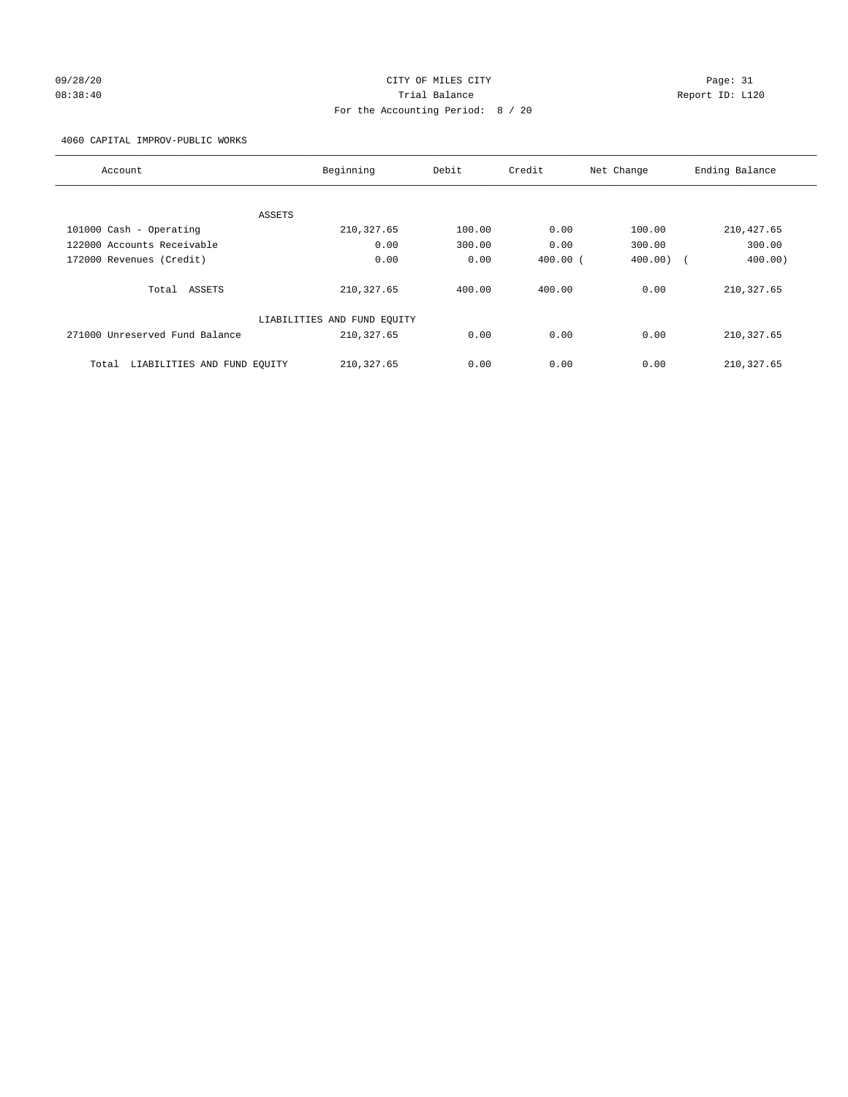## 09/28/20 Page: 31 CITY OF MILES CITY CONTROL CONTROL Page: 31 08:38:40 Trial Balance Report ID: L120 For the Accounting Period: 8 / 20

4060 CAPITAL IMPROV-PUBLIC WORKS

| Account                              | Beginning                   | Debit  | Credit       | Net Change                         | Ending Balance |
|--------------------------------------|-----------------------------|--------|--------------|------------------------------------|----------------|
|                                      |                             |        |              |                                    |                |
|                                      | ASSETS                      |        |              |                                    |                |
| 101000 Cash - Operating              | 210, 327.65                 | 100.00 | 0.00         | 100.00                             | 210, 427.65    |
| 122000 Accounts Receivable           | 0.00                        | 300.00 | 0.00         | 300.00                             | 300.00         |
| 172000 Revenues (Credit)             | 0.00                        | 0.00   | $400.00$ $($ | 400.00<br>$\overline{\phantom{a}}$ | 400.00         |
| Total ASSETS                         | 210, 327.65                 | 400.00 | 400.00       | 0.00                               | 210, 327.65    |
|                                      | LIABILITIES AND FUND EQUITY |        |              |                                    |                |
| 271000 Unreserved Fund Balance       | 210, 327.65                 | 0.00   | 0.00         | 0.00                               | 210, 327.65    |
| LIABILITIES AND FUND EQUITY<br>Total | 210, 327.65                 | 0.00   | 0.00         | 0.00                               | 210, 327.65    |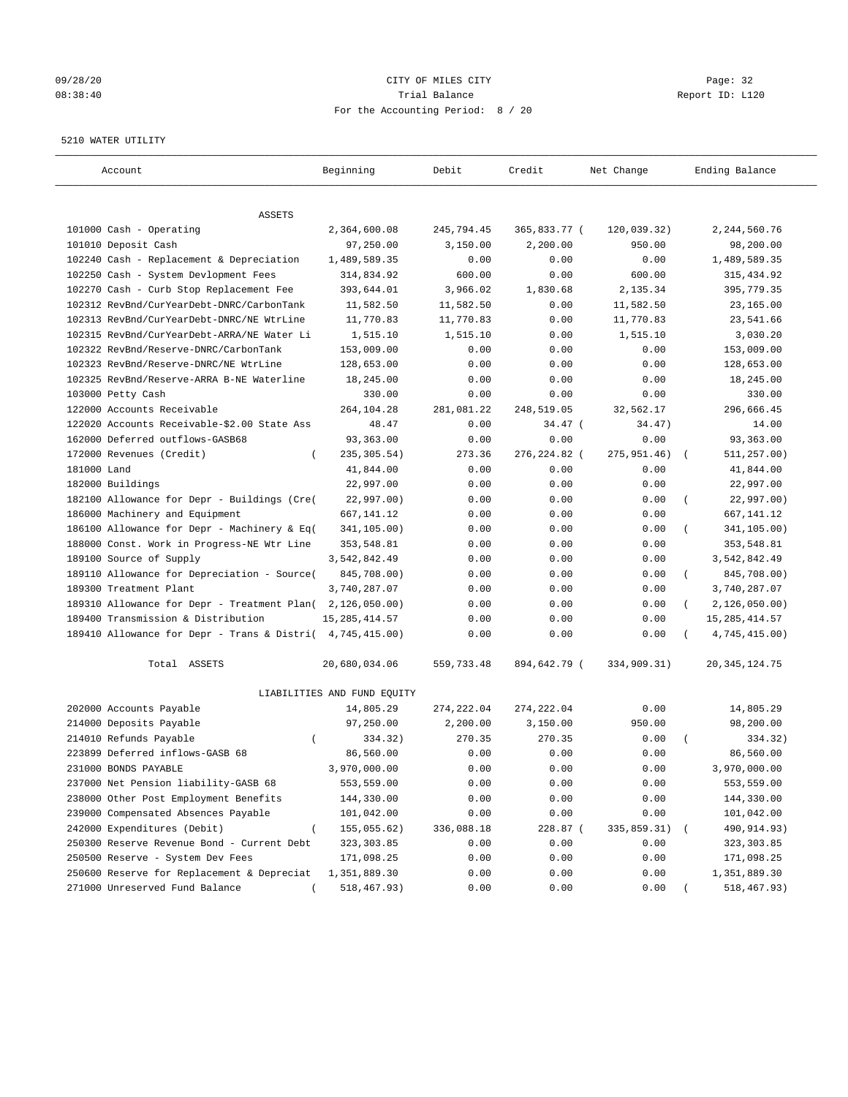## 09/28/20 Page: 32 08:38:40 Trial Balance Report ID: L120 For the Accounting Period: 8 / 20

#### 5210 WATER UTILITY

| Account                                                   | Beginning                   | Debit       | Credit       | Net Change  | Ending Balance                 |
|-----------------------------------------------------------|-----------------------------|-------------|--------------|-------------|--------------------------------|
| ASSETS                                                    |                             |             |              |             |                                |
| 101000 Cash - Operating                                   | 2,364,600.08                | 245,794.45  | 365,833.77 ( | 120,039.32) | 2, 244, 560. 76                |
| 101010 Deposit Cash                                       | 97,250.00                   | 3,150.00    | 2,200.00     | 950.00      | 98,200.00                      |
| 102240 Cash - Replacement & Depreciation                  | 1,489,589.35                | 0.00        | 0.00         | 0.00        | 1,489,589.35                   |
| 102250 Cash - System Devlopment Fees                      | 314,834.92                  | 600.00      | 0.00         | 600.00      | 315, 434.92                    |
| 102270 Cash - Curb Stop Replacement Fee                   | 393,644.01                  | 3,966.02    | 1,830.68     | 2,135.34    | 395,779.35                     |
| 102312 RevBnd/CurYearDebt-DNRC/CarbonTank                 | 11,582.50                   | 11,582.50   | 0.00         | 11,582.50   | 23,165.00                      |
| 102313 RevBnd/CurYearDebt-DNRC/NE WtrLine                 | 11,770.83                   | 11,770.83   | 0.00         | 11,770.83   | 23,541.66                      |
| 102315 RevBnd/CurYearDebt-ARRA/NE Water Li                | 1,515.10                    | 1,515.10    | 0.00         | 1,515.10    | 3,030.20                       |
| 102322 RevBnd/Reserve-DNRC/CarbonTank                     | 153,009.00                  | 0.00        | 0.00         | 0.00        | 153,009.00                     |
| 102323 RevBnd/Reserve-DNRC/NE WtrLine                     | 128,653.00                  | 0.00        | 0.00         | 0.00        | 128,653.00                     |
| 102325 RevBnd/Reserve-ARRA B-NE Waterline                 | 18,245.00                   | 0.00        | 0.00         | 0.00        | 18,245.00                      |
| 103000 Petty Cash                                         | 330.00                      | 0.00        | 0.00         | 0.00        | 330.00                         |
| 122000 Accounts Receivable                                | 264,104.28                  | 281,081.22  | 248,519.05   | 32,562.17   | 296,666.45                     |
| 122020 Accounts Receivable-\$2.00 State Ass               | 48.47                       | 0.00        | $34.47$ (    | 34.47)      | 14.00                          |
| 162000 Deferred outflows-GASB68                           | 93,363.00                   | 0.00        | 0.00         | 0.00        | 93,363.00                      |
| 172000 Revenues (Credit)<br>$\left($                      | 235, 305.54)                | 273.36      | 276,224.82 ( | 275,951.46) | 511,257.00)                    |
| 181000 Land                                               | 41,844.00                   | 0.00        | 0.00         | 0.00        | 41,844.00                      |
| 182000 Buildings                                          | 22,997.00                   | 0.00        | 0.00         | 0.00        | 22,997.00                      |
| 182100 Allowance for Depr - Buildings (Cre(               | 22,997.00)                  | 0.00        | 0.00         | 0.00        | 22,997.00)<br>$\overline{(\ }$ |
| 186000 Machinery and Equipment                            | 667, 141.12                 | 0.00        | 0.00         | 0.00        | 667, 141. 12                   |
| 186100 Allowance for Depr - Machinery & Eq(               | 341,105.00)                 | 0.00        | 0.00         | 0.00        | 341,105.00)                    |
| 188000 Const. Work in Progress-NE Wtr Line                | 353,548.81                  | 0.00        | 0.00         | 0.00        | 353,548.81                     |
| 189100 Source of Supply                                   | 3,542,842.49                | 0.00        | 0.00         | 0.00        | 3,542,842.49                   |
| 189110 Allowance for Depreciation - Source(               | 845,708.00)                 | 0.00        | 0.00         | 0.00        | 845,708.00)<br>$\left($        |
| 189300 Treatment Plant                                    | 3,740,287.07                | 0.00        | 0.00         | 0.00        | 3,740,287.07                   |
| 189310 Allowance for Depr - Treatment Plan(               | 2,126,050.00)               | 0.00        | 0.00         | 0.00        | 2,126,050.00)                  |
| 189400 Transmission & Distribution                        | 15, 285, 414.57             | 0.00        | 0.00         | 0.00        | 15, 285, 414.57                |
| 189410 Allowance for Depr - Trans & Distri( 4,745,415.00) |                             | 0.00        | 0.00         | 0.00        | 4,745,415.00)                  |
| Total ASSETS                                              | 20,680,034.06               | 559,733.48  | 894,642.79 ( | 334,909.31) | 20, 345, 124.75                |
|                                                           | LIABILITIES AND FUND EQUITY |             |              |             |                                |
| 202000 Accounts Payable                                   | 14,805.29                   | 274, 222.04 | 274, 222.04  | 0.00        | 14,805.29                      |
| 214000 Deposits Payable                                   | 97,250.00                   | 2,200.00    | 3,150.00     | 950.00      | 98,200.00                      |
| 214010 Refunds Payable<br>$\left($                        | 334.32)                     | 270.35      | 270.35       | 0.00        | 334.32)                        |
| 223899 Deferred inflows-GASB 68                           | 86,560.00                   | 0.00        | 0.00         | 0.00        | 86,560.00                      |
| 231000 BONDS PAYABLE                                      | 3,970,000.00                | 0.00        | 0.00         | 0.00        | 3,970,000.00                   |
| 237000 Net Pension liability-GASB 68                      | 553,559.00                  | 0.00        | 0.00         | 0.00        | 553,559.00                     |
| 238000 Other Post Employment Benefits                     | 144,330.00                  | 0.00        | 0.00         | 0.00        | 144,330.00                     |
| 239000 Compensated Absences Payable                       | 101,042.00                  | 0.00        | 0.00         | 0.00        | 101,042.00                     |
| 242000 Expenditures (Debit)                               | 155,055.62)                 | 336,088.18  | 228.87 (     | 335,859.31) | 490,914.93)                    |
| 250300 Reserve Revenue Bond - Current Debt                | 323, 303.85                 | 0.00        | 0.00         | 0.00        | 323, 303.85                    |
| 250500 Reserve - System Dev Fees                          | 171,098.25                  | 0.00        | 0.00         | 0.00        | 171,098.25                     |
| 250600 Reserve for Replacement & Depreciat                | 1,351,889.30                | 0.00        | 0.00         | 0.00        | 1,351,889.30                   |
| 271000 Unreserved Fund Balance                            | 518,467.93)                 | 0.00        | 0.00         | 0.00        | 518,467.93)                    |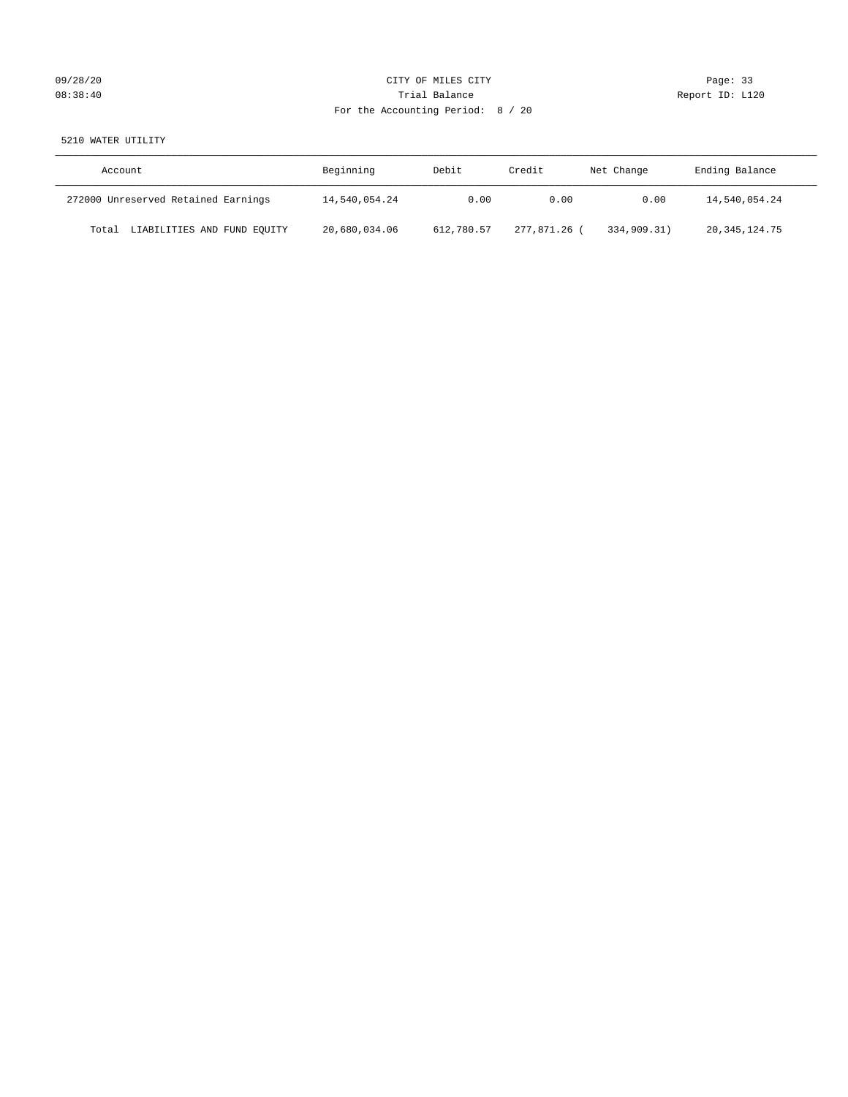## 09/28/20 Page: 33 08:38:40 Trial Balance Report ID: L120 For the Accounting Period: 8 / 20

5210 WATER UTILITY

| Account                              | Beginning     | Debit      | Credit     | Net Change  | Ending Balance   |
|--------------------------------------|---------------|------------|------------|-------------|------------------|
| 272000 Unreserved Retained Earnings  | 14,540,054.24 | 0.00       | 0.00       | 0.00        | 14,540,054.24    |
| LIABILITIES AND FUND EQUITY<br>Total | 20,680,034.06 | 612,780.57 | 277,871,26 | 334,909.31) | 20, 345, 124. 75 |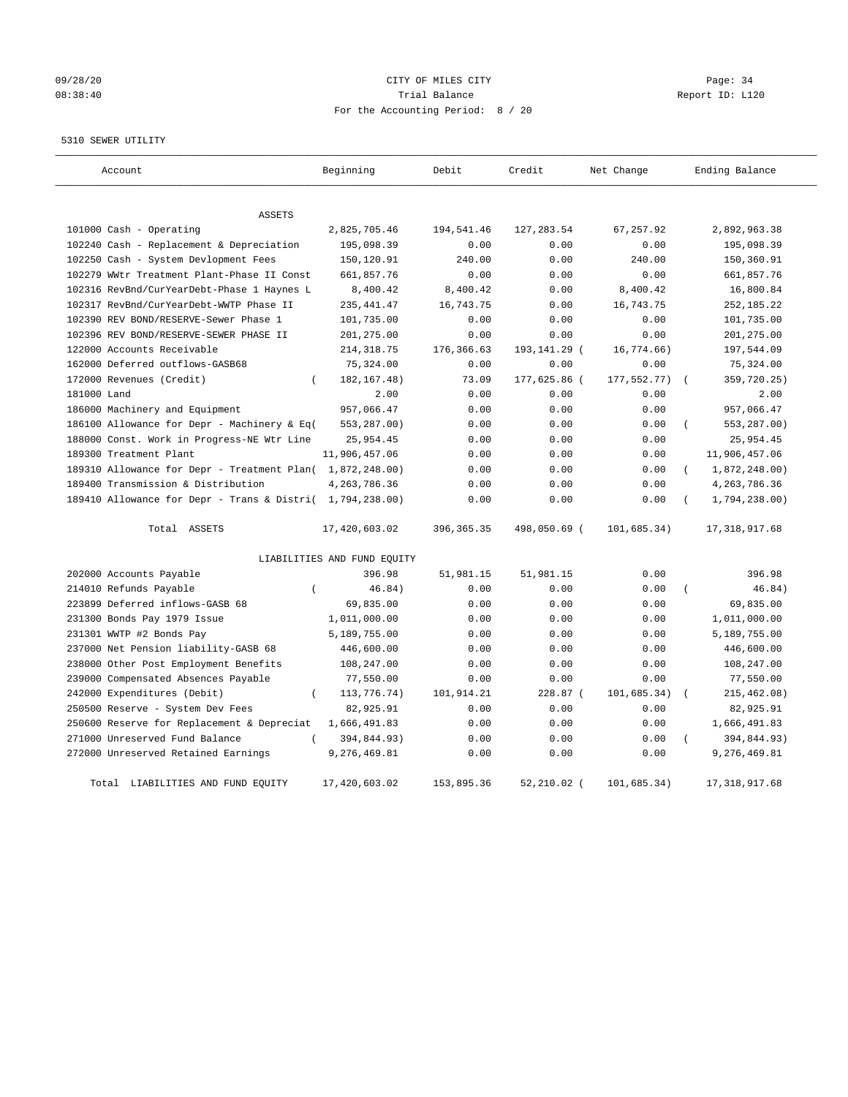## 09/28/20 Page: 34 08:38:40 Report ID: L120 For the Accounting Period: 8 / 20

## 5310 SEWER UTILITY

| Account                                                   | Beginning                   | Debit       | Credit        | Net Change  | Ending Balance            |
|-----------------------------------------------------------|-----------------------------|-------------|---------------|-------------|---------------------------|
| <b>ASSETS</b>                                             |                             |             |               |             |                           |
| 101000 Cash - Operating                                   | 2,825,705.46                | 194,541.46  | 127, 283.54   | 67,257.92   | 2,892,963.38              |
| 102240 Cash - Replacement & Depreciation                  | 195,098.39                  | 0.00        | 0.00          | 0.00        | 195,098.39                |
| 102250 Cash - System Devlopment Fees                      | 150,120.91                  | 240.00      | 0.00          | 240.00      | 150,360.91                |
| 102279 WWtr Treatment Plant-Phase II Const                | 661,857.76                  | 0.00        | 0.00          | 0.00        | 661,857.76                |
| 102316 RevBnd/CurYearDebt-Phase 1 Haynes L                | 8,400.42                    | 8,400.42    | 0.00          | 8,400.42    | 16,800.84                 |
| 102317 RevBnd/CurYearDebt-WWTP Phase II                   | 235, 441.47                 | 16,743.75   | 0.00          | 16,743.75   | 252, 185. 22              |
| 102390 REV BOND/RESERVE-Sewer Phase 1                     | 101,735.00                  | 0.00        | 0.00          | 0.00        | 101,735.00                |
| 102396 REV BOND/RESERVE-SEWER PHASE II                    | 201,275.00                  | 0.00        | 0.00          | 0.00        | 201, 275.00               |
| 122000 Accounts Receivable                                | 214, 318.75                 | 176,366.63  | 193,141.29 (  | 16,774.66)  | 197,544.09                |
| 162000 Deferred outflows-GASB68                           | 75,324.00                   | 0.00        | 0.00          | 0.00        | 75,324.00                 |
| 172000 Revenues (Credit)<br>$\left($                      | 182, 167. 48)               | 73.09       | 177,625.86 (  | 177,552.77) | 359,720.25)               |
| 181000 Land                                               | 2.00                        | 0.00        | 0.00          | 0.00        | 2.00                      |
| 186000 Machinery and Equipment                            | 957,066.47                  | 0.00        | 0.00          | 0.00        | 957,066.47                |
| 186100 Allowance for Depr - Machinery & Eq(               | 553,287.00)                 | 0.00        | 0.00          | 0.00        | 553,287.00)<br>$\left($   |
| 188000 Const. Work in Progress-NE Wtr Line                | 25,954.45                   | 0.00        | 0.00          | 0.00        | 25,954.45                 |
| 189300 Treatment Plant                                    | 11,906,457.06               | 0.00        | 0.00          | 0.00        | 11,906,457.06             |
| 189310 Allowance for Depr - Treatment Plan( 1,872,248.00) |                             | 0.00        | 0.00          | 0.00        | 1,872,248.00)<br>$\left($ |
| 189400 Transmission & Distribution                        | 4, 263, 786.36              | 0.00        | 0.00          | 0.00        | 4, 263, 786.36            |
| 189410 Allowance for Depr - Trans & Distri( 1,794,238.00) |                             | 0.00        | 0.00          | 0.00        | 1,794,238.00)             |
| Total ASSETS                                              | 17,420,603.02               | 396, 365.35 | 498,050.69 (  | 101,685.34) | 17, 318, 917.68           |
|                                                           | LIABILITIES AND FUND EQUITY |             |               |             |                           |
| 202000 Accounts Payable                                   | 396.98                      | 51,981.15   | 51,981.15     | 0.00        | 396.98                    |
| 214010 Refunds Payable<br>$\left($                        | 46.84)                      | 0.00        | 0.00          | 0.00        | 46.84)<br>$\left($        |
| 223899 Deferred inflows-GASB 68                           | 69,835.00                   | 0.00        | 0.00          | 0.00        | 69,835.00                 |
| 231300 Bonds Pay 1979 Issue                               | 1,011,000.00                | 0.00        | 0.00          | 0.00        | 1,011,000.00              |
| 231301 WWTP #2 Bonds Pay                                  | 5,189,755.00                | 0.00        | 0.00          | 0.00        | 5,189,755.00              |
| 237000 Net Pension liability-GASB 68                      | 446,600.00                  | 0.00        | 0.00          | 0.00        | 446,600.00                |
| 238000 Other Post Employment Benefits                     | 108,247.00                  | 0.00        | 0.00          | 0.00        | 108,247.00                |
| 239000 Compensated Absences Payable                       | 77,550.00                   | 0.00        | 0.00          | 0.00        | 77,550.00                 |
| 242000 Expenditures (Debit)<br>$\overline{ }$             | 113,776.74)                 | 101,914.21  | 228.87 (      | 101,685.34) | 215, 462.08)              |
| 250500 Reserve - System Dev Fees                          | 82,925.91                   | 0.00        | 0.00          | 0.00        | 82,925.91                 |
| 250600 Reserve for Replacement & Depreciat                | 1,666,491.83                | 0.00        | 0.00          | 0.00        | 1,666,491.83              |
| 271000 Unreserved Fund Balance<br>$\left($                | 394,844.93)                 | 0.00        | 0.00          | 0.00        | 394,844.93)               |
| 272000 Unreserved Retained Earnings                       | 9,276,469.81                | 0.00        | 0.00          | 0.00        | 9,276,469.81              |
| LIABILITIES AND FUND EQUITY<br>Total                      | 17,420,603.02               | 153,895.36  | $52,210.02$ ( | 101,685.34) | 17, 318, 917.68           |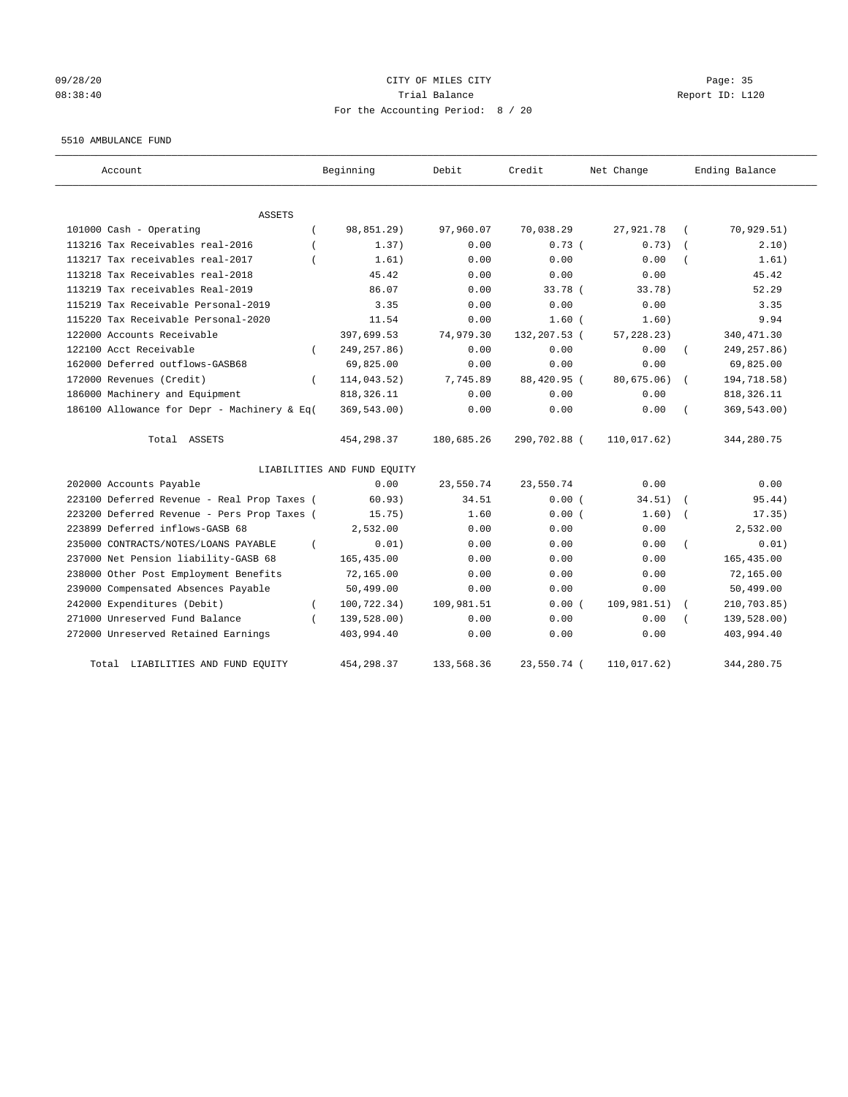## 09/28/20 Page: 35 08:38:40 Trial Balance Report ID: L120 For the Accounting Period: 8 / 20

#### 5510 AMBULANCE FUND

| Account                                          | Beginning                   | Debit      | Credit       | Net Change  | Ending Balance |
|--------------------------------------------------|-----------------------------|------------|--------------|-------------|----------------|
| ASSETS                                           |                             |            |              |             |                |
| 101000 Cash - Operating                          | 98,851.29)                  | 97,960.07  | 70,038.29    | 27,921.78   | 70, 929.51)    |
| 113216 Tax Receivables real-2016                 | 1.37)                       | 0.00       | 0.73(        | 0.73)       | 2.10)          |
| 113217 Tax receivables real-2017                 | 1.61)                       | 0.00       | 0.00         | 0.00        | 1.61)          |
| 113218 Tax Receivables real-2018                 | 45.42                       | 0.00       | 0.00         | 0.00        | 45.42          |
| 113219 Tax receivables Real-2019                 | 86.07                       | 0.00       | 33.78 (      | 33.78)      | 52.29          |
| 115219 Tax Receivable Personal-2019              | 3.35                        | 0.00       | 0.00         | 0.00        | 3.35           |
| 115220 Tax Receivable Personal-2020              | 11.54                       | 0.00       | $1.60$ $($   | 1.60)       | 9.94           |
| 122000 Accounts Receivable                       | 397,699.53                  | 74,979.30  | 132,207.53 ( | 57, 228.23) | 340, 471.30    |
| 122100 Acct Receivable<br>$\left($               | 249, 257.86)                | 0.00       | 0.00         | 0.00        | 249, 257.86)   |
| 162000 Deferred outflows-GASB68                  | 69,825.00                   | 0.00       | 0.00         | 0.00        | 69,825.00      |
| 172000 Revenues (Credit)<br>$\left($             | 114,043.52)                 | 7,745.89   | 88,420.95 (  | 80,675.06)  | 194,718.58)    |
| 186000 Machinery and Equipment                   | 818, 326.11                 | 0.00       | 0.00         | 0.00        | 818, 326.11    |
| 186100 Allowance for Depr - Machinery & Eq(      | 369,543.00)                 | 0.00       | 0.00         | 0.00        | 369,543.00)    |
| Total ASSETS                                     | 454,298.37                  | 180,685.26 | 290,702.88 ( | 110,017.62) | 344,280.75     |
|                                                  | LIABILITIES AND FUND EQUITY |            |              |             |                |
| 202000 Accounts Payable                          | 0.00                        | 23,550.74  | 23,550.74    | 0.00        | 0.00           |
| 223100 Deferred Revenue - Real Prop Taxes (      | 60.93)                      | 34.51      | 0.00(        | 34.51)      | 95.44)         |
| 223200 Deferred Revenue - Pers Prop Taxes (      | 15.75)                      | 1.60       | 0.00(        | 1.60)       | 17.35)         |
| 223899 Deferred inflows-GASB 68                  | 2,532.00                    | 0.00       | 0.00         | 0.00        | 2,532.00       |
| 235000 CONTRACTS/NOTES/LOANS PAYABLE<br>$\left($ | 0.01)                       | 0.00       | 0.00         | 0.00        | 0.01)          |
| 237000 Net Pension liability-GASB 68             | 165, 435.00                 | 0.00       | 0.00         | 0.00        | 165, 435.00    |
| 238000 Other Post Employment Benefits            | 72,165.00                   | 0.00       | 0.00         | 0.00        | 72,165.00      |
| 239000 Compensated Absences Payable              | 50,499.00                   | 0.00       | 0.00         | 0.00        | 50,499.00      |
| 242000 Expenditures (Debit)<br>$\left($          | 100,722.34)                 | 109,981.51 | 0.00(        | 109,981.51) | 210,703.85)    |
| 271000 Unreserved Fund Balance<br>$\left($       | 139,528.00)                 | 0.00       | 0.00         | 0.00        | 139,528.00)    |
| 272000 Unreserved Retained Earnings              | 403,994.40                  | 0.00       | 0.00         | 0.00        | 403,994.40     |
| LIABILITIES AND FUND EQUITY<br>Total             | 454,298.37                  | 133,568.36 | 23,550.74 (  | 110,017.62) | 344,280.75     |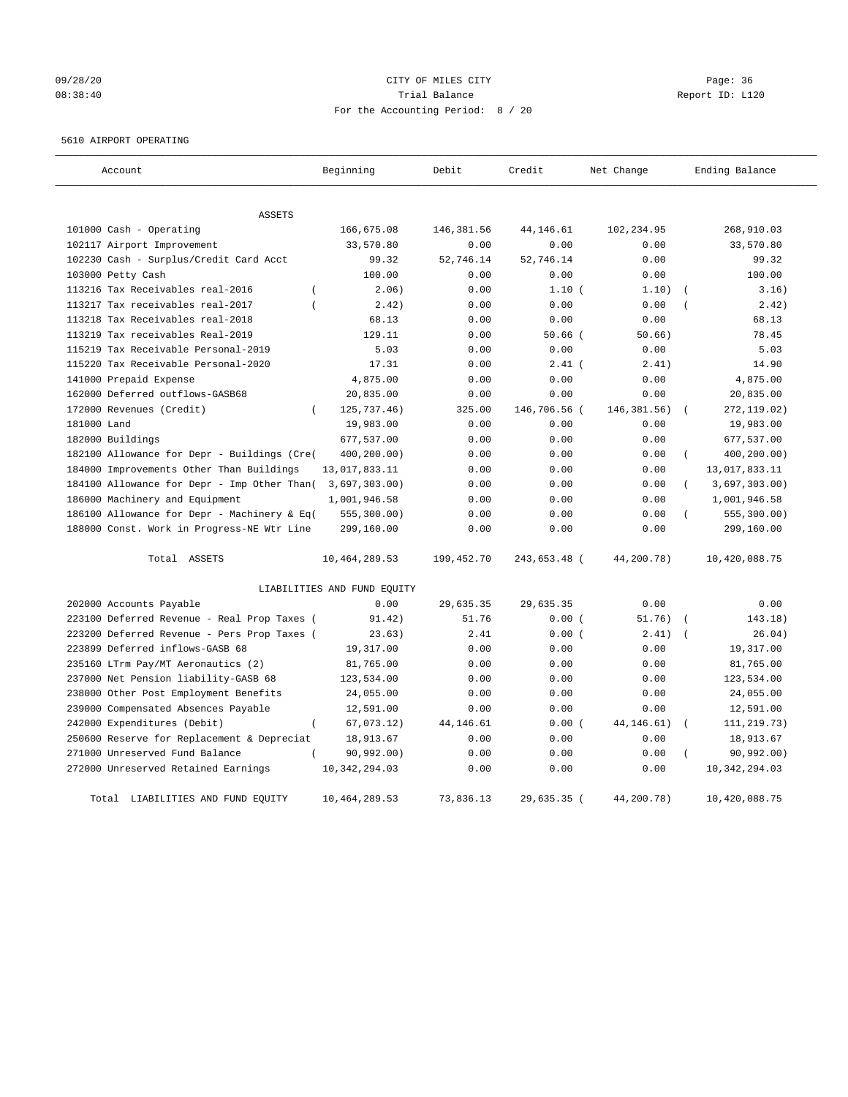# 09/28/20 Page: 36 08:38:40 Trial Balance Report ID: L120 For the Accounting Period: 8 / 20

#### 5610 AIRPORT OPERATING

| Account                                            | Beginning                   | Debit      | Credit       | Net Change   | Ending Balance            |
|----------------------------------------------------|-----------------------------|------------|--------------|--------------|---------------------------|
| <b>ASSETS</b>                                      |                             |            |              |              |                           |
| 101000 Cash - Operating                            | 166,675.08                  | 146,381.56 | 44,146.61    | 102,234.95   | 268,910.03                |
| 102117 Airport Improvement                         | 33,570.80                   | 0.00       | 0.00         | 0.00         | 33,570.80                 |
| 102230 Cash - Surplus/Credit Card Acct             | 99.32                       | 52,746.14  | 52,746.14    | 0.00         | 99.32                     |
| 103000 Petty Cash                                  | 100.00                      | 0.00       | 0.00         | 0.00         | 100.00                    |
| 113216 Tax Receivables real-2016<br>$\overline{(}$ | 2.06)                       | 0.00       | 1.10(        | 1.10)        | 3.16)                     |
| 113217 Tax receivables real-2017                   | 2.42)                       | 0.00       | 0.00         | 0.00         | 2.42)                     |
| 113218 Tax Receivables real-2018                   | 68.13                       | 0.00       | 0.00         | 0.00         | 68.13                     |
| 113219 Tax receivables Real-2019                   | 129.11                      | 0.00       | $50.66$ (    | 50.66)       | 78.45                     |
| 115219 Tax Receivable Personal-2019                | 5.03                        | 0.00       | 0.00         | 0.00         | 5.03                      |
| 115220 Tax Receivable Personal-2020                | 17.31                       | 0.00       | $2.41$ (     | 2.41)        | 14.90                     |
| 141000 Prepaid Expense                             | 4,875.00                    | 0.00       | 0.00         | 0.00         | 4,875.00                  |
| 162000 Deferred outflows-GASB68                    | 20,835.00                   | 0.00       | 0.00         | 0.00         | 20,835.00                 |
| 172000 Revenues (Credit)                           | 125,737.46)                 | 325.00     | 146,706.56 ( | 146, 381.56) | 272, 119.02)              |
| 181000 Land                                        | 19,983.00                   | 0.00       | 0.00         | 0.00         | 19,983.00                 |
| 182000 Buildings                                   | 677,537.00                  | 0.00       | 0.00         | 0.00         | 677,537.00                |
| 182100 Allowance for Depr - Buildings (Cre(        | 400,200.00)                 | 0.00       | 0.00         | 0.00         | 400,200.00)<br>$\left($   |
| 184000 Improvements Other Than Buildings           | 13,017,833.11               | 0.00       | 0.00         | 0.00         | 13,017,833.11             |
| 184100 Allowance for Depr - Imp Other Than(        | 3,697,303.00)               | 0.00       | 0.00         | 0.00         | 3,697,303.00)<br>$\left($ |
| 186000 Machinery and Equipment                     | 1,001,946.58                | 0.00       | 0.00         | 0.00         | 1,001,946.58              |
| 186100 Allowance for Depr - Machinery & Eq(        | 555, 300.00)                | 0.00       | 0.00         | 0.00         | 555, 300.00)              |
| 188000 Const. Work in Progress-NE Wtr Line         | 299,160.00                  | 0.00       | 0.00         | 0.00         | 299,160.00                |
| Total ASSETS                                       | 10,464,289.53               | 199,452.70 | 243,653.48 ( | 44,200.78)   | 10,420,088.75             |
|                                                    | LIABILITIES AND FUND EQUITY |            |              |              |                           |
| 202000 Accounts Payable                            | 0.00                        | 29,635.35  | 29,635.35    | 0.00         | 0.00                      |
| 223100 Deferred Revenue - Real Prop Taxes (        | 91.42)                      | 51.76      | 0.00(        | 51.76)       | 143.18)                   |
| 223200 Deferred Revenue - Pers Prop Taxes (        | 23.63)                      | 2.41       | 0.00(        | 2.41)        | 26.04)                    |
| 223899 Deferred inflows-GASB 68                    | 19,317.00                   | 0.00       | 0.00         | 0.00         | 19,317.00                 |
| 235160 LTrm Pay/MT Aeronautics (2)                 | 81,765.00                   | 0.00       | 0.00         | 0.00         | 81,765.00                 |
| 237000 Net Pension liability-GASB 68               | 123,534.00                  | 0.00       | 0.00         | 0.00         | 123,534.00                |
| 238000 Other Post Employment Benefits              | 24,055.00                   | 0.00       | 0.00         | 0.00         | 24,055.00                 |
| 239000 Compensated Absences Payable                | 12,591.00                   | 0.00       | 0.00         | 0.00         | 12,591.00                 |
| 242000 Expenditures (Debit)<br>$\overline{(\ }$    | 67,073.12)                  | 44, 146.61 | 0.00(        | 44, 146. 61) | 111, 219.73)              |
| 250600 Reserve for Replacement & Depreciat         | 18,913.67                   | 0.00       | 0.00         | 0.00         | 18,913.67                 |
| 271000 Unreserved Fund Balance                     | 90,992.00)                  | 0.00       | 0.00         | 0.00         | 90, 992.00)               |
| 272000 Unreserved Retained Earnings                | 10, 342, 294.03             | 0.00       | 0.00         | 0.00         | 10, 342, 294.03           |
| LIABILITIES AND FUND EQUITY<br>Total               | 10,464,289.53               | 73,836.13  | 29,635.35 (  | 44,200.78)   | 10,420,088.75             |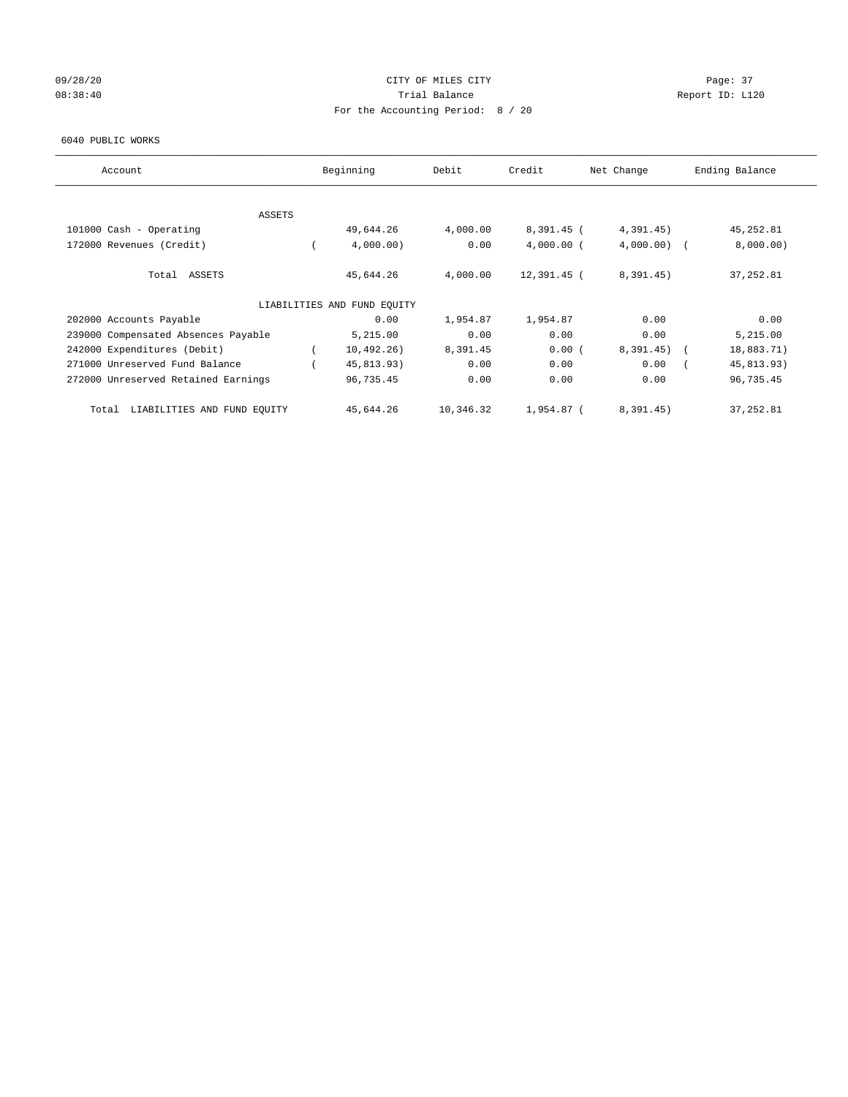## 09/28/20 Page: 37 08:38:40 Report ID: L120 For the Accounting Period: 8 / 20

#### 6040 PUBLIC WORKS

| Account                              | Beginning                   | Debit     | Credit       | Net Change    | Ending Balance |
|--------------------------------------|-----------------------------|-----------|--------------|---------------|----------------|
|                                      |                             |           |              |               |                |
| <b>ASSETS</b>                        |                             |           |              |               |                |
| 101000 Cash - Operating              | 49,644.26                   | 4,000.00  | $8,391.45$ ( | 4,391.45)     | 45, 252.81     |
| 172000 Revenues (Credit)             | 4,000.00)                   | 0.00      | $4,000.00$ ( | $4,000.00)$ ( | 8,000.00)      |
| Total ASSETS                         | 45,644.26                   | 4,000.00  | 12,391.45 (  | 8,391.45)     | 37, 252.81     |
|                                      | LIABILITIES AND FUND EQUITY |           |              |               |                |
| 202000 Accounts Payable              | 0.00                        | 1,954.87  | 1,954.87     | 0.00          | 0.00           |
| 239000 Compensated Absences Payable  | 5,215.00                    | 0.00      | 0.00         | 0.00          | 5,215.00       |
| 242000 Expenditures (Debit)          | 10,492,26)                  | 8,391.45  | 0.00(        | $8,391.45$ (  | 18,883.71)     |
| 271000 Unreserved Fund Balance       | 45,813.93)                  | 0.00      | 0.00         | 0.00          | 45,813.93)     |
| 272000 Unreserved Retained Earnings  | 96,735.45                   | 0.00      | 0.00         | 0.00          | 96,735.45      |
| LIABILITIES AND FUND EQUITY<br>Total | 45,644.26                   | 10,346.32 | 1,954.87 (   | 8,391.45)     | 37, 252.81     |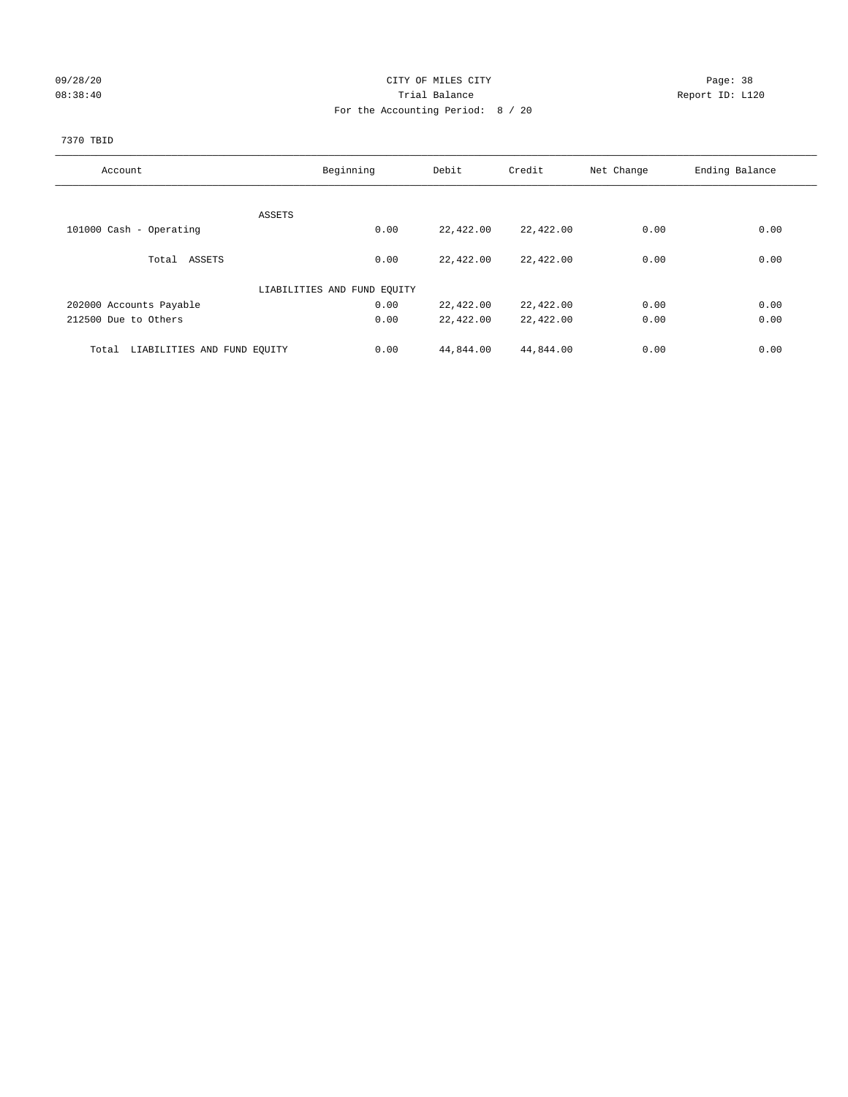## 09/28/20 Page: 38 08:38:40 Trial Balance Report ID: L120 For the Accounting Period: 8 / 20

## 7370 TBID

| Account                              | Beginning                   | Debit     | Credit    | Net Change | Ending Balance |
|--------------------------------------|-----------------------------|-----------|-----------|------------|----------------|
|                                      |                             |           |           |            |                |
|                                      | ASSETS                      |           |           |            |                |
| 101000 Cash - Operating              | 0.00                        | 22,422.00 | 22,422.00 | 0.00       | 0.00           |
|                                      |                             |           |           |            |                |
| Total ASSETS                         | 0.00                        | 22,422.00 | 22,422.00 | 0.00       | 0.00           |
|                                      |                             |           |           |            |                |
|                                      | LIABILITIES AND FUND EQUITY |           |           |            |                |
| 202000 Accounts Payable              | 0.00                        | 22,422.00 | 22,422.00 | 0.00       | 0.00           |
| 212500 Due to Others                 | 0.00                        | 22,422.00 | 22,422.00 | 0.00       | 0.00           |
|                                      |                             |           |           |            |                |
| LIABILITIES AND FUND EQUITY<br>Total | 0.00                        | 44,844.00 | 44,844.00 | 0.00       | 0.00           |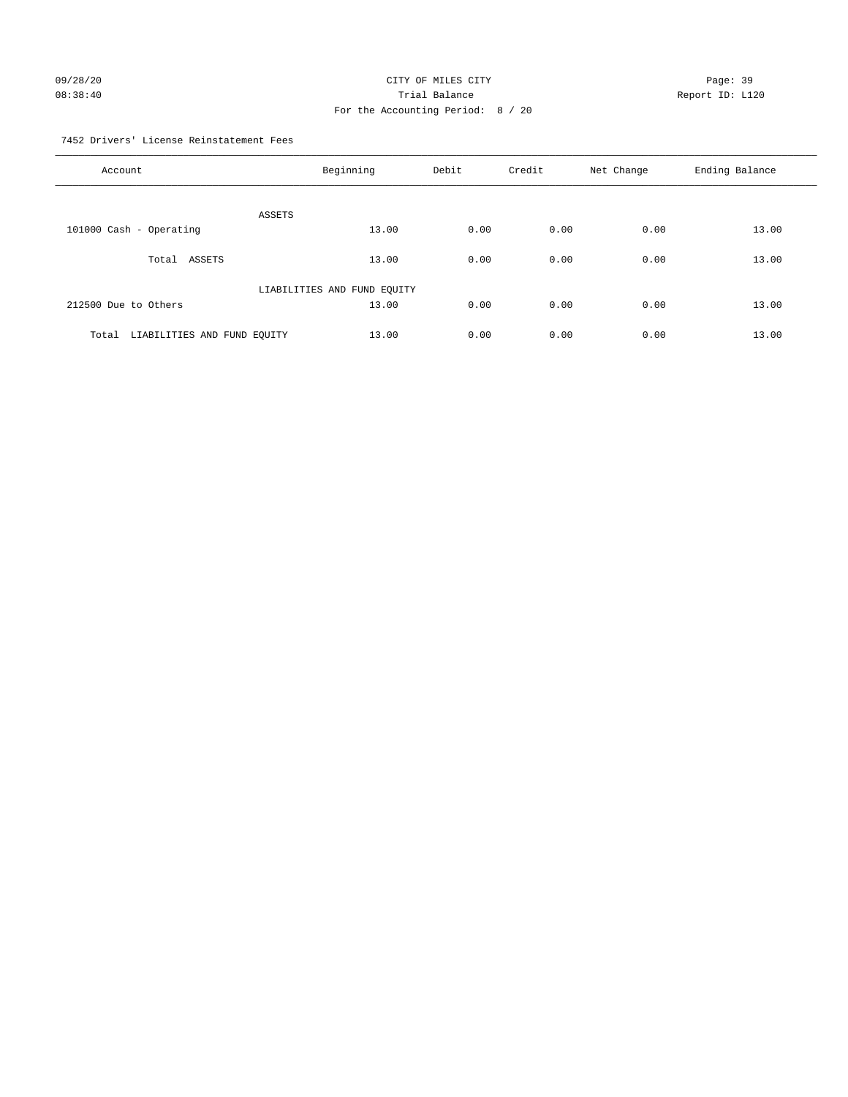# 09/28/20 Page: 39 08:38:40 Trial Balance Report ID: L120 For the Accounting Period: 8 / 20

7452 Drivers' License Reinstatement Fees

| Account                              | Beginning                   | Debit | Credit | Net Change | Ending Balance |
|--------------------------------------|-----------------------------|-------|--------|------------|----------------|
| ASSETS                               |                             |       |        |            |                |
| 101000 Cash - Operating              | 13.00                       | 0.00  | 0.00   | 0.00       | 13.00          |
| Total ASSETS                         | 13.00                       | 0.00  | 0.00   | 0.00       | 13.00          |
|                                      | LIABILITIES AND FUND EQUITY |       |        |            |                |
| 212500 Due to Others                 | 13.00                       | 0.00  | 0.00   | 0.00       | 13.00          |
| LIABILITIES AND FUND EQUITY<br>Total | 13.00                       | 0.00  | 0.00   | 0.00       | 13.00          |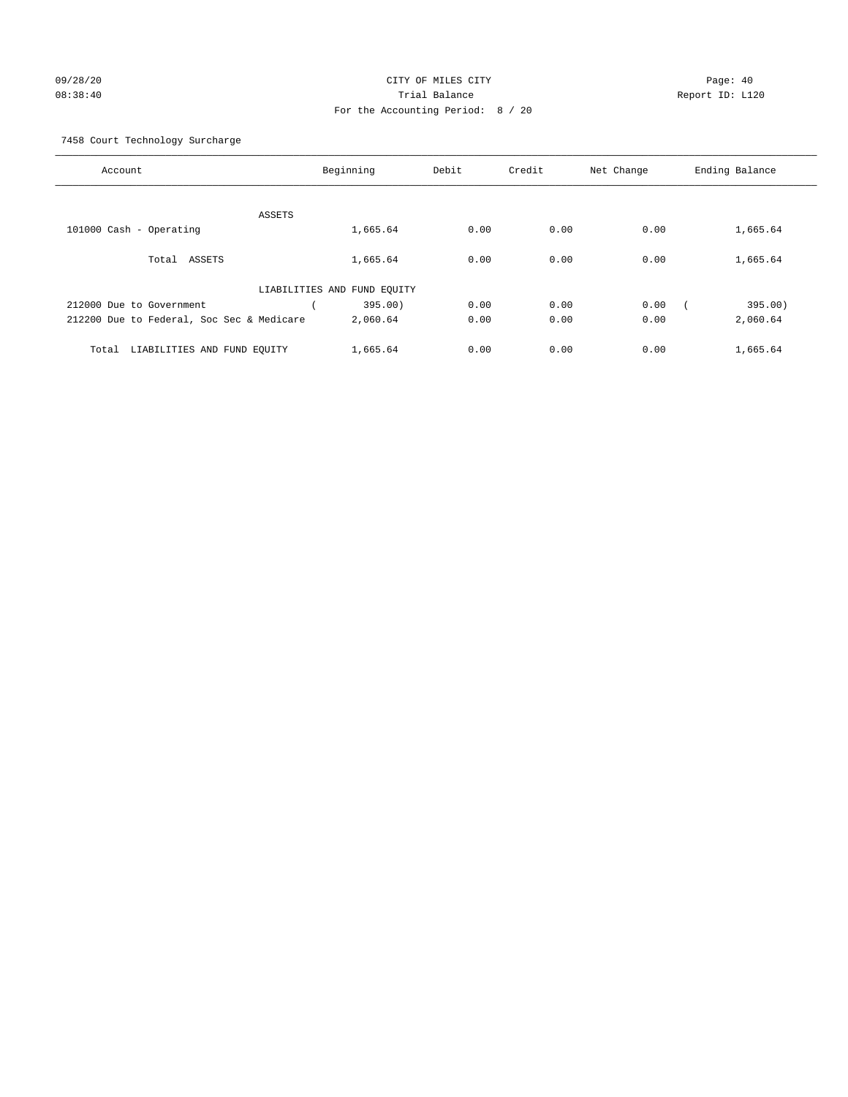## 09/28/20 Page: 40 08:38:40 Trial Balance Report ID: L120 For the Accounting Period: 8 / 20

7458 Court Technology Surcharge

| Account                                   | Beginning                   | Debit | Credit | Net Change | Ending Balance |
|-------------------------------------------|-----------------------------|-------|--------|------------|----------------|
|                                           |                             |       |        |            |                |
|                                           | ASSETS                      |       |        |            |                |
| 101000 Cash - Operating                   | 1,665.64                    | 0.00  | 0.00   | 0.00       | 1,665.64       |
| Total ASSETS                              | 1,665.64                    | 0.00  | 0.00   | 0.00       | 1,665.64       |
|                                           | LIABILITIES AND FUND EQUITY |       |        |            |                |
| 212000 Due to Government                  | 395.00)                     | 0.00  | 0.00   | 0.00       | 395.00)        |
| 212200 Due to Federal, Soc Sec & Medicare | 2,060.64                    | 0.00  | 0.00   | 0.00       | 2,060.64       |
|                                           |                             | 0.00  | 0.00   | 0.00       |                |
| LIABILITIES AND FUND EQUITY<br>Total      | 1,665.64                    |       |        |            | 1,665.64       |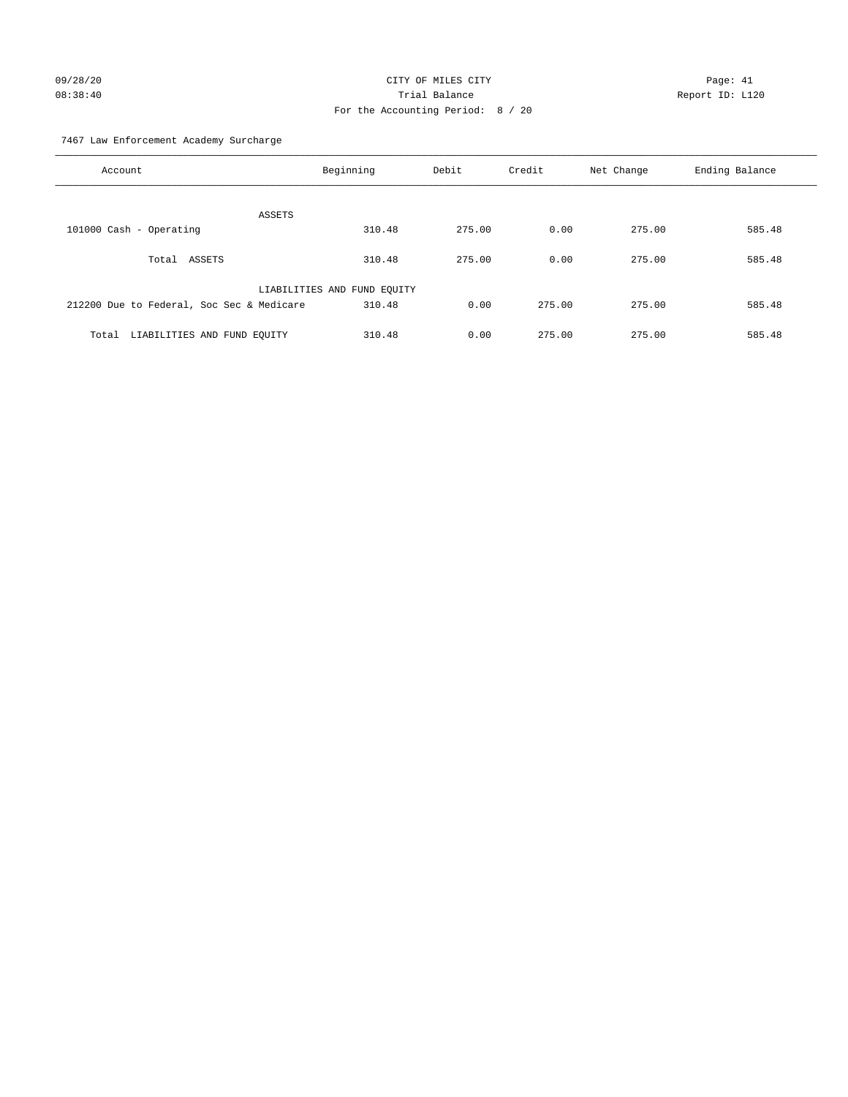# 09/28/20 Page: 41 CITY OF MILES CITY CONTROL CONTROL Page: 41 08:38:40 Trial Balance Report ID: L120 For the Accounting Period: 8 / 20

7467 Law Enforcement Academy Surcharge

| Account                                   | Beginning                   | Debit  | Credit | Net Change | Ending Balance |
|-------------------------------------------|-----------------------------|--------|--------|------------|----------------|
| <b>ASSETS</b>                             |                             |        |        |            |                |
| 101000 Cash - Operating                   | 310.48                      | 275.00 | 0.00   | 275.00     | 585.48         |
| Total ASSETS                              | 310.48                      | 275.00 | 0.00   | 275.00     | 585.48         |
|                                           | LIABILITIES AND FUND EQUITY |        |        |            |                |
| 212200 Due to Federal, Soc Sec & Medicare | 310.48                      | 0.00   | 275.00 | 275.00     | 585.48         |
| LIABILITIES AND FUND EOUITY<br>Total      | 310.48                      | 0.00   | 275.00 | 275.00     | 585.48         |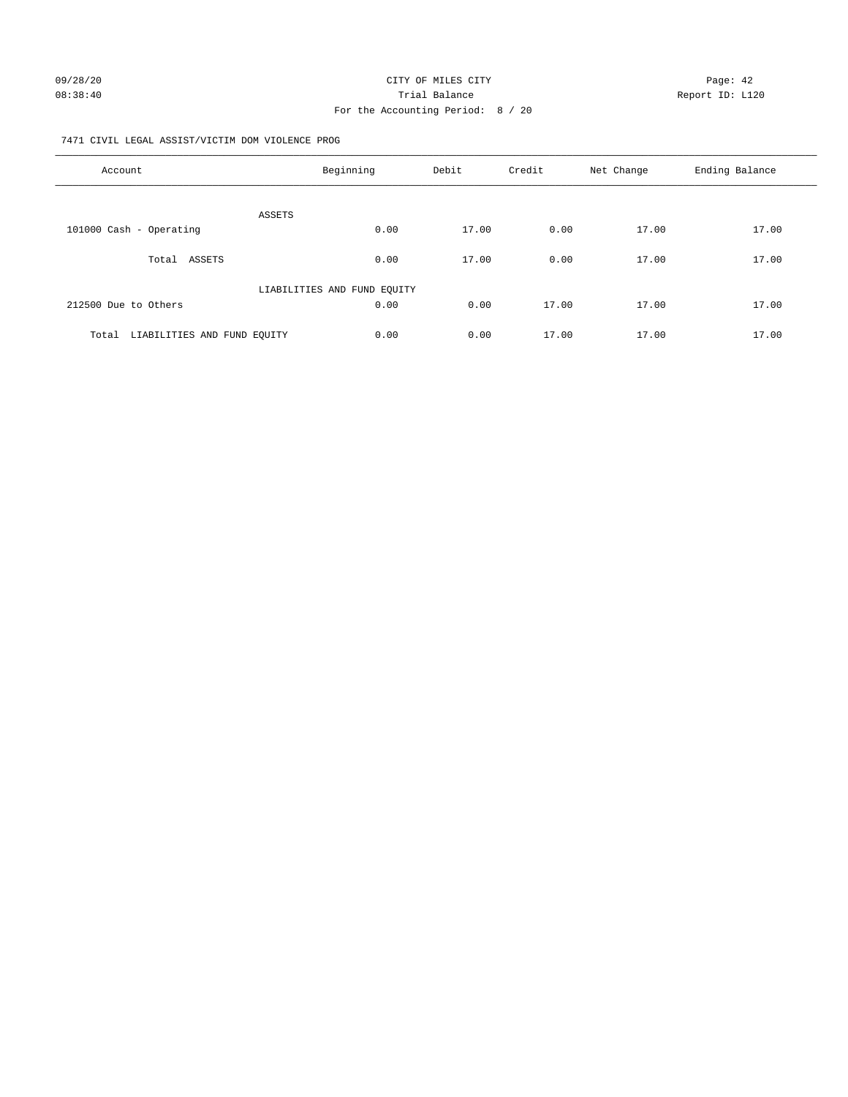#### 7471 CIVIL LEGAL ASSIST/VICTIM DOM VIOLENCE PROG

| Account                              | Beginning                   | Debit | Credit | Net Change | Ending Balance |
|--------------------------------------|-----------------------------|-------|--------|------------|----------------|
|                                      |                             |       |        |            |                |
|                                      | <b>ASSETS</b>               |       |        |            |                |
| 101000 Cash - Operating              | 0.00                        | 17.00 | 0.00   | 17.00      | 17.00          |
| ASSETS<br>Total                      | 0.00                        | 17.00 | 0.00   | 17.00      | 17.00          |
|                                      | LIABILITIES AND FUND EQUITY |       |        |            |                |
| 212500 Due to Others                 | 0.00                        | 0.00  | 17.00  | 17.00      | 17.00          |
| LIABILITIES AND FUND EOUITY<br>Total | 0.00                        | 0.00  | 17.00  | 17.00      | 17.00          |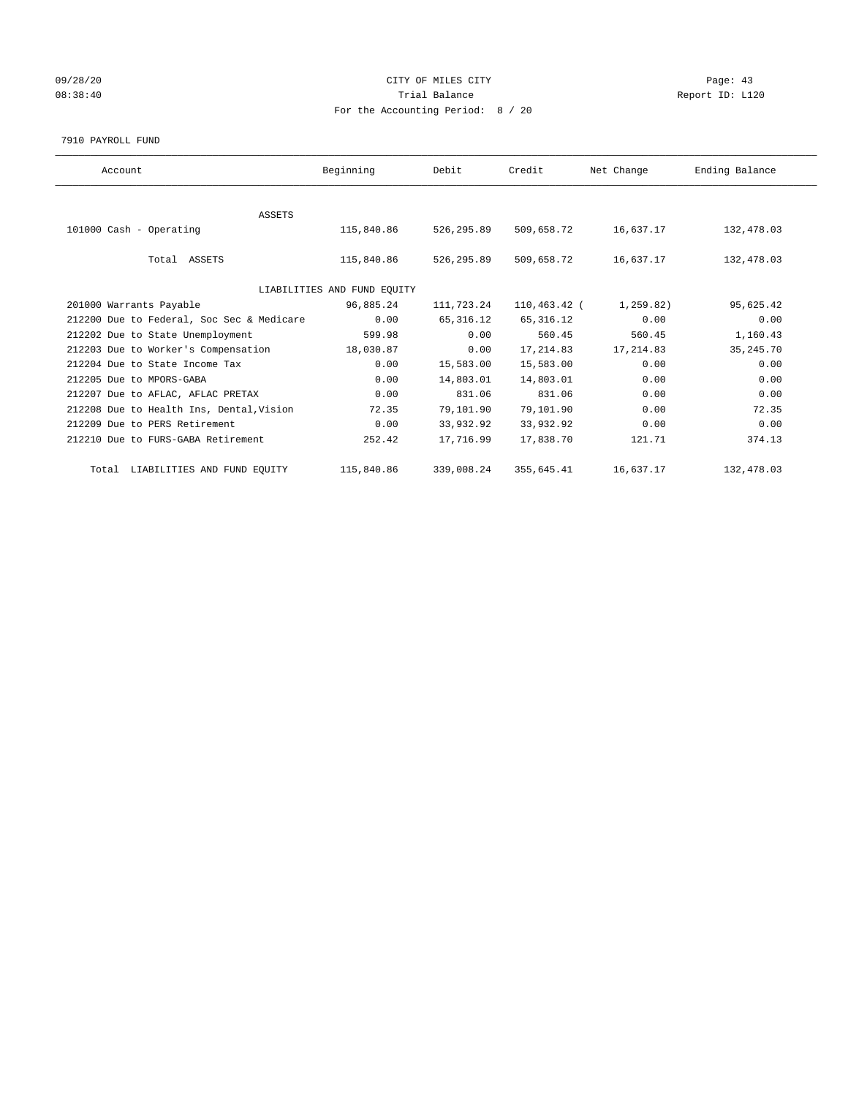## 09/28/20 Page: 43 08:38:40 Trial Balance Report ID: L120 For the Accounting Period: 8 / 20

7910 PAYROLL FUND

| Account                                   | Beginning                   | Debit      | Credit       | Net Change | Ending Balance |
|-------------------------------------------|-----------------------------|------------|--------------|------------|----------------|
|                                           |                             |            |              |            |                |
| ASSETS                                    |                             |            |              |            |                |
| 101000 Cash - Operating                   | 115,840.86                  | 526,295.89 | 509,658.72   | 16,637.17  | 132,478.03     |
|                                           |                             |            |              |            |                |
| Total ASSETS                              | 115,840.86                  | 526,295.89 | 509,658.72   | 16,637.17  | 132,478.03     |
|                                           |                             |            |              |            |                |
|                                           | LIABILITIES AND FUND EQUITY |            |              |            |                |
| 201000 Warrants Payable                   | 96,885.24                   | 111,723.24 | 110,463.42 ( | 1,259.82)  | 95,625.42      |
| 212200 Due to Federal, Soc Sec & Medicare | 0.00                        | 65, 316.12 | 65, 316.12   | 0.00       | 0.00           |
| 212202 Due to State Unemployment          | 599.98                      | 0.00       | 560.45       | 560.45     | 1,160.43       |
| 212203 Due to Worker's Compensation       | 18,030.87                   | 0.00       | 17,214.83    | 17, 214.83 | 35, 245. 70    |
| 212204 Due to State Income Tax            | 0.00                        | 15,583.00  | 15,583.00    | 0.00       | 0.00           |
| 212205 Due to MPORS-GABA                  | 0.00                        | 14,803.01  | 14,803.01    | 0.00       | 0.00           |
| 212207 Due to AFLAC, AFLAC PRETAX         | 0.00                        | 831.06     | 831.06       | 0.00       | 0.00           |
| 212208 Due to Health Ins, Dental, Vision  | 72.35                       | 79,101.90  | 79,101.90    | 0.00       | 72.35          |
| 212209 Due to PERS Retirement             | 0.00                        | 33,932.92  | 33,932.92    | 0.00       | 0.00           |
| 212210 Due to FURS-GABA Retirement        | 252.42                      | 17,716.99  | 17,838.70    | 121.71     | 374.13         |
|                                           |                             |            |              |            |                |
| Total LIABILITIES AND FUND EQUITY         | 115,840.86                  | 339,008.24 | 355,645.41   | 16,637.17  | 132,478.03     |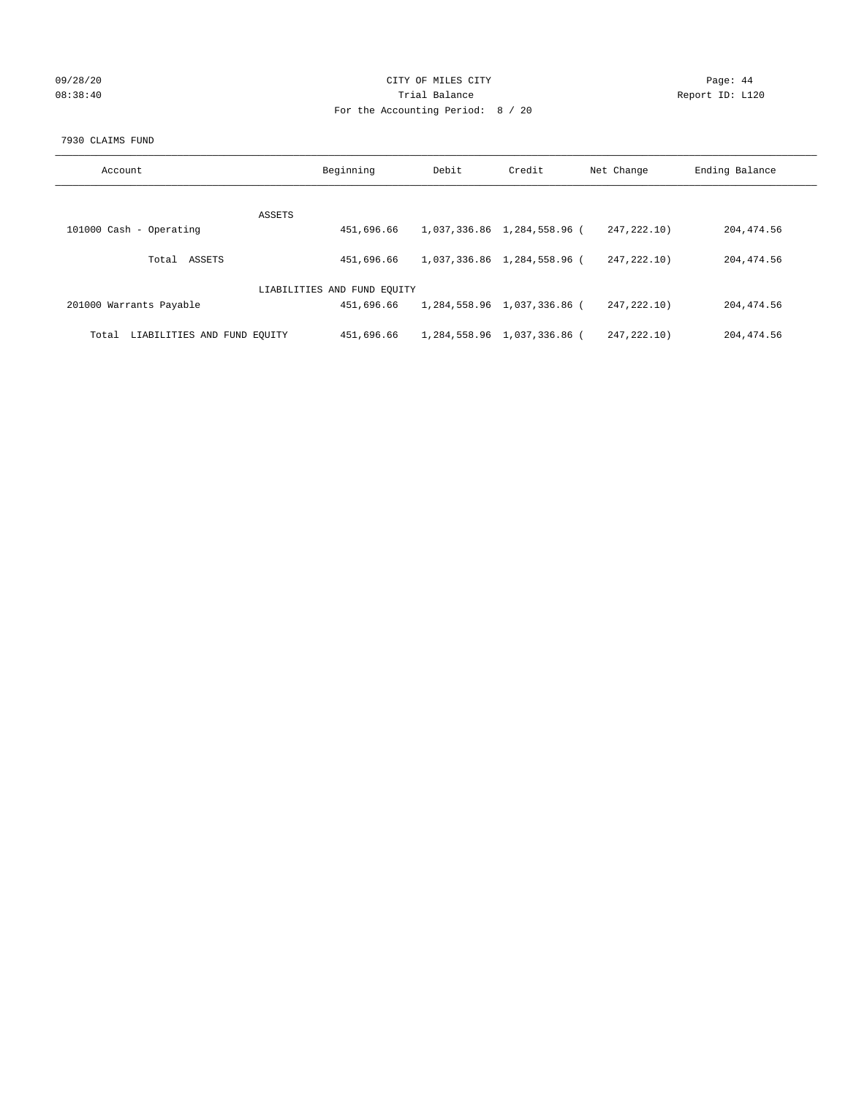## 09/28/20 Page: 44 08:38:40 Trial Balance Trial Balance Report ID: L120 For the Accounting Period: 8 / 20

#### 7930 CLAIMS FUND

| Account                              | Beginning                   | Debit | Credit                      | Net Change    | Ending Balance |
|--------------------------------------|-----------------------------|-------|-----------------------------|---------------|----------------|
| ASSETS                               |                             |       |                             |               |                |
| 101000 Cash - Operating              | 451,696.66                  |       | 1,037,336.86 1,284,558.96 ( | 247.222.10)   | 204, 474.56    |
| ASSETS<br>Total                      | 451,696.66                  |       | 1,037,336.86 1,284,558.96 ( | 247.222.10)   | 204, 474.56    |
|                                      | LIABILITIES AND FUND EQUITY |       |                             |               |                |
| 201000 Warrants Payable              | 451,696.66                  |       | 1,284,558.96 1,037,336.86 ( | 247.222.10)   | 204, 474.56    |
| LIABILITIES AND FUND EQUITY<br>Total | 451,696.66                  |       | 1,284,558.96 1,037,336.86 ( | 247, 222, 10) | 204, 474.56    |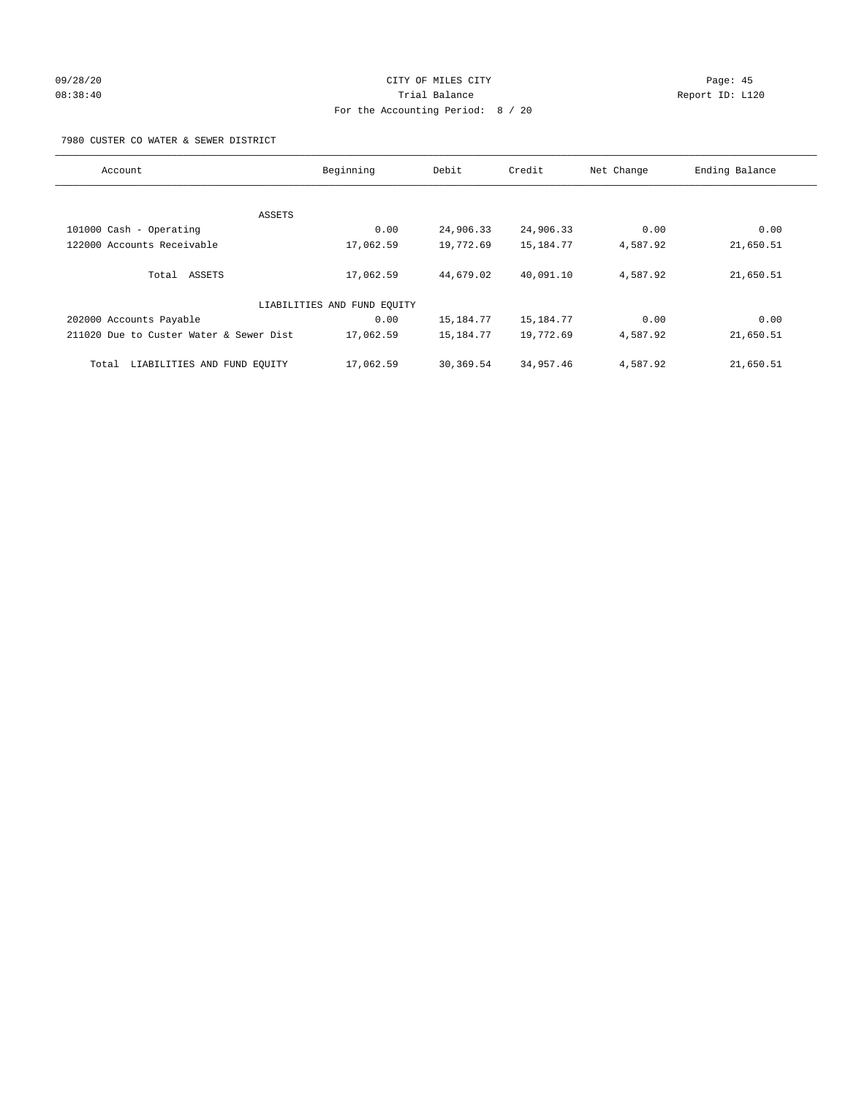## 09/28/20 Page: 45 08:38:40 Trial Balance Report ID: L120 For the Accounting Period: 8 / 20

7980 CUSTER CO WATER & SEWER DISTRICT

| Account                                 | Beginning                   | Debit     | Credit    | Net Change | Ending Balance |
|-----------------------------------------|-----------------------------|-----------|-----------|------------|----------------|
|                                         |                             |           |           |            |                |
|                                         | ASSETS                      |           |           |            |                |
| 101000 Cash - Operating                 | 0.00                        | 24,906.33 | 24,906.33 | 0.00       | 0.00           |
| 122000 Accounts Receivable              | 17,062.59                   | 19,772.69 | 15,184.77 | 4,587.92   | 21,650.51      |
| Total ASSETS                            | 17,062.59                   | 44,679.02 | 40,091.10 | 4,587.92   | 21,650.51      |
|                                         | LIABILITIES AND FUND EQUITY |           |           |            |                |
| 202000 Accounts Payable                 | 0.00                        | 15,184.77 | 15,184.77 | 0.00       | 0.00           |
| 211020 Due to Custer Water & Sewer Dist | 17,062.59                   | 15,184.77 | 19,772.69 | 4,587.92   | 21,650.51      |
| LIABILITIES AND FUND EQUITY<br>Total    | 17,062.59                   | 30,369.54 | 34,957.46 | 4,587.92   | 21,650.51      |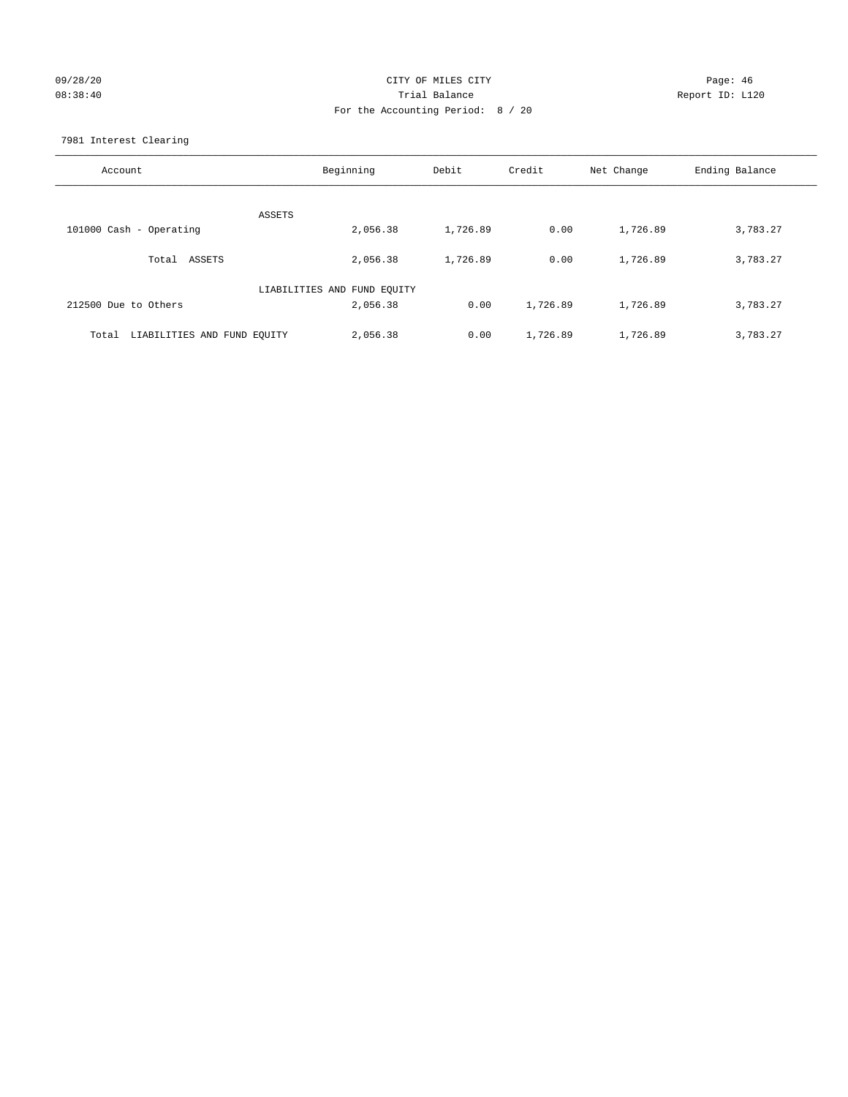## 09/28/20 Page: 46 08:38:40 Trial Balance Report ID: L120 For the Accounting Period: 8 / 20

7981 Interest Clearing

| Account                              | Beginning                   | Debit    | Credit   | Net Change | Ending Balance |
|--------------------------------------|-----------------------------|----------|----------|------------|----------------|
|                                      | <b>ASSETS</b>               |          |          |            |                |
| 101000 Cash - Operating              | 2,056.38                    | 1,726.89 | 0.00     | 1,726.89   | 3,783.27       |
|                                      |                             |          |          |            |                |
| Total ASSETS                         | 2,056.38                    | 1,726.89 | 0.00     | 1,726.89   | 3,783.27       |
|                                      |                             |          |          |            |                |
|                                      | LIABILITIES AND FUND EQUITY |          |          |            |                |
| 212500 Due to Others                 | 2,056.38                    | 0.00     | 1,726.89 | 1,726.89   | 3,783.27       |
|                                      |                             |          |          |            |                |
| LIABILITIES AND FUND EQUITY<br>Total | 2,056.38                    | 0.00     | 1,726.89 | 1,726.89   | 3,783.27       |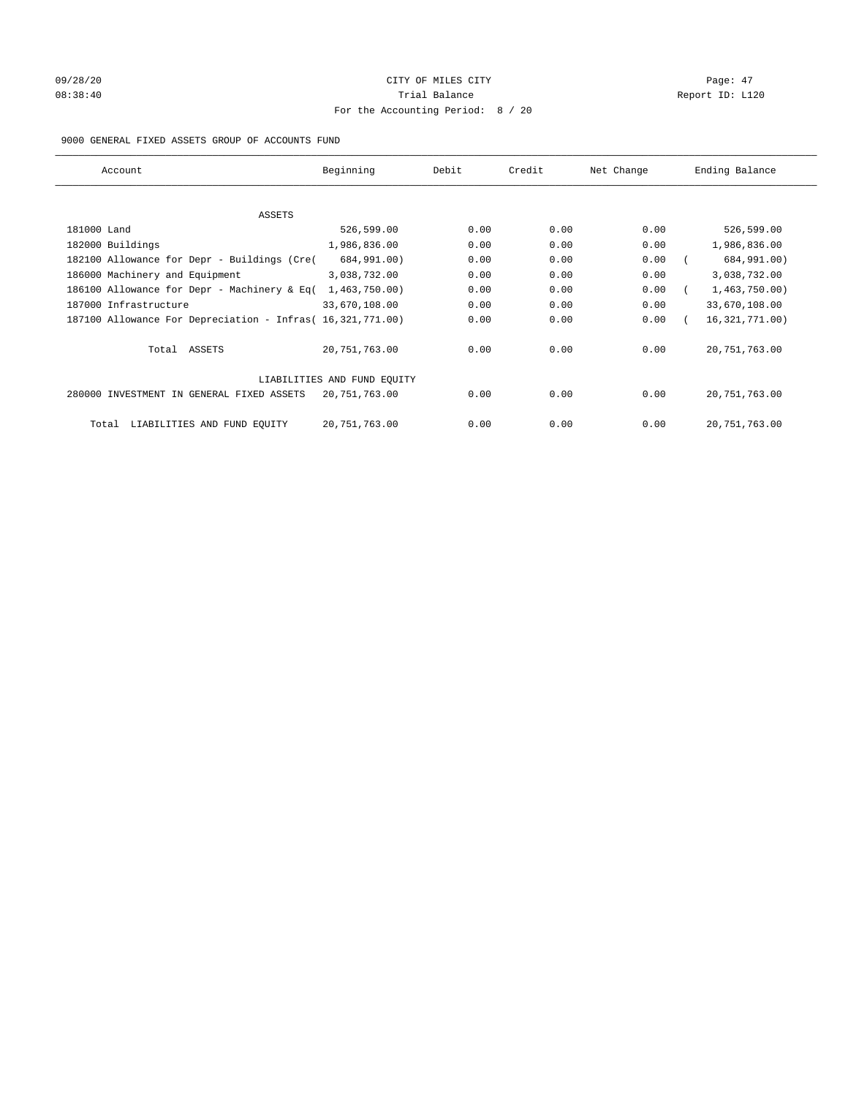# 09/28/20 Page: 47 08:38:40 Report ID: L120 For the Accounting Period: 8 / 20

## 9000 GENERAL FIXED ASSETS GROUP OF ACCOUNTS FUND

| Account                                                    | Beginning       | Debit | Credit | Net Change | Ending Balance   |
|------------------------------------------------------------|-----------------|-------|--------|------------|------------------|
| ASSETS                                                     |                 |       |        |            |                  |
| 181000 Land                                                | 526,599.00      | 0.00  | 0.00   | 0.00       | 526,599.00       |
| 182000 Buildings                                           | 1,986,836.00    | 0.00  | 0.00   | 0.00       | 1,986,836.00     |
| 182100 Allowance for Depr - Buildings (Cre(                | 684,991.00)     | 0.00  | 0.00   | 0.00       | 684,991.00)      |
| 186000 Machinery and Equipment                             | 3,038,732.00    | 0.00  | 0.00   | 0.00       | 3,038,732.00     |
| 186100 Allowance for Depr - Machinery & Eq(                | 1,463,750.00)   | 0.00  | 0.00   | 0.00       | 1,463,750.00)    |
| 187000 Infrastructure                                      | 33,670,108.00   | 0.00  | 0.00   | 0.00       | 33,670,108.00    |
| 187100 Allowance For Depreciation - Infras (16,321,771.00) |                 | 0.00  | 0.00   | 0.00       | 16, 321, 771.00) |
| Total ASSETS                                               | 20,751,763.00   | 0.00  | 0.00   | 0.00       | 20, 751, 763.00  |
| LIABILITIES AND FUND EQUITY                                |                 |       |        |            |                  |
| 280000 INVESTMENT IN GENERAL FIXED ASSETS                  | 20,751,763.00   | 0.00  | 0.00   | 0.00       | 20, 751, 763.00  |
| LIABILITIES AND FUND EQUITY<br>Total                       | 20, 751, 763.00 | 0.00  | 0.00   | 0.00       | 20, 751, 763.00  |